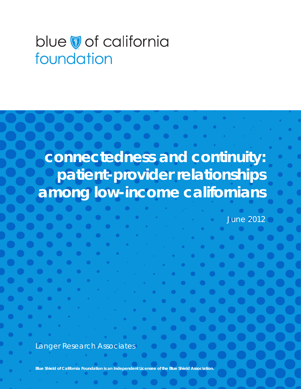# blue vof california foundation

**connectedness and continuity: patient-provider relationships among low-income californians**

June 2012

Langer Research Associates

**Blue Shield of California Foundation is an Independent Licensee of the Blue Shield Association.**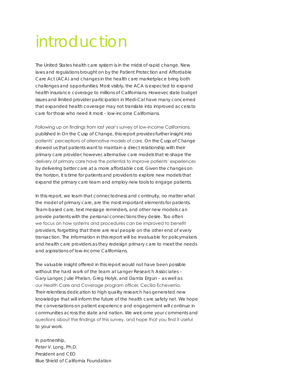# introduction

The United States health care system is in the midst of rapid change. New laws and regulations brought on by the Patient Protection and Affordable Care Act (ACA) and changes in the health care marketplace bring both challenges and opportunities. Most visibly, the ACA is expected to expand health insurance coverage to millions of Californians. However, state budget issues and limited provider participation in Medi-Cal have many concerned that expanded health coverage may not translate into improved access to care for those who need it most – low-income Californians.

Following up on findings from last year's survey of low-income Californians, published in *On the Cusp of Change*, this report provides further insight into patients' perceptions of alternative models of care. *On the Cusp of Change* showed us that patients want to maintain a direct relationship with their primary care provider; however, alternative care models that re-shape the delivery of primary care have the potential to improve patients' experiences by delivering better care at a more affordable cost. Given the changes on the horizon, it is time for patients and providers to explore new models that expand the primary care team and employ new tools to engage patients.

In this report, we learn that connectedness and continuity, no matter what the model of primary care, are the most important elements for patients. Team-based care, text message reminders, and other new models can provide patients with the personal connections they desire. Too often we focus on how systems and procedures can be improved to benefit providers, forgetting that there are real people on the other end of every transaction. The information in this report will be invaluable for policymakers and health care providers as they redesign primary care to meet the needs and aspirations of low-income Californians.

The valuable insight offered in this report would not have been possible without the hard work of the team at Langer Research Associates – Gary Langer, Julie Phelan, Greg Holyk, and Damla Ergun – as well as our Health Care and Coverage program officer, Cecilia Echeverría. Their relentless dedication to high quality research has generated new knowledge that will inform the future of the health care safety net. We hope the conversations on patient experience and engagement will continue in communities across the state and nation. We welcome your comments and questions about the findings of this survey, and hope that you find it useful to your work.

In partnership, Peter V. Long, Ph.D. President and CEO Blue Shield of California Foundation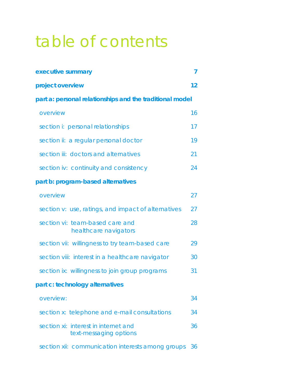# table of contents

| executive summary                                              | 7  |  |
|----------------------------------------------------------------|----|--|
| project overview                                               | 12 |  |
| part a: personal relationships and the traditional model       |    |  |
| overview                                                       | 16 |  |
| section i: personal relationships                              | 17 |  |
| section ii: a regular personal doctor                          | 19 |  |
| section iii: doctors and alternatives                          | 21 |  |
| section iv: continuity and consistency                         | 24 |  |
| part b: program-based alternatives                             |    |  |
| overview                                                       | 27 |  |
| section v: use, ratings, and impact of alternatives            | 27 |  |
| section vi: team-based care and<br>healthcare navigators       | 28 |  |
| section vii: willingness to try team-based care                | 29 |  |
| section viii: interest in a healthcare navigator               | 30 |  |
| section ix: willingness to join group programs                 | 31 |  |
| part c: technology alternatives                                |    |  |
| overview:                                                      | 34 |  |
| section x: telephone and e-mail consultations                  | 34 |  |
| section xi: interest in internet and<br>text-messaging options | 36 |  |
| section xii: communication interests among groups              | 36 |  |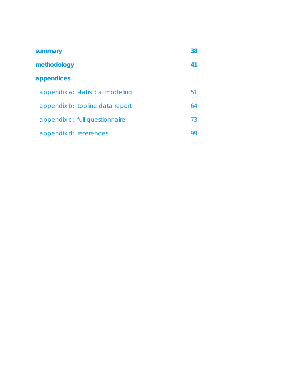| summary                |                                  | 38 |
|------------------------|----------------------------------|----|
| methodology            |                                  | 41 |
| appendices             |                                  |    |
|                        | appendix a: statistical modeling | 51 |
|                        | appendix b: topline data report  | 64 |
|                        | appendix c: full questionnaire   | 73 |
| appendix d: references |                                  | 99 |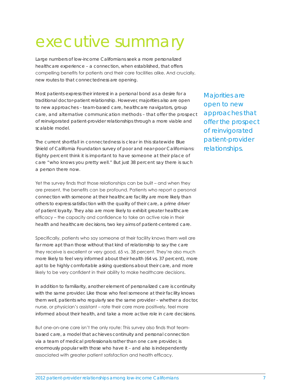# executive summary

Large numbers of low-income Californians seek a more personalized healthcare experience – a connection, when established, that offers compelling benefits for patients and their care facilities alike. And crucially, new routes to that connectedness are opening.

Most patients express their interest in a personal bond as a desire for a traditional doctor-patient relationship. However, majorities also are open to new approaches – team-based care, healthcare navigators, group care, and alternative communication methods – that offer the prospect of reinvigorated patient-provider relationships through a more viable and scalable model.

The current shortfall in connectedness is clear in this statewide Blue Shield of California Foundation survey of poor and near-poor Californians: Eighty percent think it is important to have someone at their place of care "who knows you pretty well." But just 38 percent say there is such a person there now.

Yet the survey finds that those relationships can be built – and when they are present, the benefits can be profound. Patients who report a personal connection with someone at their healthcare facility are more likely than others to express satisfaction with the quality of their care, a prime driver of patient loyalty. They also are more likely to exhibit greater healthcare efficacy – the capacity and confidence to take an active role in their health and healthcare decisions, two key aims of patient-centered care.

Specifically, patients who say someone at their facility knows them well are far more apt than those without that kind of relationship to say the care they receive is excellent or very good, 65 vs. 38 percent. They're also much more likely to feel very informed about their health (64 vs. 37 percent), more apt to be highly comfortable asking questions about their care, and more likely to be very confident in their ability to make healthcare decisions.

In addition to familiarity, another element of personalized care is continuity with the same provider. Like those who feel someone at their facility knows them well, patients who regularly see the same provider – whether a doctor, nurse, or physician's assistant – rate their care more positively, feel more informed about their health, and take a more active role in care decisions.

But one-on-one care isn't the only route: This survey also finds that teambased care, a model that achieves continuity and personal connection via a team of medical professionals rather than one care provider, is enormously popular with those who have it – and also is independently associated with greater patient satisfaction and health efficacy.

Majorities are open to new approaches that offer the prospect of reinvigorated patient-provider relationships.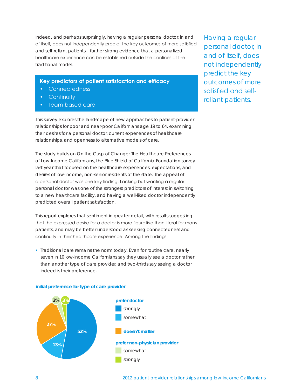Indeed, and perhaps surprisingly, having a regular personal doctor, in and of itself, does not independently predict the key outcomes of more satisfied and self-reliant patients – further strong evidence that a personalized healthcare experience can be established outside the confines of the traditional model.

- **Key predictors of patient satisfaction and efficacy**
- Connectedness
- Continuity
- Team-based care

This survey explores the landscape of new approaches to patient-provider relationships for poor and near-poor Californians age 19 to 64, examining their desires for a personal doctor, current experiences of healthcare relationships, and openness to alternative models of care.

The study builds on *On the Cusp of Change: The Healthcare Preferences of Low-Income Californians*, the Blue Shield of California Foundation survey last year that focused on the healthcare experiences, expectations, and desires of low-income, non-senior residents of the state. The appeal of a personal doctor was one key finding: Lacking but wanting a regular personal doctor was one of the strongest predictors of interest in switching to a new healthcare facility, and having a well-liked doctor independently predicted overall patient satisfaction.

This report explores that sentiment in greater detail, with results suggesting that the expressed desire for a doctor is more figurative than literal for many patients, and may be better understood as seeking connectedness and continuity in their healthcare experience. Among the findings:

• Traditional care remains the norm today. Even for routine care, nearly seven in 10 low-income Californians say they usually see a doctor rather than another type of care provider, and two-thirds say seeing a doctor indeed is their preference.



#### **initial preference for type of care provider**

Having a regular personal doctor, in and of itself, does not independently predict the key outcomes of more satisfied and selfreliant patients.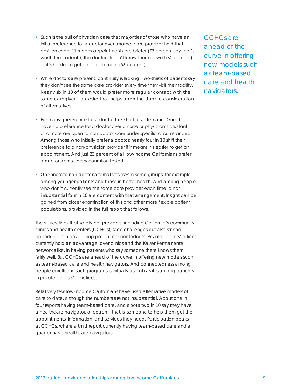- Such is the pull of physician care that majorities of those who have an initial preference for a doctor over another care provider hold that position even if it means appointments are briefer (73 percent say that's worth the tradeoff), the doctor doesn't know them as well (60 percent), or it's harder to get an appointment (56 percent).
- While doctors are present, continuity is lacking. Two-thirds of patients say they don't see the same care provider every time they visit their facility. Nearly six in 10 of them would prefer more regular contact with the same caregiver – a desire that helps open the door to consideration of alternatives.
- For many, preference for a doctor falls short of a demand. One-third have no preference for a doctor over a nurse or physician's assistant, and more are open to non-doctor care under specific circumstances. Among those who initially prefer a doctor, nearly four in 10 shift their preference to a non-physician provider if it means it's easier to get an appointment. And just 23 percent of all low-income Californians prefer a doctor across every condition tested.
- Openness to non-doctor alternatives rises in some groups, for example among younger patients and those in better health. And among people who don't currently see the same care provider each time, a notinsubstantial four in 10 are content with that arrangement. Insight can be gained from closer examination of this and other more flexible patient populations, provided in the full report that follows.

The survey finds that safety-net providers, including California's community clinics and health centers (CCHCs), face challenges but also striking opportunities in developing patient connectedness. Private doctors' offices currently hold an advantage, over clinics and the Kaiser Permanente network alike, in having patients who say someone there knows them fairly well. But CCHCs are ahead of the curve in offering new models such as team-based care and health navigators. And connectedness among people enrolled in such programs is virtually as high as it is among patients in private doctors' practices.

Relatively few low-income Californians have used alternative models of care to date, although the numbers are not insubstantial. About one in four reports having team-based care, and about two in 10 say they have a healthcare navigator, or coach – that is, someone to help them get the appointments, information, and services they need. Participation peaks at CCHCs, where a third report currently having team-based care and a quarter have healthcare navigators.

CCHCs are ahead of the curve in offering new models such as team-based care and health navigators.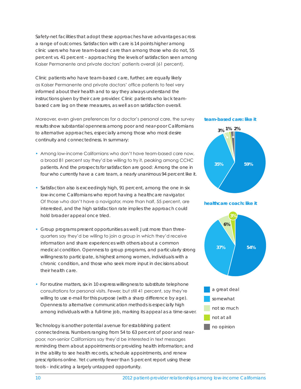Safety-net facilities that adopt these approaches have advantages across a range of outcomes. Satisfaction with care is 14 points higher among clinic users who have team-based care than among those who do not, 55 percent vs. 41 percent – approaching the levels of satisfaction seen among Kaiser Permanente and private doctors' patients overall (61 percent).

Clinic patients who have team-based care, further, are equally likely as Kaiser Permanente and private doctors' office patients to feel very informed about their health and to say they always understand the instructions given by their care provider. Clinic patients who lack teambased care lag on these measures, as well as on satisfaction overall.

Moreover, even given preferences for a doctor's personal care, the survey results show substantial openness among poor and near-poor Californians to alternative approaches, especially among those who most desire continuity and connectedness. In summary:

- Among low-income Californians who don't have team-based care now, a broad 81 percent say they'd be willing to try it, peaking among CCHC patients. And the prospects for satisfaction are good: Among the one in four who currently have a care team, a nearly unanimous 94 percent like it.
- Satisfaction also is exceedingly high, 91 percent, among the one in six low-income Californians who report having a healthcare navigator. Of those who don't have a navigator, more than half, 55 percent, are interested, and the high satisfaction rate implies the approach could hold broader appeal once tried.
- Group programs present opportunities as well: Just more than threequarters say they'd be willing to join a group in which they'd receive information and share experiences with others about a common medical condition. Openness to group programs, and particularly strong willingness to participate, is highest among women, individuals with a chronic condition, and those who seek more input in decisions about their health care.
- For routine matters, six in 10 express willingness to substitute telephone consultations for personal visits. Fewer, but still 41 percent, say they're willing to use e-mail for this purpose (with a sharp difference by age). Openness to alternative communication methods is especially high among individuals with a full-time job, marking its appeal as a time-saver.

Technology is another potential avenue for establishing patient connectedness. Numbers ranging from 54 to 63 percent of poor and nearpoor, non-senior Californians say they'd be interested in text messages reminding them about appointments or providing health information; and in the ability to see health records, schedule appointments, and renew prescriptions online. Yet currently fewer than 5 percent report using these tools – indicating a largely untapped opportunity.

#### **team-based care: like it**







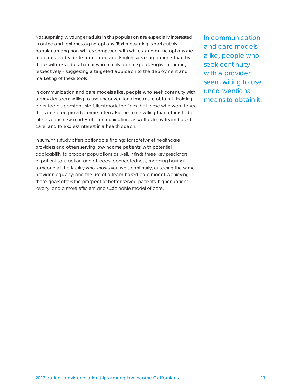Not surprisingly, younger adults in this population are especially interested in online and text-messaging options. Text messaging is particularly popular among non-whites compared with whites, and online options are more desired by better-educated and English-speaking patients than by those with less education or who mainly do not speak English at home, respectively – suggesting a targeted approach to the deployment and marketing of these tools.

In communication and care models alike, people who seek continuity with a provider seem willing to use unconventional means to obtain it. Holding other factors constant, statistical modeling finds that those who want to see the same care provider more often also are more willing than others to be interested in new modes of communication, as well as to try team-based care, and to express interest in a health coach.

In sum, this study offers actionable findings for safety-net healthcare providers and others serving low-income patients, with potential applicability to broader populations as well. It finds three key predictors of patient satisfaction and efficacy: connectedness, meaning having someone at the facility who knows you well; continuity, or seeing the same provider regularly; and the use of a team-based care model. Achieving these goals offers the prospect of better-served patients, higher patient loyalty, and a more efficient and sustainable model of care.

In communication and care models alike, people who seek continuity with a provider seem willing to use unconventional means to obtain it.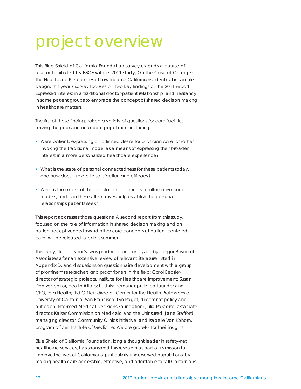# project overview

This Blue Shield of California Foundation survey extends a course of research initiated by BSCF with its 2011 study, *On the Cusp of Change: The Healthcare Preferences of Low-Income Californians*. Identical in sample design, this year's survey focuses on two key findings of the 2011 report: Expressed interest in a traditional doctor-patient relationship, and hesitancy in some patient groups to embrace the concept of shared decision making in healthcare matters.

The first of these findings raised a variety of questions for care facilities serving the poor and near-poor population, including:

- Were patients expressing an affirmed desire for physician care, or rather invoking the traditional model as a means of expressing their broader interest in a more personalized healthcare experience?
- What is the state of personal connectedness for these patients today, and how does it relate to satisfaction and efficacy?
- What is the extent of this population's openness to alternative care models, and can these alternatives help establish the personal relationships patients seek?

This report addresses those questions. A second report from this study, focused on the role of information in shared decision making and on patient receptiveness toward other core concepts of patient-centered care, will be released later this summer.

This study, like last year's, was produced and analyzed by Langer Research Associates after an extensive review of relevant literature, listed in Appendix D, and discussions on questionnaire development with a group of prominent researchers and practitioners in the field: Carol Beasley, director of strategic projects, Institute for Healthcare Improvement; Susan Dentzer, editor, *Health Affairs*; Rushika Fernandopulle, co-founder and CEO, Iora Health; Ed O'Neil, director, Center for the Health Professions at University of California, San Francisco; Lyn Paget, director of policy and outreach, Informed Medical Decisions Foundation; Julia Paradise, associate director, Kaiser Commission on Medicaid and the Uninsured; Jane Stafford, managing director, Community Clinics Initiative; and Isabelle Von Kohorn, program officer, Institute of Medicine. We are grateful for their insights.

Blue Shield of California Foundation, long a thought leader in safety-net healthcare services, has sponsored this research as part of its mission to improve the lives of Californians, particularly underserved populations, by making health care accessible, effective, and affordable for all Californians.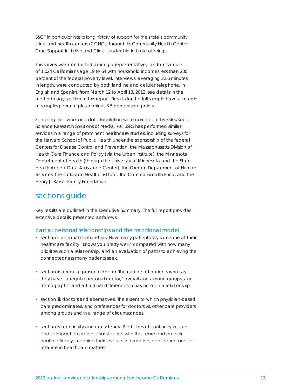BSCF in particular has a long history of support for the state's community clinic and health centers (CCHCs) through its Community Health Center Core Support Initiative and Clinic Leadership Institute offerings.

This survey was conducted among a representative, random sample of 1,024 Californians age 19 to 64 with household incomes less than 200 percent of the federal poverty level. Interviews, averaging 22.6 minutes in length, were conducted by both landline and cellular telephone, in English and Spanish, from March 12 to April 18, 2012; see details in the methodology section of this report. Results for the full sample have a margin of sampling error of plus or minus 3.5 percentage points.

Sampling, fieldwork and data tabulation were carried out by SSRS/Social Science Research Solutions of Media, Pa. SSRS has performed similar services in a range of prominent healthcare studies, including surveys for the Harvard School of Public Health under the sponsorship of the federal Centers for Disease Control and Prevention, the Massachusetts Division of Health Care Finance and Policy (via the Urban Institute), the Minnesota Department of Health (through the University of Minnesota and the State Health Access Data Assistance Center), the Oregon Department of Human Services, the Colorado Health Institute, The Commonwealth Fund, and the Henry J. Kaiser Family Foundation.

# sections guide

Key results are outlined in the Executive Summary. The full report provides extensive details, presented as follows:

### part a: personal relationships and the traditional model

- section i: personal relationships. How many patients say someone at their healthcare facility "knows you pretty well," compared with how many prioritize such a relationship, and an evaluation of paths to achieving the connectedness many patients seek.
- section ii: a regular personal doctor. The number of patients who say they have "a regular personal doctor," overall and among groups, and demographic and attitudinal differences in having such a relationship.
- section iii: doctors and alternatives. The extent to which physician-based care predominates, and preferences for doctors vs. other care providers among groups and in a range of circumstances.
- section iv: continuity and consistency. Predictors of continuity in care and its impact on patients' satisfaction with their care and on their health efficacy, meaning their levels of information, confidence and selfreliance in healthcare matters.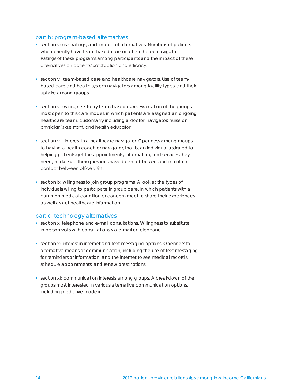### part b: program-based alternatives

- section v: use, ratings, and impact of alternatives. Numbers of patients who currently have team-based care or a healthcare navigator. Ratings of these programs among participants and the impact of these alternatives on patients' satisfaction and efficacy.
- section vi: team-based care and healthcare navigators. Use of teambased care and health system navigators among facility types, and their uptake among groups.
- section vii: willingness to try team-based care. Evaluation of the groups most open to this care model, in which patients are assigned an ongoing healthcare team, customarily including a doctor, navigator, nurse or physician's assistant, and health educator.
- section viii: interest in a healthcare navigator. Openness among groups to having a health coach or navigator, that is, an individual assigned to helping patients get the appointments, information, and services they need, make sure their questions have been addressed and maintain contact between office visits.
- section ix: willingness to join group programs. A look at the types of individuals willing to participate in group care, in which patients with a common medical condition or concern meet to share their experiences as well as get healthcare information.

#### part c: technology alternatives

- section x: telephone and e-mail consultations. Willingness to substitute in-person visits with consultations via e-mail or telephone.
- section xi: interest in internet and text-messaging options. Openness to alternative means of communication, including the use of text messaging for reminders or information, and the internet to see medical records, schedule appointments, and renew prescriptions.
- section xii: communication interests among groups. A breakdown of the groups most interested in various alternative communication options, including predictive modeling.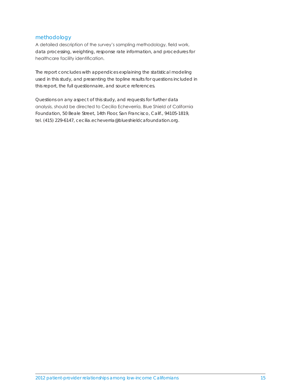## methodology

A detailed description of the survey's sampling methodology, field work, data processing, weighting, response rate information, and procedures for healthcare facility identification.

The report concludes with appendices explaining the statistical modeling used in this study, and presenting the topline results for questions included in this report, the full questionnaire, and source references.

Questions on any aspect of this study, and requests for further data analysis, should be directed to Cecilia Echeverría, Blue Shield of California Foundation, 50 Beale Street, 14th Floor, San Francisco, Calif., 94105-1819, tel. (415) 229-6147, cecilia.echeverria@blueshieldcafoundation.org.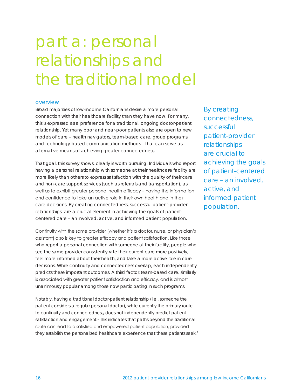# part a: personal relationships and the traditional model

#### overview

Broad majorities of low-income Californians desire a more personal connection with their healthcare facility than they have now. For many, this is expressed as a preference for a traditional, ongoing doctor-patient relationship. Yet many poor and near-poor patients also are open to new models of care – health navigators, team-based care, group programs, and technology-based communication methods – that can serve as alternative means of achieving greater connectedness.

That goal, this survey shows, clearly is worth pursuing. Individuals who report having a personal relationship with someone at their healthcare facility are more likely than others to express satisfaction with the quality of their care and non-care support services (such as referrals and transportation), as well as to exhibit greater personal health efficacy – having the information and confidence to take an active role in their own health and in their care decisions. By creating connectedness, successful patient-provider relationships are a crucial element in achieving the goals of patientcentered care – an involved, active, and informed patient population.

Continuity with the same provider (whether it's a doctor, nurse, or physician's assistant) also is key to greater efficacy and patient satisfaction. Like those who report a personal connection with someone at their facility, people who see the same provider consistently rate their current care more positively, feel more informed about their health, and take a more active role in care decisions. While continuity and connectedness overlap, each independently predicts these important outcomes. A third factor, team-based care, similarly is associated with greater patient satisfaction and efficacy, and is almost unanimously popular among those now participating in such programs.

Notably, having a traditional doctor-patient relationship (i.e., someone the patient considers a regular personal doctor), while currently the primary route to continuity and connectedness, does not independently predict patient satisfaction and engagement.<sup>1</sup> This indicates that paths beyond the traditional route can lead to a satisfied and empowered patient population, provided they establish the personalized healthcare experience that these patients seek.<sup>2</sup>

By creating connectedness, successful patient-provider relationships are crucial to achieving the goals of patient-centered care – an involved, active, and informed patient population.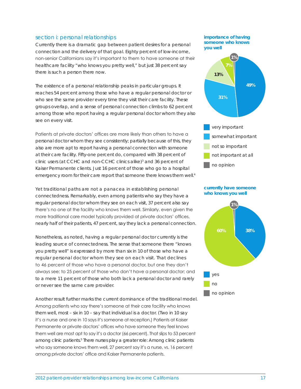### section i: personal relationships

Currently there is a dramatic gap between patient desires for a personal connection and the delivery of that goal. Eighty percent of low-income, non-senior Californians say it's important to them to have someone at their healthcare facility "who knows you pretty well," but just 38 percent say there is such a person there now.

The existence of a personal relationship peaks in particular groups. It reaches 54 percent among those who have a regular personal doctor or who see the same provider every time they visit their care facility. These groups overlap, and a sense of personal connection climbs to 62 percent among those who report having a regular personal doctor whom they also see on every visit.

Patients at private doctors' offices are more likely than others to have a personal doctor whom they see consistently; partially because of this, they also are more apt to report having a personal connection with someone at their care facility. Fifty-one percent do, compared with 38 percent of clinic users (at CCHC and non-CCHC clinics alike)<sup>3</sup> and 36 percent of Kaiser Permanente clients. Just 16 percent of those who go to a hospital emergency room for their care report that someone there knows them well.<sup>4</sup>

Yet traditional paths are not a panacea in establishing personal connectedness. Remarkably, even among patients who say they have a regular personal doctor whom they see on each visit, 37 percent also say there's no one at the facility who knows them well. Similarly, even given the more traditional care model typically provided at private doctors' offices, nearly half of their patients, 47 percent, say they lack a personal connection.

Nonetheless, as noted, having a regular personal doctor currently is the leading source of connectedness. The sense that someone there "knows you pretty well" is expressed by more than six in 10 of those who have a regular personal doctor whom they see on each visit. That declines to 46 percent of those who have a personal doctor, but one they don't always see; to 25 percent of those who don't have a personal doctor; and to a mere 11 percent of those who both lack a personal doctor and rarely or never see the same care provider.

Another result further marks the current dominance of the traditional model. Among patients who say there's someone at their care facility who knows them well, most – six in 10 – say that individual is a doctor. (Two in 10 say it's a nurse and one in 10 says it's someone at reception.) Patients at Kaiser Permanente or private doctors' offices who have someone they feel knows them well are most apt to say it's a doctor (66 percent). That slips to 53 percent among clinic patients.<sup>5</sup> There nurses play a greater role: Among clinic patients who say someone knows them well, 27 percent say it's a nurse, vs. 16 percent among private doctors' office and Kaiser Permanente patients.

**importance of having someone who knows you well**





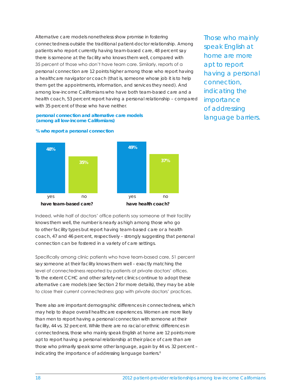Alternative care models nonetheless show promise in fostering connectedness outside the traditional patient-doctor relationship. Among patients who report currently having team-based care, 48 percent say there is someone at the facility who knows them well, compared with 35 percent of those who don't have team care. Similarly, reports of a personal connection are 12 points higher among those who report having a healthcare navigator or coach (that is, someone whose job it is to help them get the appointments, information, and services they need). And among low-income Californians who have both team-based care and a health coach, 53 percent report having a personal relationship – compared with 35 percent of those who have neither.

Those who mainly speak English at home are more apt to report having a personal connection, indicating the importance of addressing language barriers.





**% who report a personal connection**

Indeed, while half of doctors' office patients say someone at their facility knows them well, the number is nearly as high among those who go to other facility types but report having team-based care or a health coach, 47 and 46 percent, respectively – strongly suggesting that personal connection can be fostered in a variety of care settings.

Specifically among clinic patients who have team-based care, 51 percent say someone at their facility knows them well – exactly matching the level of connectedness reported by patients at private doctors' offices. To the extent CCHC and other safety-net clinics continue to adopt these alternative care models (see Section 2 for more details), they may be able to close their current connectedness gap with private doctors' practices.

There also are important demographic differences in connectedness, which may help to shape overall healthcare experiences. Women are more likely than men to report having a personal connection with someone at their facility, 44 vs. 32 percent. While there are no racial or ethnic differences in connectedness, those who mainly speak English at home are 12 points more apt to report having a personal relationship at their place of care than are those who primarily speak some other language, again by 44 vs. 32 percent – indicating the importance of addressing language barriers.<sup>6</sup>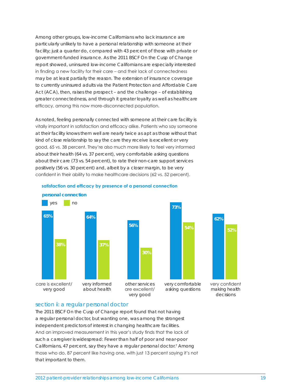Among other groups, low-income Californians who lack insurance are particularly unlikely to have a personal relationship with someone at their facility; just a quarter do, compared with 43 percent of those with private or government-funded insurance. As the 2011 BSCF *On the Cusp of Change* report showed, uninsured low-income Californians are especially interested in finding a new facility for their care – and their lack of connectedness may be at least partially the reason. The extension of insurance coverage to currently uninsured adults via the Patient Protection and Affordable Care Act (ACA), then, raises the prospect – and the challenge – of establishing greater connectedness, and through it greater loyalty as well as healthcare efficacy, among this now more-disconnected population.

As noted, feeling personally connected with someone at their care facility is vitally important in satisfaction and efficacy alike. Patients who say someone at their facility knows them well are nearly twice as apt as those without that kind of close relationship to say the care they receive is excellent or very good, 65 vs. 38 percent. They're also much more likely to feel very informed about their health (64 vs. 37 percent), very comfortable asking questions about their care (73 vs. 54 percent), to rate their non-care support services positively (56 vs. 30 percent) and, albeit by a closer margin, to be very confident in their ability to make healthcare decisions (62 vs. 52 percent).





very confident making health decisions

**62%**

**52%**

#### section ii: a regular personal doctor

The 2011 BSCF *On the Cusp of Change* report found that not having a regular personal doctor, but wanting one, was among the strongest independent predictors of interest in changing healthcare facilities. And an improved measurement in this year's study finds that the lack of such a caregiver is widespread: Fewer than half of poor and near-poor Californians, 47 percent, say they have a regular personal doctor.<sup>7</sup> Among those who do, 87 percent like having one, with just 13 percent saying it's not that important to them.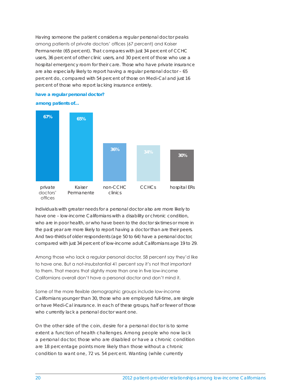Having someone the patient considers a regular personal doctor peaks among patients of private doctors' offices (67 percent) and Kaiser Permanente (65 percent). That compares with just 34 percent of CCHC users, 36 percent of other clinic users, and 30 percent of those who use a hospital emergency room for their care. Those who have private insurance are also especially likely to report having a regular personal doctor – 65 percent do, compared with 54 percent of those on Medi-Cal and just 16 percent of those who report lacking insurance entirely.

#### **have a regular personal doctor?**

**among patients of…**



Individuals with greater needs for a personal doctor also are more likely to have one - low-income Californians with a disability or chronic condition, who are in poor health, or who have been to the doctor six times or more in the past year are more likely to report having a doctor than are their peers. And two-thirds of older respondents (age 50 to 64) have a personal doctor, compared with just 34 percent of low-income adult Californians age 19 to 29.

Among those who lack a regular personal doctor, 58 percent say they'd like to have one. But a not-insubstantial 41 percent say it's not that important to them. That means that slightly more than one in five low-income Californians overall don't have a personal doctor and don't mind it.

Some of the more flexible demographic groups include low-income Californians younger than 30, those who are employed full-time, are single or have Medi-Cal insurance. In each of these groups, half or fewer of those who currently lack a personal doctor want one.

On the other side of the coin, desire for a personal doctor is to some extent a function of health challenges. Among people who now lack a personal doctor, those who are disabled or have a chronic condition are 18 percentage points more likely than those without a chronic condition to want one, 72 vs. 54 percent. Wanting (while currently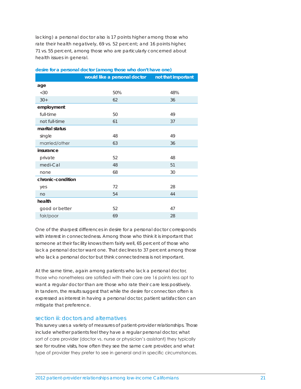lacking) a personal doctor also is 17 points higher among those who rate their health negatively, 69 vs. 52 percent; and 16 points higher, 71 vs. 55 percent, among those who are particularly concerned about health issues in general.

|                   | would like a personal doctor | not that important |
|-------------------|------------------------------|--------------------|
| age               |                              |                    |
| <30               | 50%                          | 48%                |
| $30+$             | 62                           | 36                 |
| employment        |                              |                    |
| full-time         | 50                           | 49                 |
| not full-time     | 61                           | 37                 |
| marital status    |                              |                    |
| single            | 48                           | 49                 |
| married/other     | 63                           | 36                 |
| insurance         |                              |                    |
| private           | 52                           | 48                 |
| medi-Cal          | 48                           | 51                 |
| none              | 68                           | 30                 |
| chronic-condition |                              |                    |
| yes               | 72                           | 28                 |
| no                | 54                           | 44                 |
| health            |                              |                    |
| good or better    | 52                           | 47                 |
| fair/poor         | 69                           | 28                 |
|                   |                              |                    |

#### **desire for a personal doctor (among those who don't have one)**

One of the sharpest differences in desire for a personal doctor corresponds with interest in connectedness. Among those who think it is important that someone at their facility knows them fairly well, 65 percent of those who lack a personal doctor want one. That declines to 37 percent among those who lack a personal doctor but think connectedness is not important.

At the same time, again among patients who lack a personal doctor, those who nonetheless are satisfied with their care are 16 points less apt to want a regular doctor than are those who rate their care less positively. In tandem, the results suggest that while the desire for connection often is expressed as interest in having a personal doctor, patient satisfaction can mitigate that preference.

#### section iii: doctors and alternatives

This survey uses a variety of measures of patient-provider relationships. Those include whether patients feel they have a regular personal doctor, what sort of care provider (doctor vs. nurse or physician's assistant) they typically see for routine visits, how often they see the same care provider, and what type of provider they prefer to see in general and in specific circumstances.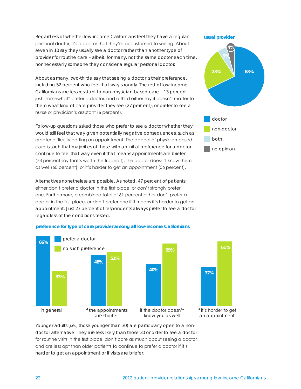Regardless of whether low-income Californians feel they have a regular personal doctor, it's a doctor that they're accustomed to seeing. About seven in 10 say they usually see a doctor rather than another type of provider for routine care – albeit, for many, not the same doctor each time, nor necessarily someone they consider a regular personal doctor.

About as many, two-thirds, say that seeing a doctor is their preference, including 52 percent who feel that way strongly. The rest of low-income Californians are less resistant to non-physician-based care – 13 percent just "somewhat" prefer a doctor, and a third either say it doesn't matter to them what kind of care provider they see (27 percent), or prefer to see a nurse or physician's assistant (6 percent).

Follow-up questions asked those who prefer to see a doctor whether they would still feel that way given potentially negative consequences, such as greater difficulty getting an appointment. The appeal of physician-based care is such that majorities of those with an initial preference for a doctor continue to feel that way even if that means appointments are briefer (73 percent say that's worth the tradeoff), the doctor doesn't know them as well (60 percent), or it's harder to get an appointment (56 percent).

Alternatives nonetheless are possible. As noted, 47 percent of patients either don't prefer a doctor in the first place, or don't strongly prefer one. Furthermore, a combined total of 61 percent either don't prefer a doctor in the first place, or don't prefer one if it means it's harder to get an appointment. Just 23 percent of respondents always prefer to see a doctor, regardless of the conditions tested.



#### **preference for type of care provider among all low-income Californians**

Younger adults (i.e., those younger than 30) are particularly open to a nondoctor alternative. They are less likely than those 30 or older to see a doctor for routine visits in the first place, don't care as much about seeing a doctor, and are less apt than older patients to continue to prefer a doctor if it's harder to get an appointment or if visits are briefer.

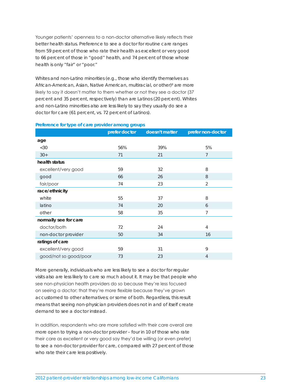Younger patients' openness to a non-doctor alternative likely reflects their better health status. Preference to see a doctor for routine care ranges from 59 percent of those who rate their health as excellent or very good to 66 percent of those in "good" health, and 74 percent of those whose health is only "fair" or "poor."

Whites and non-Latino minorities (e.g., those who identify themselves as African-American, Asian, Native American, multiracial, or other)<sup>8</sup> are more likely to say it doesn't matter to them whether or not they see a doctor (37 percent and 35 percent, respectively) than are Latinos (20 percent). Whites and non-Latino minorities also are less likely to say they usually do see a doctor for care (61 percent, vs. 72 percent of Latinos).

#### **Preference for type of care provider among groups**

|                       | prefer doctor | doesn't matter | prefer non-doctor |
|-----------------------|---------------|----------------|-------------------|
| age                   |               |                |                   |
| <30                   | 56%           | 39%            | 5%                |
| $30+$                 | 71            | 21             | $\overline{7}$    |
| health status         |               |                |                   |
| excellent/very good   | 59            | 32             | 8                 |
| good                  | 66            | 26             | 8                 |
| fair/poor             | 74            | 23             | $\overline{2}$    |
| race/ethnicity        |               |                |                   |
| white                 | 55            | 37             | 8                 |
| latino                | 74            | 20             | 6                 |
| other                 | 58            | 35             | $\overline{7}$    |
| normally see for care |               |                |                   |
| doctor/both           | 72            | 24             | 4                 |
| non-doctor provider   | 50            | 34             | 16                |
| ratings of care       |               |                |                   |
| excellent/very good   | 59            | 31             | 9                 |
| good/not so good/poor | 73            | 23             | 4                 |

More generally, individuals who are less likely to see a doctor for regular visits also are less likely to care so much about it. It may be that people who see non-physician health providers do so because they're less focused on seeing a doctor; that they're more flexible because they've grown accustomed to other alternatives; or some of both. Regardless, this result means that seeing non-physician providers does not in and of itself create demand to see a doctor instead.

In addition, respondents who are more satisfied with their care overall are more open to trying a non-doctor provider – four in 10 of those who rate their care as excellent or very good say they'd be willing (or even prefer) to see a non-doctor provider for care, compared with 27 percent of those who rate their care less positively.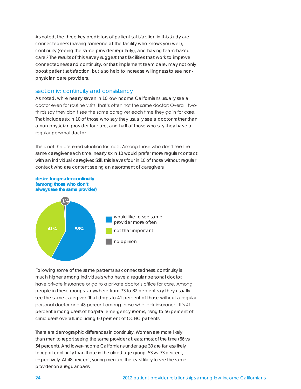As noted, the three key predictors of patient satisfaction in this study are connectedness (having someone at the facility who knows you well), continuity (seeing the same provider regularly), and having team-based care.<sup>9</sup> The results of this survey suggest that facilities that work to improve connectedness and continuity, or that implement team care, may not only boost patient satisfaction, but also help to increase willingness to see nonphysician care providers.

#### section iv: continuity and consistency

As noted, while nearly seven in 10 low-income Californians usually see a doctor even for routine visits, that's often not the same doctor: Overall, twothirds say they don't see the same caregiver each time they go in for care. That includes six in 10 of those who say they usually see a doctor rather than a non-physician provider for care, and half of those who say they have a regular personal doctor.

This is not the preferred situation for most. Among those who don't see the same caregiver each time, nearly six in 10 would prefer more regular contact with an individual caregiver. Still, this leaves four in 10 of those without regular contact who are content seeing an assortment of caregivers.





Following some of the same patterns as connectedness, continuity is much higher among individuals who have a regular personal doctor, have private insurance or go to a private doctor's office for care. Among people in these groups, anywhere from 73 to 82 percent say they usually see the same caregiver. That drops to 41 percent of those without a regular personal doctor and 43 percent among those who lack insurance. It's 41 percent among users of hospital emergency rooms, rising to 56 percent of clinic users overall, including 60 percent of CCHC patients.

There are demographic differences in continuity. Women are more likely than men to report seeing the same provider at least most of the time (66 vs. 54 percent). And lower-income Californians under age 30 are far less likely to report continuity than those in the oldest age group, 53 vs. 73 percent, respectively. At 48 percent, young men are the least likely to see the same provider on a regular basis.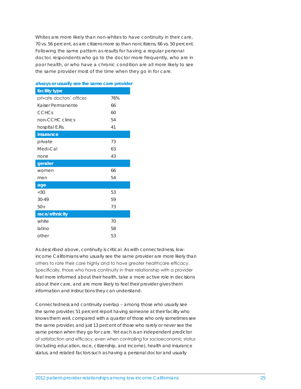Whites are more likely than non-whites to have continuity in their care, 70 vs. 56 percent, as are citizens more so than noncitizens, 66 vs. 50 percent. Following the same pattern as results for having a regular personal doctor, respondents who go to the doctor more frequently, who are in poor health, or who have a chronic condition are all more likely to see the same provider most of the time when they go in for care.

| facility type            |     |
|--------------------------|-----|
| private doctors' offices | 76% |
| Kaiser Permanente        | 66  |
| <b>CCHCs</b>             | 60  |
| non-CCHC clinics         | 54  |
| hospital E.Rs.           | 41  |
| insurance                |     |
| private                  | 73  |
| Medi-Cal                 | 63  |
| none                     | 43  |
| gender                   |     |
| women                    | 66  |
| men                      | 54  |
| age                      |     |
| <30                      | 53  |
| $30 - 49$                | 59  |
| $50+$                    | 73  |
| race/ethnicity           |     |
| white                    | 70  |
| latino                   | 58  |
| other                    | 53  |

**always or usually see the same care provider**

As described above, continuity is critical. As with connectedness, lowincome Californians who usually see the same provider are more likely than others to rate their care highly and to have greater healthcare efficacy. Specifically, those who have continuity in their relationship with a provider feel more informed about their health, take a more active role in decisions about their care, and are more likely to feel their provider gives them information and instructions they can understand.

Connectedness and continuity overlap – among those who usually see the same provider, 51 percent report having someone at their facility who knows them well, compared with a quarter of those who only sometimes see the same provider, and just 13 percent of those who rarely or never see the same person when they go for care. Yet each is an independent predictor of satisfaction and efficacy, even when controlling for socioeconomic status (including education, race, citizenship, and income), health and insurance status, and related factors such as having a personal doctor and usually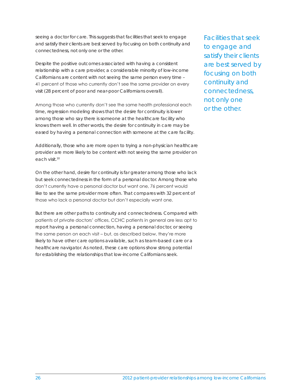seeing a doctor for care. This suggests that facilities that seek to engage and satisfy their clients are best served by focusing on both continuity and connectedness, not only one or the other.

Despite the positive outcomes associated with having a consistent relationship with a care provider, a considerable minority of low-income Californians are content with not seeing the same person every time – 41 percent of those who currently don't see the same provider on every visit (28 percent of poor and near-poor Californians overall).

Among those who currently don't see the same health professional each time, regression modeling shows that the desire for continuity is lower among those who say there is someone at the healthcare facility who knows them well. In other words, the desire for continuity in care may be eased by having a personal connection with someone at the care facility.

Additionally, those who are more open to trying a non-physician healthcare provider are more likely to be content with not seeing the same provider on each visit.<sup>10</sup>

On the other hand, desire for continuity is far greater among those who lack but seek connectedness in the form of a personal doctor. Among those who don't currently have a personal doctor but want one, 76 percent would like to see the same provider more often. That compares with 32 percent of those who lack a personal doctor but don't especially want one.

But there are other paths to continuity and connectedness. Compared with patients of private doctors' offices, CCHC patients in general are less apt to report having a personal connection, having a personal doctor, or seeing the same person on each visit – but, as described below, they're more likely to have other care options available, such as team-based care or a healthcare navigator. As noted, these care options show strong potential for establishing the relationships that low-income Californians seek.

Facilities that seek to engage and satisfy their clients are best served by focusing on both continuity and connectedness, not only one or the other.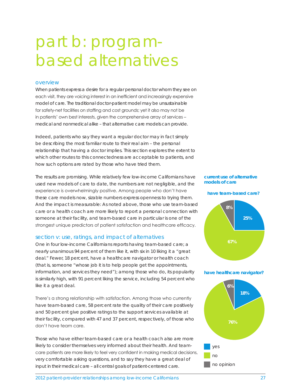# part b: programbased alternatives

#### overview

When patients express a desire for a regular personal doctor whom they see on each visit, they are voicing interest in an inefficient and increasingly expensive model of care. The traditional doctor-patient model may be unsustainable for safety-net facilities on staffing and cost grounds; yet it also may not be in patients' own best interests, given the comprehensive array of services – medical and nonmedical alike – that alternative care models can provide.

Indeed, patients who say they want a regular doctor may in fact simply be describing the most familiar route to their real aim – the personal relationship that having a doctor implies. This section explores the extent to which other routes to this connectedness are acceptable to patients, and how such options are rated by those who have tried them.

The results are promising. While relatively few low-income Californians have used new models of care to date, the numbers are not negligible, and the experience is overwhelmingly positive. Among people who don't have these care models now, sizable numbers express openness to trying them. And the impact is measurable: As noted above, those who use team-based care or a health coach are more likely to report a personal connection with someone at their facility, and team-based care in particular is one of the strongest unique predictors of patient satisfaction and healthcare efficacy.

### section v: use, ratings, and impact of alternatives

One in four low-income Californians reports having team-based care; a nearly unanimous 94 percent of them like it, with six in 10 liking it a "great deal." Fewer, 18 percent, have a healthcare navigator or health coach (that is, someone "whose job it is to help people get the appointments, information, and services they need"); among those who do, its popularity is similarly high, with 91 percent liking the service, including 54 percent who like it a great deal.

There's a strong relationship with satisfaction. Among those who currently have team-based care, 58 percent rate the quality of their care positively and 50 percent give positive ratings to the support services available at their facility, compared with 47 and 37 percent, respectively, of those who don't have team care.

Those who have either team-based care or a health coach also are more likely to consider themselves very informed about their health. And teamcare patients are more likely to feel very confident in making medical decisions, very comfortable asking questions, and to say they have a great deal of input in their medical care – all central goals of patient-centered care.

#### **current use of alternative models of care**







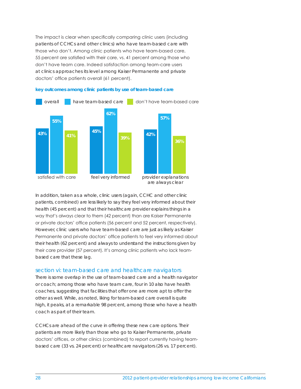The impact is clear when specifically comparing clinic users (including patients of CCHCs and other clinics) who have team-based care with those who don't. Among clinic patients who have team-based care, 55 percent are satisfied with their care, vs. 41 percent among those who don't have team care. Indeed satisfaction among team-care users at clinics approaches its level among Kaiser Permanente and private doctors' office patients overall (61 percent).



## **key outcomes among clinic patients by use of team-based care**

In addition, taken as a whole, clinic users (again, CCHC and other clinic patients, combined) are less likely to say they feel very informed about their health (45 percent) and that their healthcare provider explains things in a way that's always clear to them (42 percent) than are Kaiser Permanente or private doctors' office patients (56 percent and 52 percent, respectively). However, clinic users who have team-based care are just as likely as Kaiser Permanente and private doctors' office patients to feel very informed about their health (62 percent) and always to understand the instructions given by their care provider (57 percent). It's among clinic patients who lack teambased care that these lag.

### section vi: team-based care and healthcare navigators

There is some overlap in the use of team-based care and a health navigator or coach; among those who have team care, four in 10 also have health coaches, suggesting that facilities that offer one are more apt to offer the other as well. While, as noted, liking for team-based care overall is quite high, it peaks, at a remarkable 98 percent, among those who have a health coach as part of their team.

CCHCs are ahead of the curve in offering these new care options. Their patients are more likely than those who go to Kaiser Permanente, private doctors' offices, or other clinics (combined) to report currently having teambased care (33 vs. 24 percent) or healthcare navigators (26 vs. 17 percent).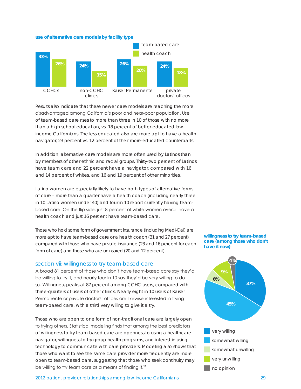**use of alternative care models by facility type**



Results also indicate that these newer care models are reaching the more disadvantaged among California's poor and near-poor population. Use of team-based care rises to more than three in 10 of those with no more than a high school education, vs. 18 percent of better-educated lowincome Californians. The less-educated also are more apt to have a health navigator, 23 percent vs. 12 percent of their more-educated counterparts.

In addition, alternative care models are more often used by Latinos than by members of other ethnic and racial groups. Thirty-two percent of Latinos have team care and 22 percent have a navigator, compared with 16 and 14 percent of whites, and 16 and 19 percent of other minorities.

Latino women are especially likely to have both types of alternative forms of care – more than a quarter have a health coach (including nearly three in 10 Latino women under 40) and four in 10 report currently having teambased care. On the flip side, just 8 percent of white women overall have a health coach and just 16 percent have team-based care.

Those who hold some form of government insurance (including Medi-Cal) are more apt to have team-based care or a health coach (31 and 27 percent) compared with those who have private insurance (23 and 16 percent for each form of care) and those who are uninsured (20 and 12 percent).

#### section vii: willingness to try team-based care

A broad 81 percent of those who don't have team-based care say they'd be willing to try it, and nearly four in 10 say they'd be very willing to do so. Willingness peaks at 87 percent among CCHC users, compared with three-quarters of users of other clinics. Nearly eight in 10 users of Kaiser Permanente or private doctors' offices are likewise interested in trying team-based care, with a third very willing to give it a try.

Those who are open to one form of non-traditional care are largely open to trying others. Statistical modeling finds that among the best predictors of willingness to try team-based care are openness to using a healthcare navigator, willingness to try group health programs, and interest in using technology to communicate with care providers. Modeling also shows that those who want to see the same care provider more frequently are more open to team-based care, suggesting that those who seek continuity may be willing to try team care as a means of finding it.<sup>11</sup>

**willingness to try team-based care (among those who don't have it now)**



2012 patient-provider relationships among low-income Californians 29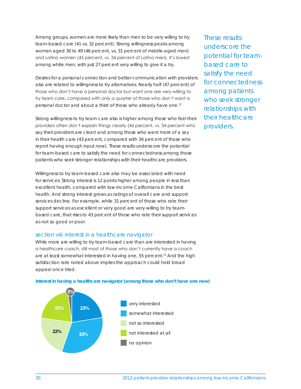Among groups, women are more likely than men to be very willing to try team-based care (41 vs. 32 percent). Strong willingness peaks among women aged 30 to 49 (46 percent, vs. 31 percent of middle-aged men) and Latino women (45 percent, vs. 34 percent of Latino men). It's lowest among white men, with just 27 percent very willing to give it a try.

Desires for a personal connection and better communication with providers also are related to willingness to try alternatives. Nearly half (47 percent) of those who don't have a personal doctor but want one are very willing to try team care, compared with only a quarter of those who don't want a personal doctor and about a third of those who already have one.12

Strong willingness to try team care also is higher among those who feel their providers often don't explain things clearly (46 percent, vs. 34 percent who say their providers are clear) and among those who want more of a say in their health care (43 percent, compared with 34 percent of those who report having enough input now). These results underscore the potential for team-based care to satisfy the need for connectedness among those patients who seek stronger relationships with their healthcare providers.

Willingness to try team-based care also may be associated with need for services: Strong interest is 12 points higher among people in less than excellent health, compared with low-income Californians in the best health. And strong interest grows as ratings of overall care and support services decline. For example, while 31 percent of those who rate their support services as excellent or very good are very willing to try teambased care, that rises to 43 percent of those who rate their support services as not so good or poor.

### section viii: interest in a healthcare navigator

While more are willing to try team-based care than are interested in having a healthcare coach, still most of those who don't currently have a coach are at least somewhat interested in having one, 55 percent.<sup>13</sup> And the high satisfaction rate noted above implies the approach could hold broad appeal once tried.



#### **interest in having a healthcare navigator (among those who don't have one now)**

These results underscore the potential for teambased care to satisfy the need for connectedness among patients who seek stronger relationships with their healthcare providers.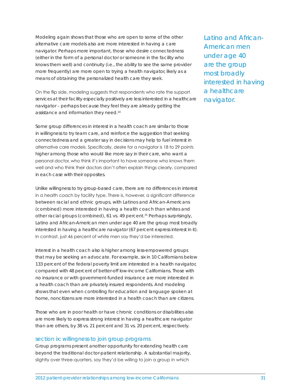Modeling again shows that those who are open to some of the other alternative care models also are more interested in having a care navigator. Perhaps more important, those who desire connectedness (either in the form of a personal doctor or someone in the facility who knows them well) and continuity (i.e., the ability to see the same provider more frequently) are more open to trying a health navigator, likely as a means of obtaining the personalized health care they seek.

On the flip side, modeling suggests that respondents who rate the support services at their facility especially positively are less interested in a healthcare navigator – perhaps because they feel they are already getting the assistance and information they need.14

Some group differences in interest in a health coach are similar to those in willingness to try team care, and reinforce the suggestion that seeking connectedness and a greater say in decisions may help to fuel interest in alternative care models. Specifically, desire for a navigator is 18 to 29 points higher among those who would like more say in their care, who want a personal doctor, who think it's important to have someone who knows them well and who think their doctors don't often explain things clearly, compared in each case with their opposites.

Unlike willingness to try group-based care, there are no differences in interest in a health coach by facility type. There is, however, a significant difference between racial and ethnic groups, with Latinos and African-Americans (combined) more interested in having a health coach than whites and other racial groups (combined), 61 vs. 49 percent.<sup>15</sup> Perhaps surprisingly, Latino and African-American men under age 40 are the group most broadly interested in having a healthcare navigator (67 percent express interest in it). In contrast, just 46 percent of white men say they'd be interested.

Interest in a health coach also is higher among less-empowered groups that may be seeking an advocate. For example, six in 10 Californians below 133 percent of the federal poverty limit are interested in a health navigator, compared with 48 percent of better-off low-income Californians. Those with no insurance or with government-funded insurance are more interested in a health coach than are privately insured respondents. And modeling shows that even when controlling for education and language spoken at home, noncitizens are more interested in a health coach than are citizens.

Those who are in poor health or have chronic conditions or disabilities also are more likely to express strong interest in having a healthcare navigator than are others, by 38 vs. 21 percent and 31 vs. 20 percent, respectively.

### section ix: willingness to join group programs

Group programs present another opportunity for extending health care beyond the traditional doctor-patient relationship. A substantial majority, slightly over three-quarters, say they'd be willing to join a group in which

Latino and African-American men under age 40 are the group most broadly interested in having a healthcare navigator.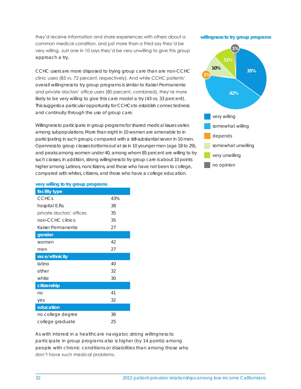they'd receive information and share experiences with others about a common medical condition, and just more than a third say they'd be very willing. Just one in 10 says they'd be very unwilling to give this group approach a try.

CCHC users are more disposed to trying group care than are non-CCHC clinic users (83 vs. 72 percent, respectively). And while CCHC patients' overall willingness to try group programs is similar to Kaiser Permanente and private doctors' office users (80 percent, combined), they're more likely to be very willing to give this care model a try (43 vs. 33 percent). This suggests a particular opportunity for CCHCs to establish connectedness and continuity through the use of group care.

Willingness to participate in group programs for shared medical issues varies among subpopulations. More than eight in 10 women are amenable to in participating in such groups, compared with a still-substantial seven in 10 men. Openness to group classes bottoms out at six in 10 younger men (age 18 to 29), and peaks among women under 40, among whom 85 percent are willing to try such classes. In addition, strong willingness to try group care is about 10 points higher among Latinos, noncitizens, and those who have not been to college, compared with whites, citizens, and those who have a college education.

**willingness to try group programs**



#### **very willing to try group programs**

| facility type            |     |
|--------------------------|-----|
| <b>CCHCs</b>             | 43% |
| hospital E.Rs.           | 38  |
| private doctors' offices | 35  |
| non-CCHC clinics         | 35  |
| Kaiser Permanente        | 27  |
| gender                   |     |
| women                    | 42  |
| men                      | 27  |
| race/ethnicity           |     |
| latino                   | 40  |
| other                    | 32  |
| white                    | 30  |
| citizenship              |     |
| no                       | 41  |
| yes                      | 32  |
| education                |     |
| no college degree        | 36  |
| college graduate         | 25  |

As with interest in a healthcare navigator, strong willingness to participate in group programs also is higher (by 14 points) among people with chronic conditions or disabilities than among those who don't have such medical problems.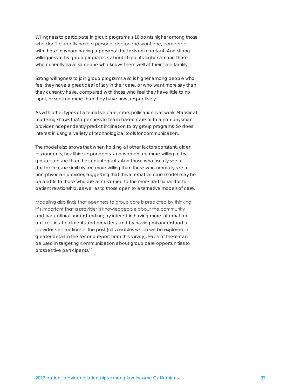Willingness to participate in group programs is 16 points higher among those who don't currently have a personal doctor and want one, compared with those to whom having a personal doctor is unimportant. And strong willingness to try group programs is about 10 points higher among those who currently have someone who knows them well at their care facility.

Strong willingness to join group programs also is higher among people who feel they have a great deal of say in their care, or who want more say than they currently have, compared with those who feel they have little to no input, or seek no more than they have now, respectively.

As with other types of alternative care, cross-pollination is at work. Statistical modeling shows that openness to team-based care or to a non-physician provider independently predict inclination to try group programs. So does interest in using a variety of technological tools for communication.

The model also shows that when holding all other factors constant, older respondents, healthier respondents, and women are more willing to try group care are than their counterparts. And those who usually see a doctor for care similarly are more willing than those who normally see a non-physician provider, suggesting that this alternative care model may be palatable to those who are accustomed to the more traditional doctorpatient relationship, as well as to those open to alternative models of care.

Modeling also finds that openness to group care is predicted by thinking it's important that a provider is knowledgeable about the community and has cultural understanding; by interest in having more information on facilities, treatments and providers; and by having misunderstood a provider's instructions in the past (all variables which will be explored in greater detail in the second report from this survey). Each of these can be used in targeting communication about group care opportunities to prospective participants.16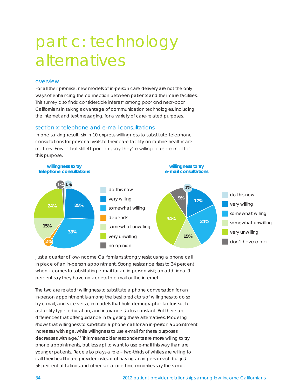# part c: technology alternatives

#### overview

For all their promise, new models of in-person care delivery are not the only ways of enhancing the connection between patients and their care facilities. This survey also finds considerable interest among poor and near-poor Californians in taking advantage of communication technologies, including the internet and text messaging, for a variety of care-related purposes.

#### section x: telephone and e-mail consultations

In one striking result, six in 10 express willingness to substitute telephone consultations for personal visits to their care facility on routine healthcare matters. Fewer, but still 41 percent, say they're willing to use e-mail for this purpose.



Just a quarter of low-income Californians strongly resist using a phone call in place of an in-person appointment. Strong resistance rises to 34 percent when it comes to substituting e-mail for an in-person visit; an additional 9 percent say they have no access to e-mail or the internet.

The two are related; willingness to substitute a phone conversation for an in-person appointment is among the best predictors of willingness to do so by e-mail, and vice versa, in models that hold demographic factors such as facility type, education, and insurance status constant. But there are differences that offer guidance in targeting these alternatives. Modeling shows that willingness to substitute a phone call for an in-person appointment increases with age, while willingness to use e-mail for these purposes decreases with age.17 This means older respondents are more willing to try phone appointments, but less apt to want to use e-mail this way than are younger patients. Race also plays a role – two-thirds of whites are willing to call their healthcare provider instead of having an in-person visit, but just 56 percent of Latinos and other racial or ethnic minorities say the same.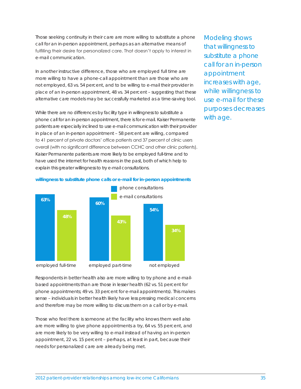Those seeking continuity in their care are more willing to substitute a phone call for an in-person appointment, perhaps as an alternative means of fulfilling their desire for personalized care. That doesn't apply to interest in e-mail communication.

In another instructive difference, those who are employed full time are more willing to have a phone-call appointment than are those who are not employed, 63 vs. 54 percent, and to be willing to e-mail their provider in place of an in-person appointment, 48 vs. 34 percent – suggesting that these alternative care models may be successfully marketed as a time-saving tool.

While there are no differences by facility type in willingness to substitute a phone call for an in-person appointment, there is for e-mail. Kaiser Permanente patients are especially inclined to use e-mail communication with their provider in place of an in-person appointment – 58 percent are willing, compared to 41 percent of private doctors' office patients and 37 percent of clinic users overall (with no significant difference between CCHC and other clinic patients). Kaiser Permanente patients are more likely to be employed full-time and to have used the internet for health reasons in the past, both of which help to explain this greater willingness to try e-mail consultations.

Modeling shows that willingness to substitute a phone call for an in-person appointment increases with age, while willingness to use e-mail for these purposes decreases with age.



**willingness to substitute phone calls or e-mail for in-person appointments**

Respondents in better health also are more willing to try phone and e-mailbased appointments than are those in lesser health (62 vs. 51 percent for phone appointments; 49 vs. 33 percent for e-mail appointments). This makes sense – individuals in better health likely have less pressing medical concerns and therefore may be more willing to discuss them on a call or by e-mail.

Those who feel there is someone at the facility who knows them well also are more willing to give phone appointments a try, 64 vs. 55 percent, and are more likely to be very willing to e-mail instead of having an in-person appointment, 22 vs. 15 percent – perhaps, at least in part, because their needs for personalized care are already being met.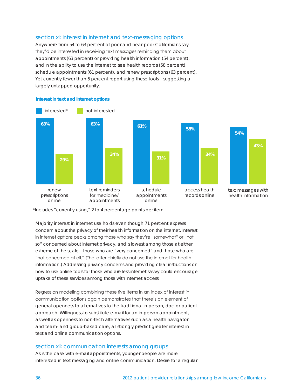## section xi: interest in internet and text-messaging options

Anywhere from 54 to 63 percent of poor and near-poor Californians say they'd be interested in receiving text messages reminding them about appointments (63 percent) or providing health information (54 percent); and in the ability to use the internet to see health records (58 percent), schedule appointments (61 percent), and renew prescriptions (63 percent). Yet currently fewer than 5 percent report using these tools – suggesting a largely untapped opportunity.



#### **interest in text and internet options**

\*Includes "currently using," 2 to 4 percentage points per item

Majority interest in internet use holds even though 71 percent express concern about the privacy of their health information on the internet. Interest in internet options peaks among those who say they're "somewhat" or "not so" concerned about internet privacy, and is lowest among those at either extreme of the scale – those who are "very concerned" and those who are "not concerned at all." (The latter chiefly do not use the internet for health information.) Addressing privacy concerns and providing clear instructions on how to use online tools for those who are less internet savvy could encourage uptake of these services among those with internet access.

Regression modeling combining these five items in an index of interest in communication options again demonstrates that there's an element of general openness to alternatives to the traditional in-person, doctor-patient approach. Willingness to substitute e-mail for an in-person appointment, as well as openness to non-tech alternatives such as a health navigator and team- and group-based care, all strongly predict greater interest in text and online communication options.

#### section xii: communication interests among groups

As is the case with e-mail appointments, younger people are more interested in text messaging and online communication. Desire for a regular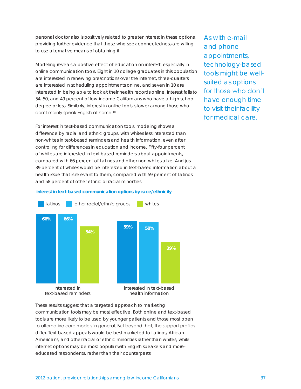personal doctor also is positively related to greater interest in these options, providing further evidence that those who seek connectedness are willing to use alternative means of obtaining it.

Modeling reveals a positive effect of education on interest, especially in online communication tools. Eight in 10 college graduates in this population are interested in renewing prescriptions over the internet, three-quarters are interested in scheduling appointments online, and seven in 10 are interested in being able to look at their health records online. Interest falls to 54, 50, and 49 percent of low-income Californians who have a high school degree or less. Similarly, interest in online tools is lower among those who don't mainly speak English at home.<sup>18</sup>

For interest in text-based communication tools, modeling shows a difference by racial and ethnic groups, with whites less interested than non-whites in text-based reminders and health information, even after controlling for differences in education and income. Fifty-four percent of whites are interested in text-based reminders about appointments, compared with 66 percent of Latinos and other non-whites alike. And just 39 percent of whites would be interested in text-based information about a health issue that is relevant to them, compared with 59 percent of Latinos and 58 percent of other ethnic or racial minorities.

As with e-mail and phone appointments, technology-based tools might be wellsuited as options for those who don't have enough time to visit their facility for medical care.

#### **interest in text-based communication options by race/ethnicity**



These results suggest that a targeted approach to marketing communication tools may be most effective. Both online and text-based tools are more likely to be used by younger patients and those most open to alternative care models in general. But beyond that, the support profiles differ. Text-based appeals would be best marketed to Latinos, African-Americans, and other racial or ethnic minorities rather than whites; while internet options may be most popular with English speakers and moreeducated respondents, rather than their counterparts.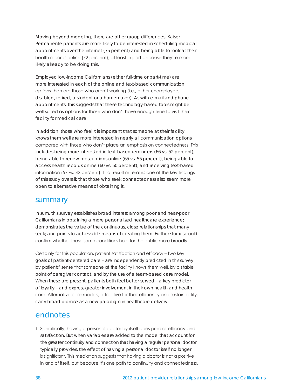Moving beyond modeling, there are other group differences. Kaiser Permanente patients are more likely to be interested in scheduling medical appointments over the internet (75 percent) and being able to look at their health records online (72 percent), at least in part because they're more likely already to be doing this.

Employed low-income Californians (either full-time or part-time) are more interested in each of the online and text-based communication options than are those who aren't working (i.e., either unemployed, disabled, retired, a student or a homemaker). As with e-mail and phone appointments, this suggests that these technology-based tools might be well-suited as options for those who don't have enough time to visit their facility for medical care.

In addition, those who feel it is important that someone at their facility knows them well are more interested in nearly all communication options compared with those who don't place an emphasis on connectedness. This includes being more interested in text-based reminders (66 vs. 52 percent), being able to renew prescriptions online (65 vs. 55 percent), being able to access health records online (60 vs. 50 percent), and receiving text-based information (57 vs. 42 percent). That result reiterates one of the key findings of this study overall: that those who seek connectedness also seem more open to alternative means of obtaining it.

## summary

In sum, this survey establishes broad interest among poor and near-poor Californians in obtaining a more personalized healthcare experience; demonstrates the value of the continuous, close relationships that many seek; and points to achievable means of creating them. Further studies could confirm whether these same conditions hold for the public more broadly.

Certainly for this population, patient satisfaction and efficacy – two key goals of patient-centered care – are independently predicted in this survey by patients' sense that someone at the facility knows them well, by a stable point of caregiver contact, and by the use of a team-based care model. When these are present, patients both feel better-served – a key predictor of loyalty – and express greater involvement in their own health and health care. Alternative care models, attractive for their efficiency and sustainability, carry broad promise as a new paradigm in healthcare delivery.

# endnotes

1 Specifically, having a personal doctor by itself does predict efficacy and satisfaction. But when variables are added to the model that account for the greater continuity and connection that having a regular personal doctor typically provides, the effect of having a personal doctor itself no longer is significant. This mediation suggests that having a doctor is not a positive in and of itself, but because it's one path to continuity and connectedness.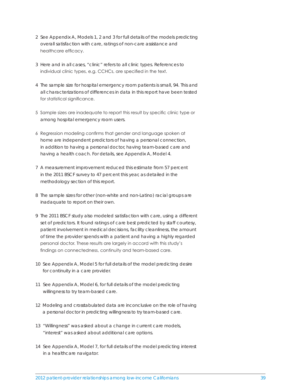- 2 See Appendix A, Models 1, 2 and 3 for full details of the models predicting overall satisfaction with care, ratings of non-care assistance and healthcare efficacy.
- 3 Here and in all cases, "clinic" refers to all clinic types. References to individual clinic types, e.g. CCHCs, are specified in the text.
- 4 The sample size for hospital emergency room patients is small, 94. This and all characterizations of differences in data in this report have been tested for statistical significance.
- 5 Sample sizes are inadequate to report this result by specific clinic type or among hospital emergency room users.
- 6 Regression modeling confirms that gender and language spoken at home are independent predictors of having a personal connection, in addition to having a personal doctor, having team-based care and having a health coach. For details, see Appendix A, Model 4.
- 7 A measurement improvement reduced this estimate from 57 percent in the 2011 BSCF survey to 47 percent this year, as detailed in the methodology section of this report.
- 8 The sample sizes for other (non-white and non-Latino) racial groups are inadaquate to report on their own.
- 9 The 2011 BSCF study also modeled satisfaction with care, using a different set of predictors. It found ratings of care best predicted by staff courtesy, patient involvement in medical decisions, facility cleanliness, the amount of time the provider spends with a patient and having a highly regarded personal doctor. These results are largely in accord with this study's findings on connectedness, continuity and team-based care.
- 10 See Appendix A, Model 5 for full details of the model predicting desire for continuity in a care provider.
- 11 See Appendix A, Model 6, for full details of the model predicting willingness to try team-based care.
- 12 Modeling and crosstabulated data are inconclusive on the role of having a personal doctor in predicting willingness to try team-based care.
- 13 "Willingness" was asked about a change in current care models, "interest" was asked about additional care options.
- 14 See Appendix A, Model 7, for full details of the model predicting interest in a healthcare navigator.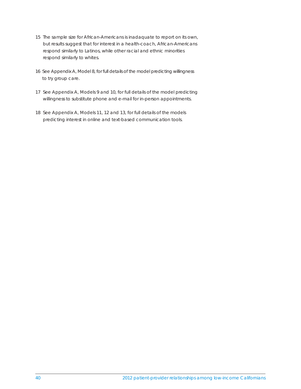- 15 The sample size for African-Americans is inadaquate to report on its own, but results suggest that for interest in a health-coach, African-Americans respond similarly to Latinos, while other racial and ethnic minorities respond similarly to whites.
- 16 See Appendix A, Model 8, for full details of the model predicting willingness to try group care.
- 17 See Appendix A, Models 9 and 10, for full details of the model predicting willingness to substitute phone and e-mail for in-person appointments.
- 18 See Appendix A, Models 11, 12 and 13, for full details of the models predicting interest in online and text-based communication tools.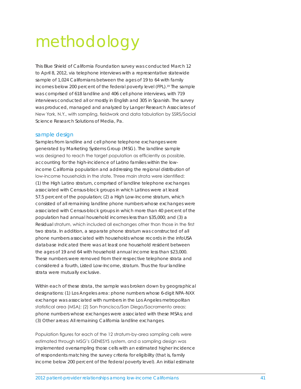# methodology

This Blue Shield of California Foundation survey was conducted March 12 to April 8, 2012, via telephone interviews with a representative statewide sample of 1,024 Californians between the ages of 19 to 64 with family incomes below 200 percent of the federal poverty level (FPL).<sup>19</sup> The sample was comprised of 618 landline and 406 cell phone interviews, with 719 interviews conducted all or mostly in English and 305 in Spanish. The survey was produced, managed and analyzed by Langer Research Associates of New York, N.Y., with sampling, fieldwork and data tabulation by SSRS/Social Science Research Solutions of Media, Pa.

#### sample design

Samples from landline and cell phone telephone exchanges were generated by Marketing Systems Group (MSG). The landline sample was designed to reach the target population as efficiently as possible, accounting for the high-incidence of Latino families within the lowincome California population and addressing the regional distribution of low-income households in the state. Three main strata were identified: (1) the *High Latino* stratum, comprised of landline telephone exchanges associated with Census-block groups in which Latinos were at least 57.5 percent of the population; (2) a *High Low-Income* stratum, which consisted of all remaining landline phone numbers whose exchanges were associated with Census-block groups in which more than 40 percent of the population had annual household incomes less than \$35,000; and (3) a *Residual* stratum, which included all exchanges other than those in the first two strata. In addition, a separate phone stratum was constructed of all phone numbers associated with households whose records in the infoUSA database indicated there was at least one household resident between the ages of 19 and 64 with household annual income less than \$23,000. These numbers were removed from their respective telephone strata and considered a fourth, *Listed Low-Income*, stratum. Thus the four landline strata were mutually exclusive.

Within each of these strata, the sample was broken down by geographical designations: (1) Los Angeles area: phone numbers whose 6-digit NPA-NXX exchange was associated with numbers in the Los Angeles metropolitan statistical area (MSA); (2) San Francisco/San Diego/Sacramento areas: phone numbers whose exchanges were associated with these MSAs; and (3) Other areas: All remaining California landline exchanges.

Population figures for each of the 12 stratum-by-area sampling cells were estimated through MSG's GENESYS system, and a sampling design was implemented oversampling those cells with an estimated higher incidence of respondents matching the survey criteria for eligibility (that is, family income below 200 percent of the federal poverty level). An initial estimate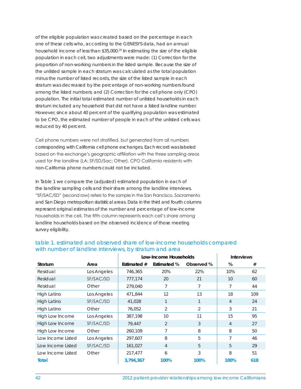of the eligible population was created based on the percentage in each one of these cells who, according to the GENESYS data, had an annual household income of less than \$35,000.20 In estimating the size of the eligible population in each cell, two adjustments were made: (1) Correction for the proportion of non-working numbers in the listed sample. Because the size of the unlisted sample in each stratum was calculated as the total population minus the number of listed records, the size of the listed sample in each stratum was decreased by the percentage of non-working numbers found among the listed numbers; and (2) Correction for the cell phone only (CPO) population. The initial total estimated number of unlisted households in each stratum included any household that did not have a listed landline number. However, since about 40 percent of the qualifying population was estimated to be CPO, the estimated number of people in each of the unlisted cells was reduced by 40 percent.

Cell phone numbers were not stratified, but generated from all numbers corresponding with California cell phone exchanges. Each record was labeled based on the exchange's geographic affiliation with the three sampling areas used for the landline (LA; SF/SD/Sac; Other). CPO California residents with non-California phone numbers could not be included.

In Table 1 we compare the (adjusted) estimated population in each of the landline sampling cells and their share among the landline interviews. "SF/SAC/SD" (second row) refers to the sample in the San Francisco, Sacramento and San Diego metropolitan statistical areas. Data in the third and fourth columns represent original estimates of the number and percentage of low-income households in the cell. The fifth column represents each cell's share among landline households based on the observed incidence of those meeting survey eligibility.

|                   |             | Low-Income Households |                    |            | <b>Interviews</b> |     |
|-------------------|-------------|-----------------------|--------------------|------------|-------------------|-----|
| <b>Stratum</b>    | Area        | Estimated #           | <b>Estimated %</b> | Observed % | %                 | #   |
| Residual          | Los Angeles | 746,365               | 20%                | 22%        | 10%               | 62  |
| Residual          | SF/SAC/SD   | 777,174               | 20                 | 21         | 10                | 60  |
| Residual          | Other       | 279,040               | 7                  |            |                   | 44  |
| High Latino       | Los Angeles | 471,844               | 12                 | 13         | 18                | 109 |
| High Latino       | SF/SAC/SD   | 41,028                | 1                  |            | 4                 | 24  |
| High Latino       | Other       | 76,052                | 2                  | 2          | 3                 | 21  |
| High Low Income   | Los Angeles | 387,198               | 10                 | 11         | 15                | 95  |
| High Low Income   | SF/SAC/SD   | 79,447                | 2                  | 3          | 4                 | 27  |
| High Low Income   | Other       | 260,109               | 7                  | 8          | 8                 | 50  |
| Low Income Listed | Los Angeles | 297,607               | 8                  | 5          | 7                 | 46  |
| Low Income Listed | SF/SAC/SD   | 161,027               | 4                  | 5          | 5                 | 29  |
| Low Income Listed | Other       | 217.477               | 6                  | 3          | 8                 | 51  |
| Total             |             | 3,794,367             | 100%               | 100%       | 100%              | 618 |

### table 1. estimated and observed share of low-income households compared with number of landline interviews, by stratum and area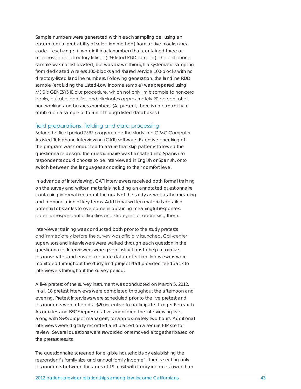Sample numbers were generated within each sampling cell using an *epsem* (equal probability of selection method) from active blocks (area code + exchange + two-digit block number) that contained three or more residential directory listings ('3+ listed RDD sample'). The cell phone sample was not list-assisted, but was drawn through a systematic sampling from dedicated wireless 100-blocks and shared service 100-blocks with no directory-listed landline numbers. Following generation, the landline RDD sample (excluding the Listed-Low Income sample) was prepared using MSG's GENESYS IDplus procedure, which not only limits sample to non-zero banks, but also identifies and eliminates approximately 90 percent of all non-working and business numbers. (At present, there is no capability to scrub such a sample or to run it through listed databases.)

#### field preparations, fielding and data processing

Before the field period SSRS programmed the study into CfMC Computer Assisted Telephone Interviewing (CATI) software. Extensive checking of the program was conducted to assure that skip patterns followed the questionnaire design. The questionnaire was translated into Spanish so respondents could choose to be interviewed in English or Spanish, or to switch between the languages according to their comfort level.

In advance of interviewing, CATI interviewers received both formal training on the survey and written materials including an annotated questionnaire containing information about the goals of the study as well as the meaning and pronunciation of key terms. Additional written materials detailed potential obstacles to overcome in obtaining meaningful responses, potential respondent difficulties and strategies for addressing them.

Interviewer training was conducted both prior to the study pretests and immediately before the survey was officially launched. Call-center supervisors and interviewers were walked through each question in the questionnaire. Interviewers were given instructions to help maximize response rates and ensure accurate data collection. Interviewers were monitored throughout the study and project staff provided feedback to interviewers throughout the survey period.

A live pretest of the survey instrument was conducted on March 5, 2012. In all, 18 pretest interviews were completed throughout the afternoon and evening. Pretest interviews were scheduled prior to the live pretest and respondents were offered a \$20 incentive to participate. Langer Research Associates and BSCF representatives monitored the interviewing live, along with SSRS project managers, for approximately two hours. Additional interviews were digitally recorded and placed on a secure FTP site for review. Several questions were reworded or removed altogether based on the pretest results.

The questionnaire screened for eligible households by establishing the respondent's family size and annual family income<sup>23</sup>, then selecting only respondents between the ages of 19 to 64 with family incomes lower than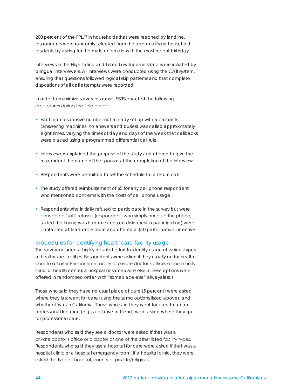200 percent of the FPL.<sup>24</sup> In households that were reached by landline, respondents were randomly selected from the age-qualifying household residents by asking for the male or female with the most recent birthday.

Interviews in the *High Latino* and *Listed Low-Income* strata were initiated by bilingual interviewers. All interviews were conducted using the CATI system, ensuring that questions followed logical skip patterns and that complete dispositions of all call attempts were recorded.

In order to maximize survey response, SSRS enacted the following procedures during the field period:

- Each non-responsive number not already set up with a callback (answering machines, no answers and busies) was called approximately eight times, varying the times of day and days of the week that callbacks were placed using a programmed differential call rule.
- Interviewers explained the purpose of the study and offered to give the respondent the name of the sponsor at the completion of the interview.
- Respondents were permitted to set the schedule for a return call.
- The study offered reimbursement of \$5 for any cell phone respondent who mentioned concerns with the costs of cell phone usage.
- Respondents who initially refused to participate in the survey but were considered 'soft' refusals (respondents who simply hung up the phone, stated the timing was bad or expressed disinterest in participating) were contacted at least once more and offered a \$10 participation incentive.

### procedures for identifying healthcare facility usage

The survey included a highly detailed effort to identify usage of various types of healthcare facilities. Respondents were asked if they usually go for health care to a Kaiser Permanente facility, a private doctor's office, a community clinic or health center, a hospital or someplace else. (These options were offered in randomized order, with "someplace else" always last.)

Those who said they have no usual place of care (5 percent) were asked where they last went for care (using the same options listed above), and whether it was in California. Those who said they went for care to a nonprofessional location (e.g., a relative or friend) were asked where they go for professional care.

Respondents who said they see a doctor were asked if that was a private doctor's office or a doctor at one of the other listed facility types. Respondents who said they use a hospital for care were asked if that was a hospital clinic or a hospital emergency room. If a hospital clinic, they were asked the type of hospital, county or private/religious.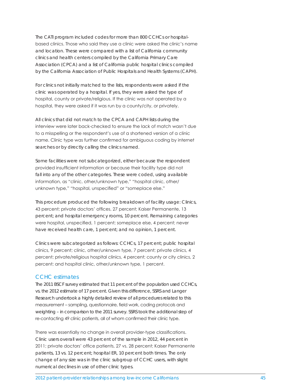The CATI program included codes for more than 800 CCHCs or hospitalbased clinics. Those who said they use a clinic were asked the clinic's name and location. These were compared with a list of California community clinics and health centers compiled by the California Primary Care Association (CPCA) and a list of California public hospital clinics compiled by the California Association of Public Hospitals and Health Systems (CAPH).

For clinics not initially matched to the lists, respondents were asked if the clinic was operated by a hospital. If yes, they were asked the type of hospital, county or private/religious. If the clinic was not operated by a hospital, they were asked if it was run by a county/city, or privately.

All clinics that did not match to the CPCA and CAPH lists during the interview were later back-checked to ensure the lack of match wasn't due to a misspelling or the respondent's use of a shortened version of a clinic name. Clinic type was further confirmed for ambiguous coding by internet searches or by directly calling the clinics named.

Some facilities were not subcategorized, either because the respondent provided insufficient information or because their facility type did not fall into any of the other categories. These were coded, using available information, as "clinic, other/unknown type," "hospital clinic, other/ unknown type," "hospital, unspecified" or "someplace else."

This procedure produced the following breakdown of facility usage: Clinics, 43 percent; private doctors' offices, 27 percent; Kaiser Permanente, 13 percent; and hospital emergency rooms, 10 percent. Remaining categories were hospital, unspecified, 1 percent; someplace else, 4 percent; never have received health care, 1 percent; and no opinion, 1 percent.

Clinics were subcategorized as follows: CCHCs, 17 percent; public hospital clinics, 9 percent; clinic, other/unknown type, 7 percent; private clinics, 4 percent; private/religious hospital clinics, 4 percent; county or city clinics, 2 percent; and hospital clinic, other/unknown type, 1 percent.

#### CCHC estimates

The 2011 BSCF survey estimated that 11 percent of the population used CCHCs, vs. the 2012 estimate of 17 percent. Given this difference, SSRS and Langer Research undertook a highly detailed review of all procedures related to this measurement – sampling, questionnaire, field work, coding protocols and weighting – in comparison to the 2011 survey. SSRS took the additional step of re-contacting 49 clinic patients, all of whom confirmed their clinic type.

There was essentially no change in overall provider-type classifications. Clinic users overall were 43 percent of the sample in 2012, 44 percent in 2011; private doctors' office patients, 27 vs. 28 percent; Kaiser Permanente patients, 13 vs. 12 percent; hospital ER, 10 percent both times. The only change of any size was in the clinic subgroup of CCHC users, with slight numerical declines in use of other clinic types.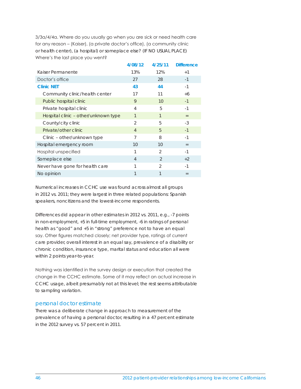3/3a/4/4a. Where do you usually go when you are sick or need health care for any reason – (Kaiser), (a private doctor's office), (a community clinic or health center), (a hospital) or someplace else? (IF NO USUAL PLACE) Where's the last place you went?

|                                      | 4/08/12        | 4/25/11        | <b>Difference</b> |
|--------------------------------------|----------------|----------------|-------------------|
| Kaiser Permanente                    | 13%            | 12%            | $+1$              |
| Doctor's office                      | 27             | 28             | $-1$              |
| <b>Clinic NET</b>                    | 43             | 44             | $-1$              |
| Community clinic/health center       | 17             | 11             | +6                |
| Public hospital clinic               | 9              | 10             | $-1$              |
| Private hospital clinic              | $\overline{4}$ | 5              | $-1$              |
| Hospital clinic - other/unknown type | $\mathcal{I}$  | 1              | $=$               |
| County/city clinic                   | $\mathcal{P}$  | 5              | $-3$              |
| Private/other clinic                 | $\overline{4}$ | 5              | $-1$              |
| Clinic – other/unknown type          | 7              | 8              | $-1$              |
| Hospital emergency room              | 10             | 10             | $=$               |
| Hospital unspecified                 | 1              | $\mathfrak{D}$ | $-1$              |
| Someplace else                       | $\overline{4}$ | $\mathcal{P}$  | $+2$              |
| Never have gone for health care      | 1              | $\overline{2}$ | $-1$              |
| No opinion                           | 1              | 1              | $=$               |

Numerical increases in CCHC use was found across almost all groups in 2012 vs. 2011; they were largest in three related populations: Spanish speakers, noncitizens and the lowest-income respondents.

Differences did appear in other estimates in 2012 vs. 2011, e.g., -7 points in non-employment, +5 in full-time employment, -6 in ratings of personal health as "good" and +5 in "strong" preference not to have an equal say. Other figures matched closely; net provider type, ratings of current care provider, overall interest in an equal say, prevalence of a disability or chronic condition, insurance type, marital status and education all were within 2 points year-to-year.

Nothing was identified in the survey design or execution that created the change in the CCHC estimate. Some of it may reflect an actual increase in CCHC usage, albeit presumably not at this level; the rest seems attributable to sampling variation.

### personal doctor estimate

There was a deliberate change in approach to measurement of the prevalence of having a personal doctor, resulting in a 47 percent estimate in the 2012 survey vs. 57 percent in 2011.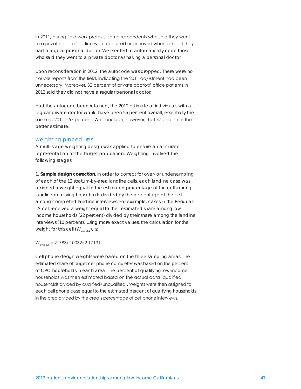In 2011, during field work pretests, some respondents who said they went to a private doctor's office were confused or annoyed when asked if they had a regular personal doctor. We elected to automatically code those who said they went to a private doctor as having a personal doctor.

Upon reconsideration in 2012, the autocode was dropped. There were no trouble reports from the field, indicating the 2011 adjustment had been unnecessary. Moreover, 32 percent of private doctors' office patients in 2012 said they did not have a regular personal doctor.

Had the autocode been retained, the 2012 estimate of individuals with a regular private doctor would have been 55 percent overall, essentially the same as 2011's 57 percent. We conclude, however, that 47 percent is the better estimate.

#### weighting procedures

A multi-stage weighting design was applied to ensure an accurate representation of the target population. Weighting involved the following stages:

**1. Sample design correction.** In order to correct for over- or undersampling of each of the 12 stratum-by-area landline cells, each landline case was assigned a weight equal to the estimated percentage of the cell among landline-qualifying households divided by the percentage of the cell among completed landline interviews. For example, cases in the *Residual-LA* cell received a weight equal to their estimated share among lowincome households (22 percent) divided by their share among the landline interviews (10 percent). Using more exact values, the calculation for the weight for this cell  $(W_{\text{cyclic}})$ , is:

 $W_{\text{residual}} = 21783/10032=2.17131.$ 

Cell phone design weights were based on the three sampling areas. The estimated share of target cell phone completes was based on the percent of CPO households in each area. The percent of qualifying low-income households was then estimated based on the actual data (qualified households divided by qualified+unqualified). Weights were then assigned to each cell phone case equal to the estimated percent of qualifying households in the area divided by the area's percentage of cell phone interviews.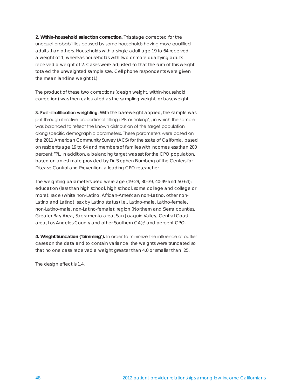**2. Within-household selection correction.** This stage corrected for the unequal probabilities caused by some households having more qualified adults than others. Households with a single adult age 19 to 64 received a weight of 1, whereas households with two or more qualifying adults received a weight of 2. Cases were adjusted so that the sum of this weight totaled the unweighted sample size. Cell phone respondents were given the mean landline weight (1).

The product of these two corrections (design weight, within-household correction) was then calculated as the sampling weight, or baseweight.

**3. Post-stratification weighting***.* With the baseweight applied, the sample was put through iterative proportional fitting (IPF, or 'raking'), in which the sample was balanced to reflect the known distribution of the target population along specific demographic parameters. These parameters were based on the 2011 American Community Survey (ACS) for the state of California, based on residents age 19 to 64 and members of families with incomes less than 200 percent FPL. In addition, a balancing target was set for the CPO population, based on an estimate provided by Dr. Stephen Blumberg of the Centers for Disease Control and Prevention, a leading CPO researcher.

The weighting parameters used were age (19-29, 30-39, 40-49 and 50-64); education (less than high school, high school, some college and college or more); race (white non-Latino, African-American non-Latino, other non-Latino and Latino); sex by Latino status (i.e., Latino-male, Latino-female, non-Latino-male, non-Latino-female); region (Northern and Sierra counties, Greater Bay Area, Sacramento area, San Joaquin Valley, Central Coast area, Los Angeles County and other Southern CA);<sup>5</sup> and percent CPO.

**4. Weight truncation ('trimming').** In order to minimize the influence of outlier cases on the data and to contain variance, the weights were truncated so that no one case received a weight greater than 4.0 or smaller than .25.

The design effect is 1.4.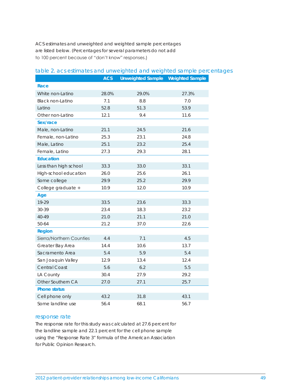ACS estimates and unweighted and weighted sample percentages are listed below. (Percentages for several parameters do not add to 100 percent because of "don't know" responses.)

|                          | <b>ACS</b> | <b>Unweighted Sample</b> | <b>Weighted Sample</b> |
|--------------------------|------------|--------------------------|------------------------|
| Race                     |            |                          |                        |
| White non-Latino         | 28.0%      | 29.0%                    | 27.3%                  |
| Black non-Latino         | 7.1        | 8.8                      | 7.0                    |
| Latino                   | 52.8       | 51.3                     | 53.9                   |
| Other non-Latino         | 12.1       | 9.4                      | 11.6                   |
| Sex/race                 |            |                          |                        |
| Male, non-Latino         | 21.1       | 24.5                     | 21.6                   |
| Female, non-Latino       | 25.3       | 23.1                     | 24.8                   |
| Male, Latino             | 25.1       | 23.2                     | 25.4                   |
| Female, Latino           | 27.3       | 29.3                     | 28.1                   |
| <b>Education</b>         |            |                          |                        |
| Less than high school    | 33.3       | 33.0                     | 33.1                   |
| High-school education    | 26.0       | 25.6                     | 26.1                   |
| Some college             | 29.9       | 25.2                     | 29.9                   |
| College graduate +       | 10.9       | 12.0                     | 10.9                   |
| Age                      |            |                          |                        |
| 19-29                    | 33.5       | 23.6                     | 33.3                   |
| 30-39                    | 23.4       | 18.3                     | 23.2                   |
| 40-49                    | 21.0       | 21.1                     | 21.0                   |
| 50-64                    | 21.2       | 37.0                     | 22.6                   |
| <b>Region</b>            |            |                          |                        |
| Sierra/Northern Counties | 4.4        | 7.1                      | 4.5                    |
| Greater Bay Area         | 14.4       | 10.6                     | 13.7                   |
| Sacramento Area          | 5.4        | 5.9                      | 5.4                    |
| San Joaquin Valley       | 12.9       | 13.4                     | 12.4                   |
| <b>Central Coast</b>     | 5.6        | 6.2                      | 5.5                    |
| LA County                | 30.4       | 27.9                     | 29.2                   |
| Other Southern CA        | 27.0       | 27.1                     | 25.7                   |
| <b>Phone status</b>      |            |                          |                        |
| Cell phone only          | 43.2       | 31.8                     | 43.1                   |
| Some landline use        | 56.4       | 68.1                     | 56.7                   |

### table 2. acs estimates and unweighted and weighted sample percentages

#### response rate

The response rate for this study was calculated at 27.6 percent for the landline sample and 22.1 percent for the cell phone sample using the "Response Rate 3" formula of the American Association for Public Opinion Research.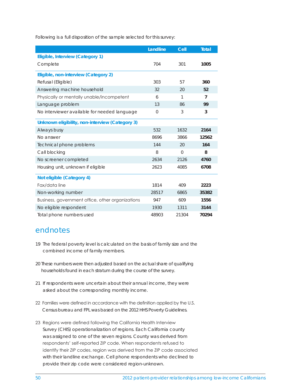Following is a full disposition of the sample selected for this survey:

|                                                  | Landline    | Cell     | <b>Total</b>   |
|--------------------------------------------------|-------------|----------|----------------|
| Eligible, Interview (Category 1)                 |             |          |                |
| Complete                                         | 704         | 301      | 1005           |
| Eligible, non-interview (Category 2)             |             |          |                |
| Refusal (Eligible)                               | 303         | 57       | 360            |
| Answering machine household                      | 32          | 20       | 52             |
| Physically or mentally unable/incompetent        | 6           | 1        | $\overline{7}$ |
| Language problem                                 | 13          | 86       | 99             |
| No interviewer available for needed language     | $\mathbf 0$ | 3        | 3              |
| Unknown eligibility, non-interview (Category 3)  |             |          |                |
| Always busy                                      | 532         | 1632     | 2164           |
| No answer                                        | 8696        | 3866     | 12562          |
| Technical phone problems                         | 144         | 20       | 164            |
| Call blocking                                    | 8           | $\Omega$ | 8              |
| No screener completed                            | 2634        | 2126     | 4760           |
| Housing unit, unknown if eligible                | 2623        | 4085     | 6708           |
| Not eligible (Category 4)                        |             |          |                |
| Fax/data line                                    | 1814        | 409      | 2223           |
| Non-working number                               | 28517       | 6865     | 35382          |
| Business, government office, other organizations | 947         | 609      | 1556           |
| No eligible respondent                           | 1930        | 1311     | 3144           |
| Total phone numbers used                         | 48903       | 21304    | 70294          |

## endnotes

- 19 The federal poverty level is calculated on the basis of family size and the combined income of family members.
- 20 These numbers were then adjusted based on the actual share of qualifying households found in each stratum during the course of the survey.
- 21 If respondents were uncertain about their annual income, they were asked about the corresponding monthly income.
- 22 Families were defined in accordance with the definition applied by the U.S. Census bureau and FPL was based on the 2012 HHS Poverty Guidelines.
- 23 Regions were defined following the California Health Interview Survey (CHIS) operationalization of regions. Each California county was assigned to one of the seven regions. County was derived from respondents' self-reported ZIP code. When respondents refused to identify their ZIP codes, region was derived from the ZIP code associated with their landline exchange. Cell phone respondents who declined to provide their zip code were considered region-unknown.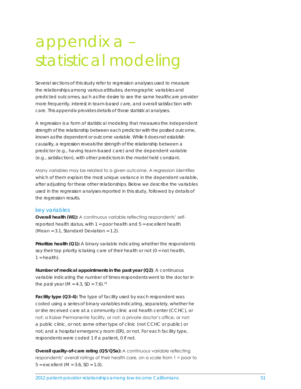## appendix a – statistical modeling

Several sections of this study refer to regression analyses used to measure the relationships among various attitudes, demographic variables and predicted outcomes, such as the desire to see the same healthcare provider more frequently, interest in team-based care, and overall satisfaction with care. This appendix provides details of those statistical analyses.

A regression is a form of statistical modeling that measures the independent strength of the relationship between each predictor with the posited outcome, known as the dependent or outcome variable. While it does not establish causality, a regression reveals the strength of the relationship between a predictor (e.g., having team-based care) and the dependent variable (e.g., satisfaction), with other predictors in the model held constant.

Many variables may be related to a given outcome. A regression identifies which of them explain the most unique variance in the dependent variable, after adjusting for these other relationships. Below we describe the variables used in the regression analyses reported in this study, followed by details of the regression results.

#### key variables

**Overall health (W1):** A continuous variable reflecting respondents' selfreported health status, with  $1 =$  poor health and  $5 =$  excellent health (*Mean* = 3.1, *Standard Deviation* = 1.2).

**Prioritize health (Q1):** A binary variable indicating whether the respondents say their top priority is taking care of their health or not  $(0 = \text{not health},$  $1 = \text{health}$ ).

**Number of medical appointments in the past year (Q2)**: A continuous variable indicating the number of times respondents went to the doctor in the past year  $(M = 4.3, SD = 7.6).^{24}$ 

Facility type (Q3-4): The type of facility used by each respondent was coded using a series of binary variables indicating, separately, whether he or she received care at a community clinic and health center (CCHC), or not; a Kaiser Permanente facility, or not; a private doctor's office, or not; a public clinic, or not; some other type of clinic (not CCHC or public) or not; and a hospital emergency room (ER), or not. For each facility type, respondents were coded 1 if a patient, 0 if not.

**Overall quality-of-care rating (Q5/Q5a):** A continuous variable reflecting respondents' overall ratings of their health care, on a scale from 1 = poor to  $5 =$  excellent  $(M = 3.6, SD = 1.0)$ .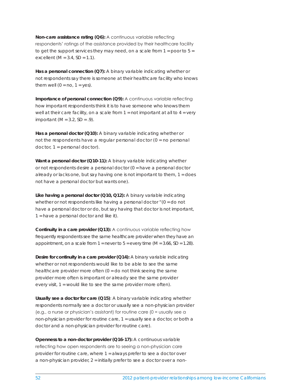**Non-care assistance rating (Q6):** A continuous variable reflecting respondents' ratings of the assistance provided by their healthcare facility to get the support services they may need, on a scale from  $1 =$  poor to  $5 =$ excellent (*M* = 3.4, *SD* = 1.1).

**Has a personal connection (Q7):** A binary variable indicating whether or not respondents say there is someone at their healthcare facility who knows them well  $(0 = no, 1 = yes)$ .

**Importance of personal connection (Q9):** A continuous variable reflecting how important respondents think it is to have someone who knows them well at their care facility, on a scale from  $1 = not$  important at all to  $4 = very$ important (*M* = 3.2, *SD* = .9).

**Has a personal doctor (Q10):** A binary variable indicating whether or not the respondents have a regular personal doctor (0 = no personal doctor, 1 = personal doctor).

**Want a personal doctor (Q10-11):** A binary variable indicating whether or not respondents desire a personal doctor (0 = have a personal doctor already or lacks one, but say having one is not important to them, 1 = does not have a personal doctor but wants one).

**Like having a personal doctor (Q10, Q12):** A binary variable indicating whether or not respondents like having a personal doctor " (0 = do not have a personal doctor or do, but say having that doctor is not important, 1 = have a personal doctor and like it).

**Continuity in a care provider (Q13):** A continuous variable reflecting how frequently respondents see the same healthcare provider when they have an appointment, on a scale from 1 = never to 5 = every time (*M* = 3.66, *SD* = 1.28).

**Desire for continuity in a care provider (Q14):** A binary variable indicating whether or not respondents would like to be able to see the same healthcare provider more often (0 = do not think seeing the same provider more often is important or already see the same provider every visit, 1 = would like to see the same provider more often).

**Usually see a doctor for care (Q15)**: A binary variable indicating whether respondents normally see a doctor or usually see a non-physician provider (e.g., a nurse or physician's assistant) for routine care (0 = usually see a non-physician provider for routine care, 1 = usually see a doctor, or both a doctor and a non-physician provider for routine care).

**Openness to a non-doctor provider (Q16-17):** A continuous variable reflecting how open respondents are to seeing a non-physician care provider for routine care, where 1 = always prefer to see a doctor over a non-physician provider, 2 = initially prefer to see a doctor over a non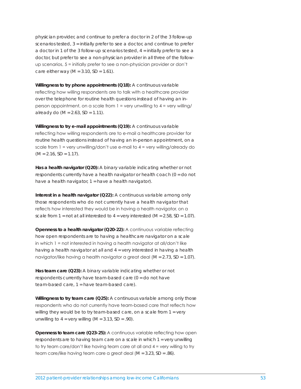physician provider, and continue to prefer a doctor in 2 of the 3 follow-up scenarios tested, 3 = initially prefer to see a doctor, and continue to prefer a doctor in 1 of the 3 follow-up scenarios tested,  $4 = \text{initially prefer to see a}$ doctor, but prefer to see a non-physician provider in all three of the followup scenarios, 5 = initially prefer to see a non-physician provider or don't care either way (*M* = 3.10, *SD* = 1.61).

**Willingness to try phone appointments (Q18):** A continuous variable reflecting how willing respondents are to talk with a healthcare provider over the telephone for routine health questions instead of having an inperson appointment, on a scale from  $1$  = very unwilling to  $4$  = very willing/ already do (*M* = 2.63, *SD* = 1.11).

**Willingness to try e-mail appointments (Q19):** A continuous variable reflecting how willing respondents are to e-mail a healthcare provider for routine health questions instead of having an in-person appointment, on a scale from  $1 = \text{very unwilling}/\text{don't use e-mail to } 4 = \text{very willing}/\text{already do}$  $(M = 2.16, SD = 1.17).$ 

**Has a health navigator (Q20):** A binary variable indicating whether or not respondents currently have a health navigator or health coach (0 = do not have a health navigator,  $1 =$  have a health navigator).

**Interest in a health navigator (Q22):** A continuous variable among only those respondents who do not currently have a health navigator that reflects how interested they would be in having a health navigator, on a scale from  $1 = \text{not at all interested to } 4 = \text{very interested } (M = 2.58, SD = 1.07)$ .

**Openness to a health navigator (Q20-22):** A continuous variable reflecting how open respondents are to having a healthcare navigator on a scale in which 1 = not interested in having a health navigator at all/don't like having a health navigator at all and 4 = very interested in having a health navigator/like having a health navigator a great deal (*M* = 2.73, *SD* = 1.07).

**Has team care (Q23):** A binary variable indicating whether or not respondents currently have team-based care (0 = do not have team-based care, 1 = have team-based care).

**Willingness to try team care (Q25):** A continuous variable among only those respondents who do not currently have team-based care that reflects how willing they would be to try team-based care, on a scale from 1 = very unwilling to  $4 = \text{very willing } (M = 3.13, SD = .90)$ .

**Openness to team care (Q23-25):** A continuous variable reflecting how open respondents are to having team care on a scale in which 1 = very unwilling to try team care/don't like having team care at all and 4 = very willing to try team care/like having team care a great deal (*M* = 3.23, *SD* = .86).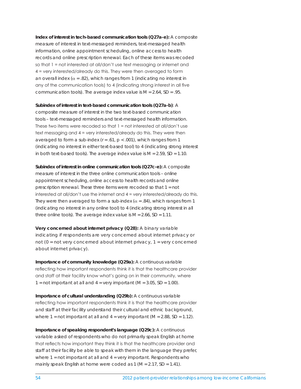**Index of interest in tech-based communication tools (Q27a-e):** A composite measure of interest in text-messaged reminders, text-messaged health information, online appointment scheduling, online access to health records and online prescription renewal. Each of these items was recoded so that 1 = not interested at all/don't use text messaging or internet and 4 = very interested/already do this. They were then averaged to form an overall index ( $\alpha$  = .82), which ranges from 1 (indicating no interest in any of the communication tools) to 4 (indicating strong interest in all five communication tools). The average index value is *M* = 2.64, *SD* = .95.

#### **Subindex of interest in text-based communication tools (Q27a-b)**: A

composite measure of interest in the two text-based communication tools – text-messaged reminders and text-messaged health information. These two items were recoded so that 1 = not interested at all/don't use text messaging and 4 = very interested/already do this. They were then averaged to form a sub-index (*r* = .61, *p* < .001), which ranges from 1 (indicating no interest in either text-based tool) to 4 (indicating strong interest in both text-based tools). The average index value is  $M = 2.59$ ,  $SD = 1.10$ .

**Subindex of interest in online communication tools (Q27c-e):** A composite measure of interest in the three online communication tools – online appointment scheduling, online access to health records and online prescription renewal. These three items were recoded so that 1 = not interested at all/don't use the internet and 4 = very interested/already do this. They were then averaged to form a sub-index  $(\alpha = .84)$ , which ranges from 1 (indicating no interest in any online tool) to 4 (indicating strong interest in all three online tools). The average index value is *M* = 2.66, *SD* = 1.11.

**Very concerned about internet privacy (Q28):** A binary variable indicating if respondents are very concerned about internet privacy or not (0 = not very concerned about internet privacy, 1 = very concerned about internet privacy).

**Importance of community knowledge (Q29a):** A continuous variable reflecting how important respondents think it is that the healthcare provider and staff at their facility know what's going on in their community, where 1 = not important at all and  $4 = \text{very important (}M = 3.05, SD = 1.00).$ 

**Importance of cultural understanding (Q29b):** A continuous variable reflecting how important respondents think it is that the healthcare provider and staff at their facility understand their cultural and ethnic background, where  $1 = not important at all and 4 = very important (M = 2.88, SD = 1.12).$ 

**Importance of speaking respondent's language (Q29c):** A continuous variable asked of respondents who do not primarily speak English at home that reflects how important they think it is that the healthcare provider and staff at their facility be able to speak with them in the language they prefer, where  $1 = not important$  at all and  $4 = very important$ . Respondents who mainly speak English at home were coded as 1 (*M* = 2.17, *SD* = 1.41).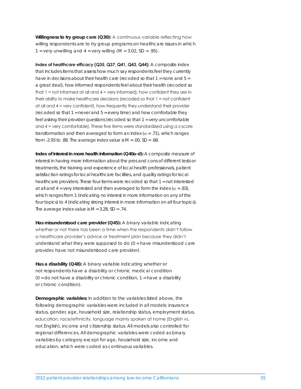**Willingness to try group care (Q30):** A continuous variable reflecting how willing respondents are to try group programs on healthcare issues in which 1 = very unwilling and  $4 =$  very willing  $(M = 3.02, SD = .95)$ .

**Index of healthcare efficacy (Q35, Q37, Q41, Q43, Q44):** A composite index that includes items that assess how much say respondents feel they currently have in decisions about their health care (recoded so that  $1 =$  none and  $5 =$ a great deal), how informed respondents feel about their health (recoded so that 1 = not informed at all and 4 = very informed), how confident they are in their ability to make healthcare decisions (recoded so that 1 = not confident at all and 4 = very confident), how frequently they understand their provider (recoded so that  $1 =$  never and  $5 =$  every time) and how comfortable they feel asking their provider questions (recoded so that 1 = very uncomfortable and 4 = very comfortable). These five items were standardized using a z-score transformation and then averaged to form an index ( $\alpha$  = .71), which ranges from -2.93 to .88. The average index value is *M* = .00, *SD* = .68.

**Index of interest in more health information (Q40a-d):** A composite measure of interest in having more information about the pros and cons of different tests or treatments, the training and experience of local health professionals, patient satisfaction ratings for local healthcare facilities, and quality ratings for local healthcare providers. These four items were recoded so that 1 = not interested at all and  $4 = \text{very interested}$  and then averaged to form the index ( $\alpha = .83$ ), which ranges from 1 (indicating no interest in more information on any of the four topics) to 4 (indicating strong interest in more information on all four topics). The average index value is *M* = 3.28, *SD* = .74.

**Has misunderstood care provider (Q45):** A binary variable indicating whether or not there has been a time when the respondents didn't follow a healthcare provider's advice or treatment plan because they didn't understand what they were supposed to do  $(0 =$  have misunderstood care provider, have not misunderstood care provider).

**Has a disability (Q48):** A binary variable indicating whether or not respondents have a disability or chronic medical condition  $(0 = do not have a disability or chronic condition, 1 = have a disability$ or chronic condition).

**Demographic variables:** In addition to the variables listed above, the following demographic variables were included in all models: insurance status, gender, age, household size, relationship status, employment status, education, race/ethnicity, language mainly spoken at home (English vs. not English), income and citizenship status. All models also controlled for regional differences. All demographic variables were coded as binary variables by category except for age, household size, income and education, which were coded as continuous variables.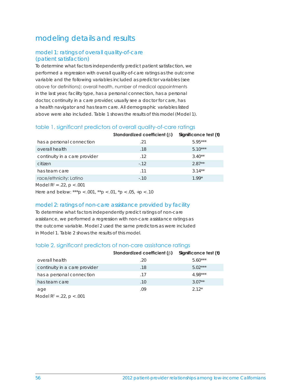## modeling details and results

### model 1: ratings of overall quality-of-care (patient satisfaction)

To determine what factors independently predict patient satisfaction, we performed a regression with overall quality-of-care ratings as the outcome variable and the following variables included as predictor variables (see above for definitions): overall health, number of medical appointments in the last year, facility type, has a personal connection, has a personal doctor, continuity in a care provider, usually see a doctor for care, has a health navigator and has team care. All demographic variables listed above were also included. Table 1 shows the results of this model (Model 1).

## table 1. significant predictors of overall quality-of-care ratings

|                                | Standardized coefficient $(\beta)$ | Significance test $(t)$ |
|--------------------------------|------------------------------------|-------------------------|
| has a personal connection      | .21                                | $5.95***$               |
| overall health                 | .18                                | $5.10***$               |
| continuity in a care provider  | .12                                | $3.40**$                |
| citizen                        | $-.12$                             | $2.87**$                |
| has team care                  | .11                                | $3.14**$                |
| race/ethnicity: Latino         | $-.10$                             | $1.99*$                 |
| Model $R^2 = .22$ , $p < .001$ |                                    |                         |

Here and below: \*\*\**p* < .001, \*\**p* < .01, \**p* < .05, +*p* < .10

### model 2: ratings of non-care assistance provided by facility

To determine what factors independently predict ratings of non-care assistance, we performed a regression with non-care assistance ratings as the outcome variable. Model 2 used the same predictors as were included in Model 1. Table 2 shows the results of this model.

## table 2. significant predictors of non-care assistance ratings

|                                      | Standardized coefficient $(\beta)$ | Significance test $(t)$ |
|--------------------------------------|------------------------------------|-------------------------|
| overall health                       | .20                                | $5.60***$               |
| continuity in a care provider        | .18                                | $5.02***$               |
| has a personal connection            | .17                                | $4.98***$               |
| has team care                        | .10                                | $3.07**$                |
| age                                  | .09                                | $2.12*$                 |
| $M \cap d \cap D2 = 22 \cap R > 001$ |                                    |                         |

Model  $R^2 = .22$ ,  $p < .001$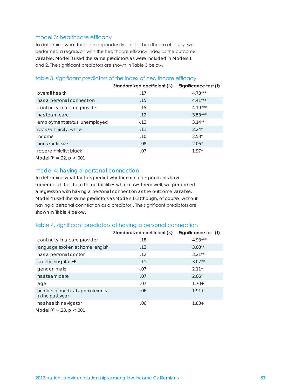#### model 3: healthcare efficacy

To determine what factors independently predict healthcare efficacy, we performed a regression with the healthcare efficacy index as the outcome variable. Model 3 used the same predictors as were included in Models 1 and 2. The significant predictors are shown in Table 3 below.

## **Standardized coefficient (**β**) Significance test (***t***)** overall health **.17** 4.73\*\*\* has a personal connection **15** and  $4.41***$ continuity in a care provider **15** 15 4.19\*\*\* has team care .12 3.53\*\*\* employment status: unemployed -.12 3.14\*\* race/ethnicity: white 2.24\* income .10 2.53\* household size  $-0.08$  2.06\* race/ethnicity: black .07 07 1.97\* Model R2 = .22, *p* < .001

### table 3. significant predictors of the index of healthcare efficacy

#### model 4: having a personal connection

To determine what factors predict whether or not respondents have someone at their healthcare facilities who knows them well, we performed a regression with having a personal connection as the outcome variable. Model 4 used the same predictors as Models 1-3 (though, of course, without having a personal connection as a predictor). The significant predictors are shown in Table 4 below.

#### table 4. significant predictors of having a personal connection

|                                                    | Standardized coefficient $(\beta)$ | Significance test $(t)$ |
|----------------------------------------------------|------------------------------------|-------------------------|
| continuity in a care provider                      | .18                                | $4.93***$               |
| language spoken at home: english                   | .13                                | $3.00**$                |
| has a personal doctor                              | .12                                | $3.21**$                |
| facility: hospital ER                              | $-.11$                             | $3.07**$                |
| gender: male                                       | $-.07$                             | $2.11*$                 |
| has team care                                      | .07                                | $2.06*$                 |
| age                                                | .07                                | $1.70+$                 |
| number of medical appointments<br>in the past year | .06                                | $1.91 +$                |
| has health navigator                               | .06                                | $1.83+$                 |
| Model $R^2 = .23$ , $p < .001$                     |                                    |                         |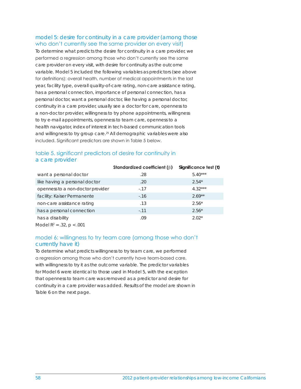#### model 5: desire for continuity in a care provider (among those who don't currently see the same provider on every visit)

To determine what predicts the desire for continuity in a care provider, we performed a regression among those who don't currently see the same care provider on every visit, with desire for continuity as the outcome variable. Model 5 included the following variables as predictors (see above for definitions): overall health, number of medical appointments in the last year, facility type, overall quality-of-care rating, non-care assistance rating, has a personal connection, importance of personal connection, has a personal doctor, want a personal doctor, like having a personal doctor, continuity in a care provider, usually see a doctor for care, openness to a non-doctor provider, willingness to try phone appointments, willingness to try e-mail appointments, openness to team care, openness to a health navigator, index of interest in tech-based communication tools and willingness to try group care.25 All demographic variables were also included. Significant predictors are shown in Table 5 below.

|                                   | Standardized coefficient $(\beta)$ | Significance test $(t)$ |
|-----------------------------------|------------------------------------|-------------------------|
| want a personal doctor            | .28                                | $5.40***$               |
| like having a personal doctor     | .20                                | $2.54*$                 |
| openness to a non-doctor provider | $-17$                              | $4.32***$               |
| facility: Kaiser Permanente       | $-16$                              | $2.69**$                |
| non-care assistance rating        | .13                                | $2.56*$                 |
| has a personal connection         | $-.11$                             | $2.56*$                 |
| has a disability                  | .09                                | $2.02*$                 |
| Model $R^2 = .32$ , $p < .001$    |                                    |                         |

## table 5. significant predictors of desire for continuity in a care provider

## model 6: willingness to try team care (among those who don't currently have it)

To determine what predicts willingness to try team care, we performed a regression among those who don't currently have team-based care, with willingness to try it as the outcome variable. The predictor variables for Model 6 were identical to those used in Model 5, with the exception that openness to team care was removed as a predictor and desire for continuity in a care provider was added. Results of the model are shown in Table 6 on the next page.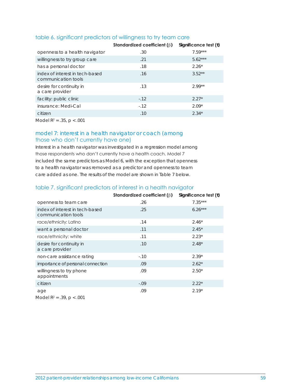|                                                        | Standardized coefficient ( $\beta$ ) | Significance test $(t)$ |
|--------------------------------------------------------|--------------------------------------|-------------------------|
| openness to a health navigator                         | .30                                  | $7.59***$               |
| willingness to try group care                          | .21                                  | $5.62***$               |
| has a personal doctor                                  | .18                                  | $2.26*$                 |
| index of interest in tech-based<br>communication tools | .16                                  | $3.52**$                |
| desire for continuity in<br>a care provider            | .13                                  | $2.99**$                |
| facility: public clinic                                | $-.12$                               | $2.27*$                 |
| insurance: Medi-Cal                                    | $-12$                                | $2.09*$                 |
| citizen                                                | .10                                  | $2.34*$                 |
| Model $R^2 = .35$ , $p < .001$                         |                                      |                         |

## table 6. significant predictors of willingness to try team care

### model 7: interest in a health navigator or coach (among those who don't currently have one)

Interest in a health navigator was investigated in a regression model among those respondents who don't currently have a health coach. Model 7 included the same predictors as Model 6, with the exception that openness to a health navigator was removed as a predictor and openness to team care added as one. The results of the model are shown in Table 7 below.

## table 7. significant predictors of interest in a health navigator

|                                                        | Standardized coefficient $(\beta)$ | Significance test $(t)$ |
|--------------------------------------------------------|------------------------------------|-------------------------|
| openness to team care                                  | .26                                | $7.35***$               |
| index of interest in tech-based<br>communication tools | .25                                | $6.26***$               |
| race/ethnicity: Latino                                 | .14                                | $2.46*$                 |
| want a personal doctor                                 | .11                                | $2.45*$                 |
| race/ethnicity: white                                  | .11                                | $2.23*$                 |
| desire for continuity in<br>a care provider            | .10                                | $2.48*$                 |
| non-care assistance rating                             | $-.10$                             | $2.39*$                 |
| importance of personal connection                      | .09                                | $2.62*$                 |
| willingness to try phone<br>appointments               | .09                                | $2.50*$                 |
| citizen                                                | $-.09$                             | $2.22*$                 |
| age<br>$MA =  N^2 - 2Q  \approx 0.01$                  | .09                                | $2.19*$                 |

Model R2 = .39, *p* < .001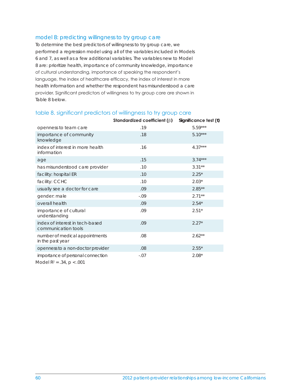#### model 8: predicting willingness to try group care

To determine the best predictors of willingness to try group care, we performed a regression model using all of the variables included in Models 6 and 7, as well as a few additional variables. The variables new to Model 8 are: prioritize health, importance of community knowledge, importance of cultural understanding, importance of speaking the respondent's language, the index of healthcare efficacy, the index of interest in more health information and whether the respondent has misunderstood a care provider. Significant predictors of willingness to try group care are shown in Table 8 below.

|                                                                            | Standardized coefficient $(\beta)$ | Significance test (t) |
|----------------------------------------------------------------------------|------------------------------------|-----------------------|
| openness to team care                                                      | .19                                | $5.59***$             |
| importance of community<br>knowledge                                       | .18                                | $5.10***$             |
| index of interest in more health<br>information                            | .16                                | $4.37***$             |
| age                                                                        | .15                                | $3.74***$             |
| has misunderstood care provider                                            | .10                                | $3.31**$              |
| facility: hospital ER                                                      | .10                                | $2.25*$               |
| facility: CCHC                                                             | .10                                | $2.03*$               |
| usually see a doctor for care                                              | .09                                | $2.85***$             |
| gender: male                                                               | $-.09$                             | $2.71***$             |
| overall health                                                             | .09                                | $2.54*$               |
| importance of cultural<br>understanding                                    | .09                                | $2.51*$               |
| index of interest in tech-based<br>communication tools                     | .09                                | $2.27*$               |
| number of medical appointments<br>in the past year                         | .08                                | $2.62**$              |
| openness to a non-doctor provider                                          | .08                                | $2.55*$               |
| importance of personal connection<br>$M \sim \sim 100$ $\Omega$ $\sim 001$ | $-.07$                             | $2.08*$               |

#### table 8. significant predictors of willingness to try group care

Model R2 = .34, *p* < .001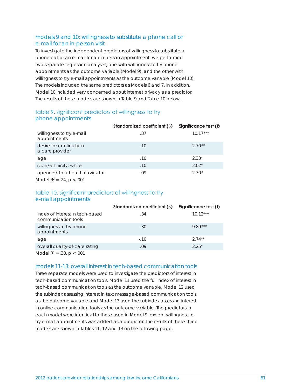### models 9 and 10: willingness to substitute a phone call or e-mail for an in-person visit

To investigate the independent predictors of willingness to substitute a phone call or an e-mail for an in-person appointment, we performed two separate regression analyses, one with willingness to try phone appointments as the outcome variable (Model 9), and the other with willingness to try e-mail appointments as the outcome variable (Model 10). The models included the same predictors as Models 6 and 7. In addition, Model 10 included very concerned about internet privacy as a predictor. The results of these models are shown in Table 9 and Table 10 below.

## table 9. significant predictors of willingness to try phone appointments

|                                             | Standardized coefficient $(\beta)$ | Significance test $(t)$ |
|---------------------------------------------|------------------------------------|-------------------------|
| willingness to try e-mail<br>appointments   | .37                                | $10.17***$              |
| desire for continuity in<br>a care provider | .10                                | $2.70**$                |
| age                                         | .10                                | $2.33*$                 |
| race/ethnicity: white                       | .10                                | $2.02*$                 |
| openness to a health navigator              | .09                                | $2.30*$                 |
| Model $R^2 = .24$ , $p < .001$              |                                    |                         |

#### table 10. significant predictors of willingness to try e-mail appointments

|                                                        | Standardized coefficient $(\beta)$ | Significance test $(t)$ |
|--------------------------------------------------------|------------------------------------|-------------------------|
| index of interest in tech-based<br>communication tools | .34                                | $10.12***$              |
| willingness to try phone<br>appointments               | .30                                | $9.89***$               |
| age                                                    | $-.10$                             | $2.74**$                |
| overall quality-of-care rating                         | .09                                | $2.25*$                 |
|                                                        |                                    |                         |

Model R2 = .38, *p* < .001

## models 11-13: overall interest in tech-based communication tools

Three separate models were used to investigate the predictors of interest in tech-based communication tools. Model 11 used the full index of interest in tech-based communication tools as the outcome variable, Model 12 used the subindex assessing interest in text message-based communication tools as the outcome variable and Model 13 used the subindex assessing interest in online communication tools as the outcome variable. The predictors in each model were identical to those used in Model 9, except willingness to try e-mail appointments was added as a predictor. The results of these three models are shown in Tables 11, 12 and 13 on the following page.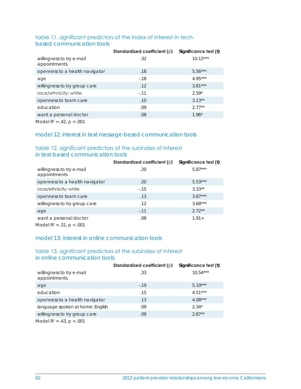## table 11. significant predictors of the index of interest in techbased communication tools

|                                           | Standardized coefficient $(\beta)$ | Significance test $(t)$ |
|-------------------------------------------|------------------------------------|-------------------------|
| willingness to try e-mail<br>appointments | .32                                | $10.12***$              |
| openness to a health navigator            | .18                                | $5.56***$               |
| age                                       | $-18$                              | $4.95***$               |
| willingness to try group care             | .12                                | $3.81***$               |
| race/ethnicity: white                     | $-.11$                             | $2.59*$                 |
| openness to team care                     | .10                                | $3.13**$                |
| education                                 | .09                                | $2.77**$                |
| want a personal doctor                    | .08                                | $1.96*$                 |
| $\blacksquare$                            |                                    |                         |

Model R2 = .42, *p* < .001

## model 12: interest in text message-based communication tools

## table 12. significant predictors of the subindex of interest in text-based communication tools

|                                                      | Standardized coefficient $(\beta)$ | Significance test $(t)$ |
|------------------------------------------------------|------------------------------------|-------------------------|
| willingness to try e-mail<br>appointments            | .20                                | $5.87***$               |
| openness to a health navigator                       | .20                                | $5.53***$               |
| race/ethnicity: white                                | $-0.15$                            | $3.33**$                |
| openness to team care                                | .13                                | $3.87***$               |
| willingness to try group care                        | .12                                | $3.68***$               |
| age                                                  | $-.11$                             | $2.72**$                |
| want a personal doctor<br>$MA = -10^2$ $21 \div 001$ | .08                                | $1.91 +$                |

Model R2 = .31, *p* < .001

## model 13: interest in online communication tools

## table 13. significant predictors of the subindex of interest in online communication tools

|                                           | Standardized coefficient $(\beta)$ | Significance test $(t)$ |
|-------------------------------------------|------------------------------------|-------------------------|
| willingness to try e-mail<br>appointments | .33                                | $10.54***$              |
| age                                       | $-19$                              | $5.19***$               |
| education                                 | .15                                | $4.51***$               |
| openness to a health navigator            | .13                                | $4.08***$               |
| language spoken at home: English          | .09                                | $2.34*$                 |
| willingness to try group care             | .09                                | $2.87**$                |
| Model $R^2 = .43$ , $p < .001$            |                                    |                         |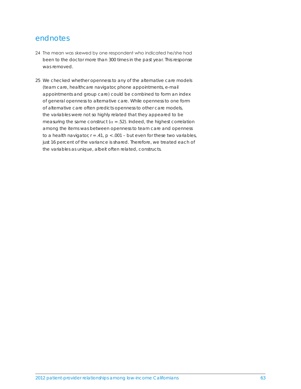## endnotes

- 24 The mean was skewed by one respondent who indicated he/she had been to the doctor more than 300 times in the past year. This response was removed.
- 25 We checked whether openness to any of the alternative care models (team care, healthcare navigator, phone appointments, e-mail appointments and group care) could be combined to form an index of general openness to alternative care. While openness to one form of alternative care often predicts openness to other care models, the variables were not so highly related that they appeared to be measuring the same construct ( $\alpha$  = .52). Indeed, the highest correlation among the items was between openness to team care and openness to a health navigator,  $r = .41$ ,  $p < .001$  – but even for these two variables, just 16 percent of the variance is shared. Therefore, we treated each of the variables as unique, albeit often related, constructs.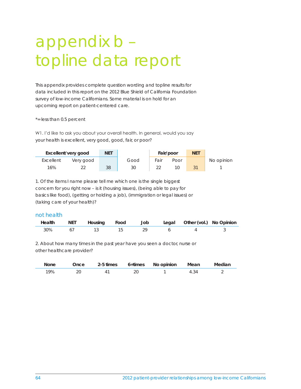# appendix b – topline data report

This appendix provides complete question wording and topline results for data included in this report on the 2012 Blue Shield of California Foundation survey of low-income Californians. Some material is on hold for an upcoming report on patient-centered care.

\*= less than 0.5 percent

W1. I'd like to ask you about your overall health. In general, would you say your health is excellent, very good, good, fair, or poor?

|           | Excellent/very good | <b>NET</b> |      | Fair/poor |      | <b>NET</b> |            |
|-----------|---------------------|------------|------|-----------|------|------------|------------|
| Excellent | Very good           |            | Good | Fair      | Poor |            | No opinion |
| 16%       |                     | 38         | 30   |           |      |            |            |

1. Of the items I name please tell me which one is the single biggest concern for you right now – is it (housing issues), (being able to pay for basics like food), (getting or holding a job), (immigration or legal issues) or (taking care of your health)?

#### not health

| Health | NET Housing Food Job |  | Legal Other (vol.) No Opinion |  |
|--------|----------------------|--|-------------------------------|--|
| 30%    |                      |  |                               |  |

2. About how many times in the past year have you seen a doctor, nurse or other healthcare provider?

| None | Once |  | 2-5 times 6+times No opinion | Mean | Median |
|------|------|--|------------------------------|------|--------|
| 9%   | 20   |  |                              |      |        |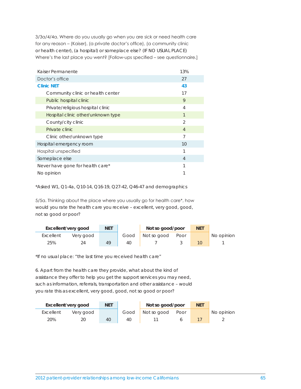3/3a/4/4a. Where do you usually go when you are sick or need health care for any reason – (Kaiser), (a private doctor's office), (a community clinic or health center), (a hospital) or someplace else? (IF NO USUAL PLACE) Where's the last place you went? [Follow-ups specified – see questionnaire.]

| Kaiser Permanente                  | 13%            |
|------------------------------------|----------------|
| Doctor's office                    | 27             |
| <b>Clinic NET</b>                  | 43             |
| Community clinic or health center  | 17             |
| Public hospital clinic             | 9              |
| Private/religious hospital clinic  | $\overline{4}$ |
| Hospital clinic other/unknown type | $\mathbf{1}$   |
| County/city clinic                 | $\mathcal{P}$  |
| Private clinic                     | $\overline{4}$ |
| Clinic other/unknown type          | 7              |
| Hospital emergency room            | 10             |
| Hospital unspecified               | 1              |
| Someplace else                     | $\overline{4}$ |
| Never have gone for health care*   | 1              |
| No opinion                         |                |

\*Asked W1, Q1-4a, Q10-14, Q16-19, Q27-42, Q46-47 and demographics

5/5a. Thinking about the place where you usually go for health care\*, how would you rate the health care you receive – excellent, very good, good, not so good or poor?

|           | Excellent/very good | <b>NET</b> |      | Not so good/poor |      | <b>NET</b> |            |
|-----------|---------------------|------------|------|------------------|------|------------|------------|
| Excellent | Very good           |            | Good | Not so good      | Poor |            | No opinion |
| 25%       |                     | 49         | 40   |                  |      |            |            |

\*If no usual place: "the last time you received health care"

6. Apart from the health care they provide, what about the kind of assistance they offer to help you get the support services you may need, such as information, referrals, transportation and other assistance – would you rate this as excellent, very good, good, not so good or poor?

|           | Excellent/very good | <b>NET</b> |      | Not so good/poor |      | <b>NET</b> |            |
|-----------|---------------------|------------|------|------------------|------|------------|------------|
| Excellent | Very good           |            | Good | Not so good      | Poor |            | No opinion |
| 20%       |                     | 40         | 40   |                  |      |            |            |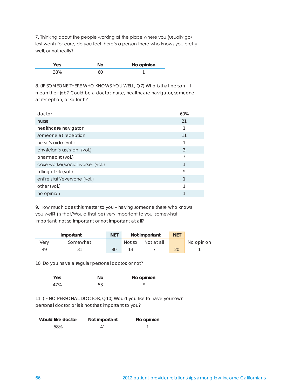7. Thinking about the people working at the place where you (usually go/ last went) for care, do you feel there's a person there who knows you pretty well, or not really?

| es. | No opinion |
|-----|------------|
|     |            |

8. (IF SOMEONE THERE WHO KNOWS YOU WELL, Q7) Who is that person – I mean their job? Could be a doctor, nurse, healthcare navigator, someone at reception, or so forth?

| doctor                           | 60%     |
|----------------------------------|---------|
| nurse                            | 21      |
| healthcare navigator             | 1       |
| someone at reception             | 11      |
| nurse's aide (vol.)              | 1       |
| physician's assistant (vol.)     | 3       |
| pharmacist (vol.)                | $\star$ |
| case worker/social worker (vol.) | 1       |
| billing clerk (vol.)             | $\star$ |
| entire staff/everyone (vol.)     | 1       |
| other (vol.)                     | 1       |
| no opinion                       |         |

9. How much does this matter to you – having someone there who knows you well? (Is that/Would that be) very important to you, somewhat important, not so important or not important at all?

| Important |          | <b>NET</b> | Not important |            | <b>NET</b> |            |
|-----------|----------|------------|---------------|------------|------------|------------|
| very      | Somewhat |            | Not so        | Not at all |            | No opinion |
| 49        |          | 80         |               |            | 20         |            |

10. Do you have a regular personal doctor, or not?

|  | No opinion |
|--|------------|
|  |            |

11. (IF NO PERSONAL DOCTOR, Q10) Would you like to have your own personal doctor, or is it not that important to you?

| Would like doctor | Not important | No opinion |
|-------------------|---------------|------------|
| 58%               |               |            |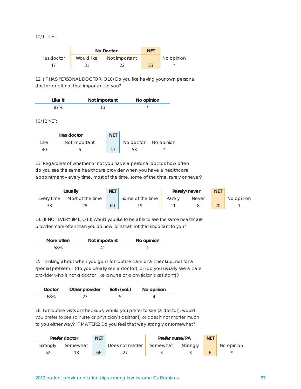10/11 NET:

|            |            | No Doctor     | <b>NFT</b> |            |
|------------|------------|---------------|------------|------------|
| Has doctor | Would like | Not important |            | No opinion |
| 41         | 31         |               | 53         | $^\star$   |

12. (IF HAS PERSONAL DOCTOR, Q10) Do you like having your own personal doctor, or is it not that important to you?

| Like it | Not important | No opinion |
|---------|---------------|------------|
| 87%     |               |            |

10/12 NET:

|      | Has doctor    | <b>NET</b> |                      |            |
|------|---------------|------------|----------------------|------------|
| Like | Not important |            | No doctor No opinion |            |
| 40   |               | 47         | 53                   | $^{\star}$ |

13. Regardless of whether or not you have a personal doctor, how often do you see the same healthcare provider when you have a healthcare appointment – every time, most of the time, some of the time, rarely or never?

| Usually    |                  | <b>NET</b> |                  |        | Rarely/never | <b>NET</b> |            |
|------------|------------------|------------|------------------|--------|--------------|------------|------------|
| Everv time | Most of the time |            | Some of the time | Rarely | <b>Never</b> |            | No opinion |
| 33         |                  | 60         |                  |        |              |            |            |

14. (IF NOT EVERY TIME, Q13) Would you like to be able to see the same healthcare provider more often than you do now, or is that not that important to you?

| More often | Not important | No opinion |
|------------|---------------|------------|
| 58%        |               |            |

15. Thinking about when you go in for routine care or a checkup, not for a special problem – (do you usually see a doctor), or (do you usually see a care provider who is not a doctor, like a nurse or a physician's assistant)?

| Doctor | Other provider Both (vol.) | No opinion |
|--------|----------------------------|------------|
| 68%    |                            |            |

16. For routine visits or checkups, would you prefer to see (a doctor), would you prefer to see (a nurse or physician's assistant) or does it not matter much to you either way? IF MATTERS: Do you feel that way strongly or somewhat?

| <b>NET</b><br>Prefer doctor |          |    |                          | Prefer nurse/PA |          | <b>NET</b> |            |
|-----------------------------|----------|----|--------------------------|-----------------|----------|------------|------------|
| Stronaly                    | Somewhat |    | Does not matter Somewhat |                 | Stronaly |            | No opinion |
| Бſ                          |          | 66 |                          |                 |          |            |            |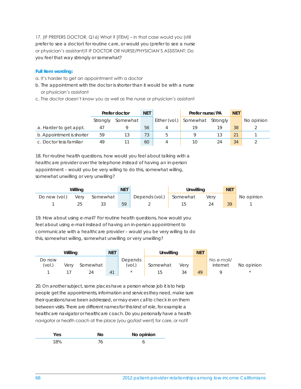17. (IF PREFERS DOCTOR, Q16) What if [ITEM] – in that case would you (still prefer to see a doctor) for routine care, or would you (prefer to see a nurse or physician's assistant)? IF DOCTOR OR NURSE/PHYSICIAN'S ASSISTANT: Do you feel that way strongly or somewhat?

#### **Full item wording:**

- a. It's harder to get an appointment with a doctor
- b. The appointment with the doctor is shorter than it would be with a nurse or physician's assistant
- c. The doctor doesn't know you as well as the nurse or physician's assistant

|                           | Prefer doctor |          | <b>NET</b> |               | Prefer nurse/PA |          | <b>NET</b> |            |
|---------------------------|---------------|----------|------------|---------------|-----------------|----------|------------|------------|
|                           | Strongly      | Somewhat |            | Either (vol.) | Somewhat        | Strongly |            | No opinion |
| a. Harder to get appt.    |               |          | 56         |               | 19              | 19       | 38         |            |
| b. Appointment is shorter | 59            |          | 73         |               |                 |          | 21         |            |
| c. Doctor less familiar   | 49            |          | 60         |               | 10              |          | 34         |            |

18. For routine health questions, how would you feel about talking with a healthcare provider over the telephone instead of having an in-person appointment – would you be very willing to do this, somewhat willing, somewhat unwilling or very unwilling?

| Willing       |      |          | <b>NET</b> |                | Unwillina |      | <b>NET</b> |            |
|---------------|------|----------|------------|----------------|-----------|------|------------|------------|
| Do now (vol.) | Verv | Somewhat |            | Depends (vol.) | Somewhat  | Verv |            | No opinion |
|               |      | 33       | 59         |                |           |      | 30         |            |

19. How about using e-mail? For routine health questions, how would you feel about using e-mail instead of having an in-person appointment to communicate with a healthcare provider – would you be very willing to do this, somewhat willing, somewhat unwilling or very unwilling?

|                  | Willing |          | <b>NET</b>     |                   | <b>Unwilling</b> |      | <b>NET</b> |                        |            |
|------------------|---------|----------|----------------|-------------------|------------------|------|------------|------------------------|------------|
| Do now<br>(vol.) | Verv    | Somewhat |                | Depends<br>(vol.) | Somewhat         | Verv |            | No e-mail/<br>internet | No opinion |
|                  |         | 24       | 4 <sup>1</sup> | $\star$           | 15.              |      | 49         |                        | $\star$    |

20. On another subject, some places have a person whose job it is to help people get the appointments, information and services they need, make sure their questions have been addressed, or may even call to check in on them between visits. There are different names for this kind of role, for example a healthcare navigator or healthcare coach. Do you personally have a health navigator or health coach at the place (you go/last went) for care, or not?

| ۰۱. | No opinion |
|-----|------------|
|     |            |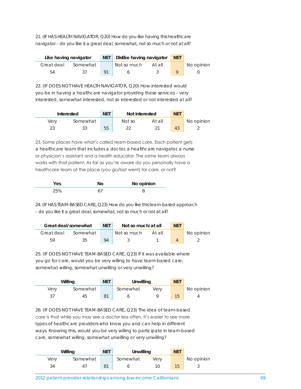21. (IF HAS HEALTH NAVIGATOR, Q20) How do you like having this healthcare navigator – do you like it a great deal, somewhat, not so much or not at all?

| Like having navigator |          | NET   Dislike having navigator | <b>NET</b> |  |            |
|-----------------------|----------|--------------------------------|------------|--|------------|
| Great deal            | Somewhat | Not so much                    | At all     |  | No opinion |
| 54                    | 27       |                                |            |  |            |

22. (IF DOES NOT HAVE HEALTH NAVIGATOR, Q20) How interested would you be in having a healthcare navigator providing these services – very interested, somewhat interested, not so interested or not interested at all?

| Interested |          | <b>NET</b> | Not interested |        | <b>NET</b> |            |
|------------|----------|------------|----------------|--------|------------|------------|
| Verv       | Somewhat |            | Not so         | At all |            | No opinion |
|            |          | 55         |                |        | 43         |            |

23. Some places have what's called team-based care. Each patient gets a healthcare team that includes a doctor, a healthcare navigator, a nurse or physician's assistant and a health educator. The same team always works with that patient. As far as you're aware do you personally have a healthcare team at the place (you go/last went) for care, or not?

|  | No opinion |
|--|------------|
|  |            |

24. (IF HAS TEAM-BASED CARE, Q23) How do you like this team-based approach – do you like it a great deal, somewhat, not so much or not at all?

| Great deal/somewhat |          | <b>NFT</b> | Not so much/at all | <b>NET</b> |  |            |
|---------------------|----------|------------|--------------------|------------|--|------------|
| Great deal          | Somewhat |            | Not so much        | At all     |  | No opinion |
| БΟ                  |          | QΔ         |                    |            |  |            |

25. (IF DOES NOT HAVE TEAM-BASED CARE, Q23) If it was available where you go for care, would you be very willing to have team-based care, somewhat willing, somewhat unwilling or very unwilling?

|      | Willing  | <b>NET</b>     | Unwilling |      | <b>NET</b> |            |
|------|----------|----------------|-----------|------|------------|------------|
| Verv | Somewhat |                | Somewhat  | Verv |            | No opinion |
|      | 45       | 8 <sup>1</sup> |           |      |            |            |

26. (IF DOES NOT HAVE TEAM-BASED CARE, Q23) The idea of team-based care is that while you may see a doctor less often, it's easier to see more types of healthcare providers who know you and can help in different ways. Knowing this, would you be very willing to participate in team-based care, somewhat willing, somewhat unwilling or very unwilling?

|      | Willing  | <b>NET</b> | Unwilling |      | <b>NET</b> |            |
|------|----------|------------|-----------|------|------------|------------|
| Verv | Somewhat |            | Somewhat  | Verv |            | No opinion |
|      |          |            |           |      | 15         |            |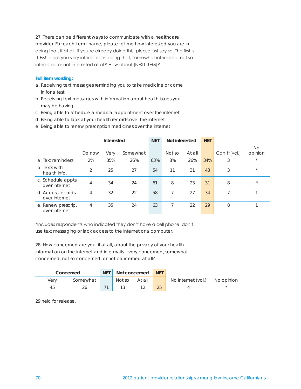27. There can be different ways to communicate with a healthcare provider. For each item I name, please tell me how interested you are in doing that, if at all. If you're already doing this, please just say so. The first is [ITEM] – are you very interested in doing that, somewhat interested, not so interested or not interested at all? How about [NEXT ITEM]?

#### **Full item wording:**

- a. Receiving text messages reminding you to take medicine or come in for a test
- b. Receiving text messages with information about health issues you may be having
- c. Being able to schedule a medical appointment over the internet
- d. Being able to look at your health records over the internet
- e. Being able to renew prescription medicines over the internet

|                                     | Interested |      | <b>NET</b> | Not interested |        | <b>NET</b> |     |              |               |
|-------------------------------------|------------|------|------------|----------------|--------|------------|-----|--------------|---------------|
|                                     | Do now     | Very | Somewhat   |                | Not so | At all     |     | Can't*(vol.) | No<br>opinion |
| a. Text reminders                   | 2%         | 35%  | 26%        | 63%            | 8%     | 26%        | 34% | 3            | $\star$       |
| b. Texts with<br>health info.       | 2          | 25   | 27         | 54             | 11     | 31         | 43  | 3            | $\star$       |
| c. Schedule appts.<br>over internet | 4          | 34   | 24         | 61             | 8      | 23         | 31  | 8            | $\star$       |
| d. Access records<br>over internet  | 4          | 32   | 22         | 58             | 7      | 27         | 34  |              |               |
| e. Renew prescrip.<br>over internet | 4          | 35   | 24         | 63             | 7      | 22         | 29  | 8            |               |

\*Includes respondents who indicated they don't have a cell phone, don't use text messaging or lack access to the internet or a computer.

28. How concerned are you, if at all, about the privacy of your health information on the internet and in e-mails – very concerned, somewhat concerned, not so concerned, or not concerned at all?

|      | Concerned | Net 1 |        | Not concerned NET |    |                               |  |
|------|-----------|-------|--------|-------------------|----|-------------------------------|--|
| Verv | Somewhat  |       | Not so | At all            |    | No Internet (vol.) No opinion |  |
| 45   |           |       |        |                   | 25 |                               |  |

29 held for release.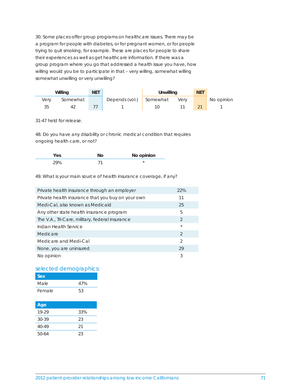30. Some places offer group programs on healthcare issues. There may be a program for people with diabetes, or for pregnant women, or for people trying to quit smoking, for example. These are places for people to share their experiences as well as get healthcare information. If there was a group program where you go that addressed a health issue you have, how willing would you be to participate in that – very willing, somewhat willing somewhat unwilling or very unwilling?

|      | Willing  | <b>NET</b> |                         | Unwilling |      | <b>NET</b> |            |
|------|----------|------------|-------------------------|-----------|------|------------|------------|
| Verv | Somewhat |            | Depends (vol.) Somewhat |           | Verv |            | No opinion |
| 35   | 47       |            |                         |           |      |            |            |

31-47 held for release.

48. Do you have any disability or chronic medical condition that requires ongoing health care, or not?

|  | No opinion |
|--|------------|
|  |            |

49. What is your main source of health insurance coverage, if any?

| Private health insurance through an employer      | 22%            |
|---------------------------------------------------|----------------|
| Private health insurance that you buy on your own | 11             |
| Medi-Cal, also known as Medicaid                  | 25             |
| Any other state health insurance program          | 5              |
| The V.A., Tri-Care, military, federal insurance   | $\mathcal{D}$  |
| Indian Health Service                             | $\star$        |
| Medicare                                          | $\mathcal{D}$  |
| Medicare and Medi-Cal                             | $\mathfrak{D}$ |
| None, you are uninsured                           | 29             |
| No opinion                                        | 3              |

#### selected demographics:

| Sex    |     |
|--------|-----|
| Male   | 47% |
| Female | 53  |

| Age       |     |
|-----------|-----|
| 19-29     | 33% |
| $30 - 39$ | 23  |
| $40 - 49$ | 21  |
| 50-64     | 23  |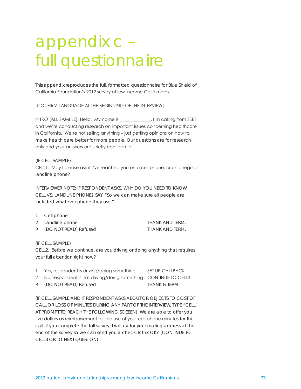# appendix c – full questionnaire

This appendix reproduces the full, formatted questionnaire for Blue Shield of California Foundation's 2012 survey of low-income Californians.

[CONFIRM LANGUAGE AT THE BEGINNING OF THE INTERVIEW]

INTRO [ALL SAMPLE]: Hello. My name is \_\_\_\_\_\_\_\_\_\_\_\_\_\_. I'm calling from SSRS and we're conducting research on important issues concerning healthcare in California. We're not selling anything – just getting opinions on how to make health care better for more people. Our questions are for research only and your answers are strictly confidential.

#### (IF CELL SAMPLE)

CELL1. May I please ask if I've reached you on a cell phone, or on a regular landline phone?

INTERVIEWER NOTE: IF RESPONDENT ASKS, WHY DO YOU NEED TO KNOW CELL VS. LANDLINE PHONE? SAY, "So we can make sure all people are included whatever phone they use."

- 1 Cell phone
- 2 Landline phone THANK AND TERM.
- R (DO NOT READ) Refused THANK AND TERM.

#### (IF CELL SAMPLE)

CELL2. Before we continue, are you driving or doing anything that requires your full attention right now?

| Yes, respondent is driving/doing something                        | SET UP CALLBACK |
|-------------------------------------------------------------------|-----------------|
| 2 No, respondent is not driving/doing something CONTINUE TO CELL3 |                 |
| R (DO NOT READ) Refused                                           | THANK & TERM.   |

(IF CELL SAMPLE AND IF RESPONDENT ASKS ABOUT OR OBJECTS TO COST OF CALL OR LOSS OF MINUTES DURING ANY PART OF THE INTERVIEW, TYPE "CELL" AT PROMPT TO REACH THE FOLLOWING SCEEEN): We are able to offer you five dollars as reimbursement for the use of your cell phone minutes for this call. If you complete the full survey, I will ask for your mailing address at the end of the survey so we can send you a check. Is this OK? (CONTINUE TO CELL3 OR TO NEXT QUESTION)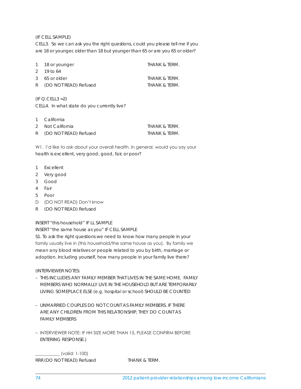(IF CELL SAMPLE)

CELL3. So we can ask you the right questions, could you please tell me if you are 18 or younger, older than 18 but younger than 65 or are you 65 or older?

| 1 18 or younger         | THANK & TERM. |
|-------------------------|---------------|
| $2, 19$ to 64           |               |
| 3 65 or older           | THANK & TERM. |
| R (DO NOT READ) Refused | THANK & TERM. |

 $(IF Q.CELL3 = 2)$ CELL4. In what state do you currently live?

1 California

| 2 Not California        | THANK & TERM. |
|-------------------------|---------------|
| R (DO NOT READ) Refused | THANK & TERM. |

W1. I'd like to ask about your overall health. In general, would you say your health is excellent, very good, good, fair, or poor?

- 1 Excellent
- 2 Very good
- 3 Good
- 4 Fair
- 5 Poor
- D (DO NOT READ) Don't know
- R (DO NOT READ) Refused

INSERT "this household" IF LL SAMPLE

INSERT "the same house as you" IF CELL SAMPLE

S1. To ask the right questions we need to know how many people in your family usually live in (this household/the same house as you). By family we mean any blood relatives or people related to you by birth, marriage or adoption. Including yourself, how many people in your family live there?

(INTERVIEWER NOTES:

- THIS INCLUDES ANY FAMILY MEMBER THAT LIVES IN THE SAME HOME. FAMILY MEMBERS WHO NORMALLY LIVE IN THE HOUSEHOLD BUT ARE TEMPORARILY LIVING SOMEPLACE ELSE (e.g. hospital or school) SHOULD BE COUNTED
- UNMARRIED COUPLES DO NOT COUNT AS FAMILY MEMBERS. IF THERE ARE ANY CHILDREN FROM THIS RELATIONSHIP, THEY DO COUNT AS FAMILY MEMBERS
- INTERVIEWER NOTE: IF HH SIZE MORE THAN 15, PLEASE CONFIRM BEFORE ENTERING RESPONSE.)

\_\_\_\_\_\_\_\_\_\_\_ (valid: 1-100) RRR (DO NOT READ) Refused THANK & TERM.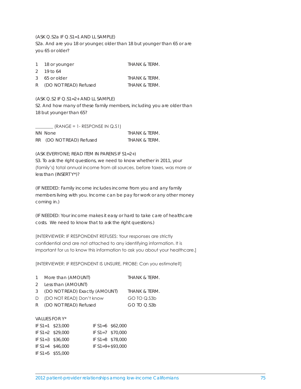#### (ASK Q.S2a IF Q.S1=1 AND LL SAMPLE)

S2a. And are you 18 or younger, older than 18 but younger than 65 or are you 65 or older?

| 1 18 or younger | THANK & TERM. |
|-----------------|---------------|
| 2 19 to $64$    |               |
| $3-65$ or older | THANK & TERM. |

| R | (DO NOT READ) Refused | THANK & TERM. |
|---|-----------------------|---------------|

#### (ASK Q.S2 IF Q.S1=2+ AND LL SAMPLE)

S2. And how many of these family members, including you are older than 18 but younger than 65?

| $(RANGE = 1 - RESPONSE IN Q.S1)$ |               |
|----------------------------------|---------------|
| NN None                          | THANK & TERM. |
| RR (DO NOT READ) Refused         | THANK & TERM. |

#### (ASK EVERYONE; READ ITEM IN PARENS IF S1=2+)

S3. To ask the right questions, we need to know whether in 2011, your (family's) total annual income from all sources, before taxes, was more or less than (INSERT Y\*)?

(IF NEEDED: Family income includes income from you and any family members living with you. Income can be pay for work or any other money coming in.)

(IF NEEDED: Your income makes it easy or hard to take care of healthcare costs. We need to know that to ask the right questions.)

[INTERVIEWER: IF RESPONDENT REFUSES: Your responses are strictly confidential and are not attached to any identifying information. It is important for us to know this information to ask you about your healthcare.]

[INTERVIEWER: IF RESPONDENT IS UNSURE, PROBE: Can you estimate?]

| 1 More than (AMOUNT)             | THANK & TERM. |
|----------------------------------|---------------|
| 2 Less than (AMOUNT)             |               |
| 3 (DO NOT READ) Exactly (AMOUNT) | THANK & TERM. |

D (DO NOT READ) Don't know GO TO Q.S3b R (DO NOT READ) Refused GO TO Q.S3b

#### VALUES FOR Y\*

| IF $S1 = 1$ \$23,000 | IF $S1 = 6$ \$62,000  |
|----------------------|-----------------------|
| IF $S1 = 2$ \$29,000 | IF $S1 = 7$ \$70,000  |
| IF $S1 = 3$ \$36,000 | IF $S1 = 8$ \$78,000  |
| IF $S1 = 4$ \$46,000 | IF $S1 = 9 + $93,000$ |
| IF $S1 = 5$ \$55,000 |                       |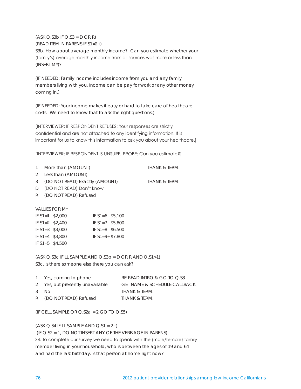$(ASK Q.S3b IF Q.S3 = D OR R)$ 

(READ ITEM IN PARENS IF S1=2+)

S3b. How about average monthly income? Can you estimate whether your (family's) average monthly income from all sources was more or less than (INSERT M\*)?

(IF NEEDED: Family income includes income from you and any family members living with you. Income can be pay for work or any other money coming in.)

(IF NEEDED: Your income makes it easy or hard to take care of healthcare costs. We need to know that to ask the right questions.)

[INTERVIEWER: IF RESPONDENT REFUSES: Your responses are strictly confidential and are not attached to any identifying information. It is important for us to know this information to ask you about your healthcare.]

[INTERVIEWER: IF RESPONDENT IS UNSURE, PROBE: Can you estimate?]

- 1 More than (AMOUNT) THANK & TERM.
- 2 Less than (AMOUNT)
- 3 (DO NOT READ) Exactly (AMOUNT) THANK & TERM.
- D (DO NOT READ) Don't know
- R (DO NOT READ) Refused

VALUES FOR M\*

| IF $S1 = 1$ \$2,000 | IF $S1 = 6$ \$5,100  |  |
|---------------------|----------------------|--|
| IF $S1 = 2$ \$2,400 | IF $S1 = 7$ \$5,800  |  |
| IF $S1 = 3$ \$3,000 | IF $S1 = 8$ \$6,500  |  |
| IF $S1 = 4$ \$3.800 | IF $S1 = 9 + $7.800$ |  |
| IF $S1 = 5$ \$4,500 |                      |  |

(ASK Q.S3c IF LL SAMPLE AND Q.S3b = D OR R AND Q.S1>1) S3c. Is there someone else there you can ask?

| 1 Yes, coming to phone           | RE-READ INTRO & GO TO O.S3              |
|----------------------------------|-----------------------------------------|
| 2 Yes, but presently unavailable | <b>GET NAME &amp; SCHEDULE CALLBACK</b> |
| 3 No.                            | THANK & TERM.                           |
| R (DO NOT READ) Refused          | THANK & TERM.                           |

(IF CELL SAMPLE OR  $Q.S2a = 2$  GO TO  $Q.S5$ )

# $(ASK Q.S4 IF LL SAMPLE AND Q.S1 = 2+)$

 (IF Q.S2 = 1, DO NOT INSERT ANY OF THE VERBIAGE IN PARENS) S4. To complete our survey we need to speak with the (male/female) family member living in your household, who is between the ages of 19 and 64 and had the last birthday. Is that person at home right now?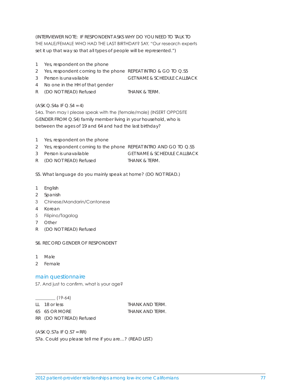(INTERVIEWER NOTE: IF RESPONDENT ASKS WHY DO YOU NEED TO TALK TO THE MALE/FEMALE WHO HAD THE LAST BIRTHDAY? SAY, "Our research experts set it up that way so that all types of people will be represented.")

- 1 Yes, respondent on the phone
- 2 Yes, respondent coming to the phone REPEAT INTRO & GO TO Q.S5
- 3 Person is unavailable GET NAME & SCHEDULE CALLBACK
- 4 No one in the HH of that gender
- R (DO NOT READ) Refused THANK & TERM.

 $(ASK Q.S4a IF Q.S4 = 4)$ 

S4a. Then may I please speak with the (female/male) (INSERT OPPOSITE GENDER FROM Q.S4) family member living in your household, who is between the ages of 19 and 64 and had the last birthday?

- 1 Yes, respondent on the phone
- 2 Yes, respondent coming to the phone REPEAT INTRO AND GO TO Q.S5
- 3 Person is unavailable GET NAME & SCHEDULE CALLBACK
- R (DO NOT READ) Refused THANK & TERM.

S5. What language do you mainly speak at home? (DO NOT READ.)

- 1 English
- 2 Spanish
- 3 Chinese/Mandarin/Cantonese
- 4 Korean
- 5 Filipino/Tagalog
- 7 Other
- R (DO NOT READ) Refused

S6. RECORD GENDER OF RESPONDENT

- 1 Male
- 2 Female

# main questionnaire

S7. And just to confirm, what is your age?

 $\frac{1}{2}$  (19-64)

LL 18 or less THANK AND TERM. 65 65 OR MORE THANK AND TERM. RR (DO NOT READ) Refused

 $(ASK Q.S7a IF Q.S7 = RR)$ S7a. Could you please tell me if you are…? (READ LIST.)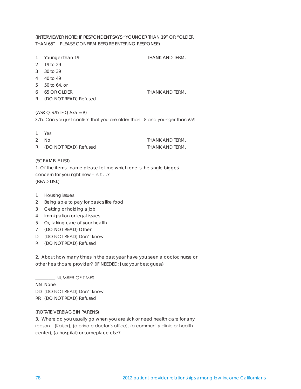# (INTERVIEWER NOTE: IF RESPONDENT SAYS "YOUNGER THAN 19" OR "OLDER THAN 65" – PLEASE CONFIRM BEFORE ENTERING RESPONSE)

- 1 Younger than 19 THANK AND TERM.
- 2 19 to 29
- 3 30 to 39
- 4 40 to 49
- 5 50 to 64, or
- 
- R (DO NOT READ) Refused

6 65 OR OLDER THANK AND TERM.

# $(ASK Q.S7b IF Q.S7a = R)$

S7b. Can you just confirm that you are older than 18 and younger than 65?

| 1<br>Yes |  |
|----------|--|
|----------|--|

| 2 $NO$                  | THANK AND TERM. |
|-------------------------|-----------------|
| R (DO NOT READ) Refused | THANK AND TERM. |

# (SCRAMBLE LIST)

1. Of the items I name please tell me which one is the single biggest concern for you right now – is it …? (READ LIST.)

- 1 Housing issues
- 2 Being able to pay for basics like food
- 3 Getting or holding a job
- 4 Immigration or legal issues
- 5 Or, taking care of your health
- 7 (DO NOT READ) Other
- D (DO NOT READ) Don't know
- R (DO NOT READ) Refused

2. About how many times in the past year have you seen a doctor, nurse or other healthcare provider? (IF NEEDED: Just your best guess)

\_\_\_\_\_\_\_\_\_ NUMBER OF TIMES

NN None

DD (DO NOT READ) Don't know

RR (DO NOT READ) Refused

# (ROTATE VERBIAGE IN PARENS)

3. Where do you usually go when you are sick or need health care for any reason – (Kaiser), (a private doctor's office), (a community clinic or health center), (a hospital) or someplace else?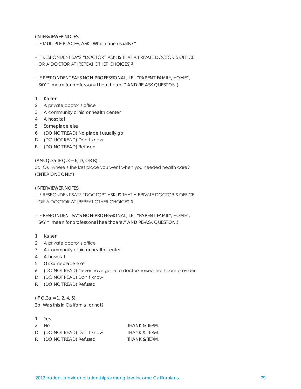(INTERVIEWER NOTES:

– IF MULTIPLE PLACES, ASK "Which one usually?"

- IF RESPONDENT SAYS "DOCTOR" ASK: IS THAT A PRIVATE DOCTOR'S OFFICE OR A DOCTOR AT [REPEAT OTHER CHOICES]?
- IF RESPONDENT SAYS NON-PROFESSIONAL, I.E., "PARENT, FAMILY, HOME", SAY "I mean for professional healthcare." AND RE-ASK QUESTION.)
- 1 Kaiser
- 2 A private doctor's office
- 3 A community clinic or health center
- 4 A hospital
- 5 Someplace else
- 6 (DO NOT READ) No place I usually go
- D (DO NOT READ) Don't know
- R (DO NOT READ) Refused

 $(ASK Q.3a IF Q.3 = 6, D, OR R)$ 

3a. OK, where's the last place you went when you needed health care? (ENTER ONE ONLY)

(INTERVIEWER NOTES:

- IF RESPONDENT SAYS "DOCTOR" ASK: IS THAT A PRIVATE DOCTOR'S OFFICE OR A DOCTOR AT [REPEAT OTHER CHOICES]?
- IF RESPONDENT SAYS NON-PROFESSIONAL, I.E., "PARENT, FAMILY, HOME", SAY "I mean for professional healthcare." AND RE-ASK QUESTION.)
- 1 Kaiser
- 2 A private doctor's office
- 3 A community clinic or health center
- 4 A hospital
- 5 Or, someplace else
- 6 (DO NOT READ) Never have gone to doctor/nurse/healthcare provider
- D (DO NOT READ) Don't know
- R (DO NOT READ) Refused

 $(IF Q.3a = 1, 2, 4, 5)$ 3b. Was this in California, or not?

1 Yes 2 No THANK & TERM. D (DO NOT READ) Don't know THANK & TERM. R (DO NOT READ) Refused THANK & TERM.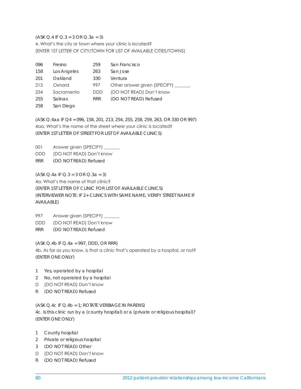$(ASK Q.4 IF Q.3 = 3 OR Q.3a = 3)$ 4. What's the city or town where your clinic is located? (ENTER 1ST LETTER OF CITY/TOWN FOR LIST OF AVAILABLE CITIES/TOWNS)

| 096 | Fresno      | 259        | San Francisco                |
|-----|-------------|------------|------------------------------|
| 158 | Los Angeles | 263        | San Jose                     |
| 201 | Oakland     | 330        | Ventura                      |
| 213 | Oxnard      | 997        | Other answer given (SPECIFY) |
| 254 | Sacramento  | <b>DDD</b> | (DO NOT READ) Don't know     |
| 255 | Salinas     | <b>RRR</b> | (DO NOT READ) Refused        |
| 258 | San Diego   |            |                              |

(ASK Q.4aa IF Q4 = 096, 158, 201, 213, 254, 255, 258, 259, 263, OR 330 OR 997) 4aa. What's the name of the street where your clinic is located? (ENTER 1ST LETTER OF STREET FOR LIST OF AVAILABLE CLINICS)

001 Answer given (SPECIFY) \_ DDD (DO NOT READ) Don't know RRR (DO NOT READ) Refused

 $(ASK Q.4a IF Q.3 = 3 OR Q.3a = 3)$ 4a. What's the name of that clinic? (ENTER 1ST LETTER OF CLINIC FOR LIST OF AVAILABLE CLINICS) (INTERVIEWER NOTE: IF 2+ CLINICS WITH SAME NAME, VERIFY STREET NAME IF AVAILABLE)

997 Answer given (SPECIFY) \_ DDD (DO NOT READ) Don't know RRR (DO NOT READ) Refused

(ASK Q.4b IF Q.4a = 997, DDD, OR RRR) 4b. As far as you know, is that a clinic that's operated by a hospital, or not? (ENTER ONE ONLY)

- 1 Yes, operated by a hospital
- 2 No, not operated by a hospital
- D (DO NOT READ) Don't know
- R (DO NOT READ) Refused

(ASK Q.4c IF Q.4b = 1; ROTATE VERBIAGE IN PARENS) 4c. Is this clinic run by a (county hospital) or a (private or religious hospital)? (ENTER ONE ONLY)

- 1 County hospital
- 2 Private or religious hospital
- 3 (DO NOT READ) Other
- D (DO NOT READ) Don't know
- R (DO NOT READ) Refused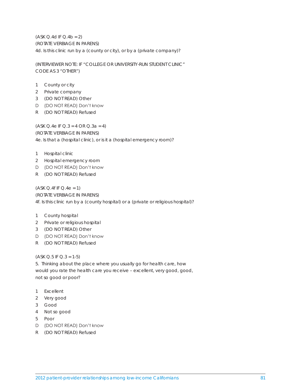$(ASK Q.4d IF Q.4b = 2)$ (ROTATE VERBIAGE IN PARENS) 4d. Is this clinic run by a (county or city), or by a (private company)?

(INTERVIEWER NOTE: IF "COLLEGE OR UNIVERSITY-RUN STUDENT CLINIC" CODE AS 3 "OTHER")

- 1 County or city
- 2 Private company
- 3 (DO NOT READ) Other
- D (DO NOT READ) Don't know
- R (DO NOT READ) Refused

(ASK Q.4e IF Q.3 = 4 OR Q.3a = 4) (ROTATE VERBIAGE IN PARENS) 4e. Is that a (hospital clinic), or is it a (hospital emergency room)?

- 1 Hospital clinic
- 2 Hospital emergency room
- D (DO NOT READ) Don't know
- R (DO NOT READ) Refused

 $(ASK Q.4f IF Q.4e = 1)$ (ROTATE VERBIAGE IN PARENS) 4f. Is this clinic run by a (county hospital) or a (private or religious hospital)?

- 1 County hospital
- 2 Private or religious hospital
- 3 (DO NOT READ) Other
- D (DO NOT READ) Don't know
- R (DO NOT READ) Refused

 $(ASK Q.5 IF Q.3 = 1-5)$ 

5. Thinking about the place where you usually go for health care, how would you rate the health care you receive – excellent, very good, good, not so good or poor?

- 1 Excellent
- 2 Very good
- 3 Good
- 4 Not so good
- 5 Poor
- D (DO NOT READ) Don't know
- R (DO NOT READ) Refused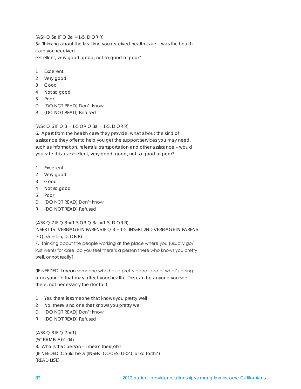(ASK Q.5a IF Q.3a = 1-5, D OR R) 5a.Thinking about the last time you received health care – was the health care you received excellent, very good, good, not so good or poor?

- 1 Excellent
- 2 Very good
- 3 Good
- 4 Not so good
- 5 Poor
- D (DO NOT READ) Don't know
- R (DO NOT READ) Refused

# $(ASK Q.6 IF Q.3 = 1-5 OR Q.3a = 1-5, D OR R)$

6. Apart from the health care they provide, what about the kind of assistance they offer to help you get the support services you may need, such as information, referrals, transportation and other assistance – would you rate this as excellent, very good, good, not so good or poor?

- 1 Excellent
- 2 Very good
- 3 Good
- 4 Not so good
- 5 Poor
- D (DO NOT READ) Don't know
- R (DO NOT READ) Refused

(ASK Q.7 IF Q.3 = 1-5 OR Q.3a = 1-5, D OR R) INSERT 1ST VERBIAGE IN PARENS IF Q.3 = 1-5; INSERT 2ND VERBIAGE IN PARENS IF Q.3a = 1-5, D, OR R)

7. Thinking about the people working at the place where you (usually go/ last went) for care, do you feel there's a person there who knows you pretty well, or not really?

(IF NEEDED: I mean someone who has a pretty good idea of what's going on in your life that may affect your health. This can be anyone you see there, not necessarily the doctor.)

- 1 Yes, there is someone that knows you pretty well
- 2 No, there is no one that knows you pretty well
- D (DO NOT READ) Don't know
- R (DO NOT READ) Refused

 $(ASK Q.8 IF Q.7 = 1)$ (SCRAMBLE 01-04) 8. Who is that person – I mean their job? (IF NEEDED: Could be a (INSERT CODES 01-04), or so forth?) (READ LIST.)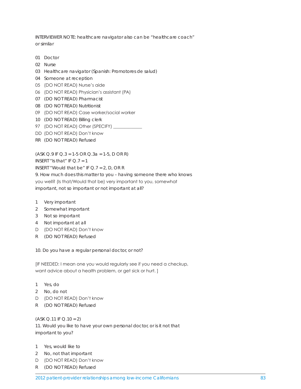INTERVIEWER NOTE: healthcare navigator also can be "healthcare coach" or similar

- 01 Doctor
- 02 Nurse
- 03 Healthcare navigator (Spanish: Promotores de salud)
- 04 Someone at reception
- 05 (DO NOT READ) Nurse's aide
- 06 (DO NOT READ) Physician's assistant (PA)
- 07 (DO NOT READ) Pharmacist
- 08 (DO NOT READ) Nutritionist
- 09 (DO NOT READ) Case worker/social worker
- 10 (DO NOT READ) Billing clerk
- 97 (DO NOT READ) Other (SPECIFY) \_\_\_\_\_\_\_\_\_\_\_\_\_
- DD (DO NOT READ) Don't know
- RR (DO NOT READ) Refused

 $(ASK Q.9 IF Q.3 = 1-5 OR Q.3a = 1-5, D OR R)$ 

INSERT "Is that" IF  $Q.7 = 1$ 

INSERT "Would that be" IF  $Q.7 = 2$ , D, OR R

9. How much does this matter to you – having someone there who knows

you well? (Is that/Would that be) very important to you, somewhat

important, not so important or not important at all?

- 1 Very important
- 2 Somewhat important
- 3 Not so important
- 4 Not important at all
- D (DO NOT READ) Don't know
- R (DO NOT READ) Refused

10. Do you have a regular personal doctor, or not?

[IF NEEDED: I mean one you would regularly see if you need a checkup, want advice about a health problem, or get sick or hurt. ]

- 1 Yes, do
- 2 No, do not
- D (DO NOT READ) Don't know
- R (DO NOT READ) Refused

(ASK Q.11 IF Q.10 = 2)

11. Would you like to have your own personal doctor, or is it not that important to you?

- 1 Yes, would like to
- 2 No, not that important
- D (DO NOT READ) Don't know
- R (DO NOT READ) Refused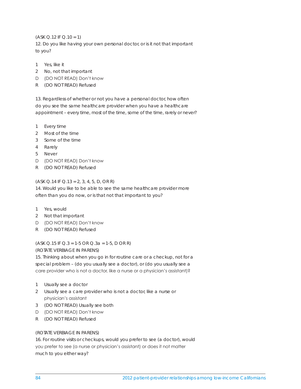(ASK Q.12 IF Q.10 = 1)

12. Do you like having your own personal doctor, or is it not that important to you?

- 1 Yes, like it
- 2 No, not that important
- D (DO NOT READ) Don't know
- R (DO NOT READ) Refused

13. Regardless of whether or not you have a personal doctor, how often do you see the same healthcare provider when you have a healthcare appointment – every time, most of the time, some of the time, rarely or never?

- 1 Every time
- 2 Most of the time
- 3 Some of the time
- 4 Rarely
- 5 Never
- D (DO NOT READ) Don't know
- R (DO NOT READ) Refused

## $(ASK Q.14 IF Q.13 = 2, 3, 4, 5, D, OR R)$

14. Would you like to be able to see the same healthcare provider more often than you do now, or is that not that important to you?

- 1 Yes, would
- 2 Not that important
- D (DO NOT READ) Don't know
- R (DO NOT READ) Refused

(ASK Q.15 IF Q.3 = 1-5 OR Q.3a = 1-5, D OR R)

(ROTATE VERBIAGE IN PARENS)

15. Thinking about when you go in for routine care or a checkup, not for a special problem – (do you usually see a doctor), or (do you usually see a care provider who is not a doctor, like a nurse or a physician's assistant)?

- 1 Usually see a doctor
- 2 Usually see a care provider who is not a doctor, like a nurse or physician's assistant
- 3 (DO NOT READ) Usually see both
- D (DO NOT READ) Don't know
- R (DO NOT READ) Refused

# (ROTATE VERBIAGE IN PARENS)

16. For routine visits or checkups, would you prefer to see (a doctor), would you prefer to see (a nurse or physician's assistant) or does it not matter much to you either way?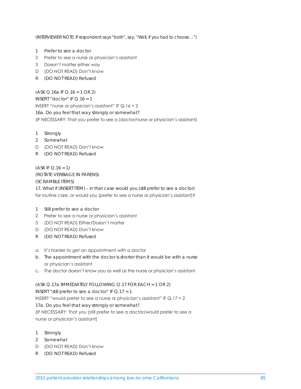(INTERVIEWER NOTE: If respondent says "both", say, "Well, if you had to choose…")

- 1 Prefer to see a doctor
- 2 Prefer to see a nurse or physician's assistant
- 3 Doesn't matter either way
- D (DO NOT READ) Don't know
- R (DO NOT READ) Refused

(ASK Q.16a IF Q.16 = 1 OR 2) INSERT "doctor" IF Q.16 = 1 INSERT "nurse or physician's assistant" IF Q.16 = 2 16a. Do you feel that way strongly or somewhat? (IF NECESSARY: That you prefer to see a (doctor/nurse or physician's assistant)

- 1 Strongly
- 2 Somewhat
- D (DO NOT READ) Don't know
- R (DO NOT READ) Refused

 $(ASK IF Q.16 = 1)$ (ROTATE VERBIAGE IN PARENS) (SCRAMBLE ITEMS) 17. What if (INSERT ITEM) – in that case would you (still prefer to see a doctor) for routine care, or would you (prefer to see a nurse or physician's assistant)?

- 1 Still prefer to see a doctor
- 2 Prefer to see a nurse or physician's assistant
- 3 (DO NOT READ) Either/Doesn't matter
- D (DO NOT READ) Don't know
- R (DO NOT READ) Refused
- a. It's harder to get an appointment with a doctor
- b. The appointment with the doctor is shorter than it would be with a nurse or physician's assistant
- c. The doctor doesn't know you as well as the nurse or physician's assistant

(ASK Q.17a IMMEDIATELY FOLLOWING Q.17 FOR EACH = 1 OR 2) INSERT "still prefer to see a doctor" IF  $Q.17 = 1$ INSERT "would prefer to see a nurse or physician's assistant" IF Q.17 = 2 17a. Do you feel that way strongly or somewhat? (IF NECESSARY: That you (still prefer to see a doctor/would prefer to see a nurse or physician's assistant)

- 1 Strongly
- 2 Somewhat
- D (DO NOT READ) Don't know
- R (DO NOT READ) Refused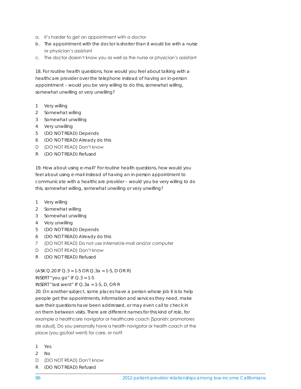- a. It's harder to get an appointment with a doctor
- b. The appointment with the doctor is shorter than it would be with a nurse or physician's assistant
- c. The doctor doesn't know you as well as the nurse or physician's assistant

18. For routine health questions, how would you feel about talking with a healthcare provider over the telephone instead of having an in-person appointment – would you be very willing to do this, somewhat willing, somewhat unwilling or very unwilling?

- 1 Very willing
- 2 Somewhat willing
- 3 Somewhat unwilling
- 4 Very unwilling
- 5 (DO NOT READ) Depends
- 6 (DO NOT READ) Already do this
- D (DO NOT READ) Don't know
- R (DO NOT READ) Refused

19. How about using e-mail? For routine health questions, how would you feel about using e-mail instead of having an in-person appointment to communicate with a healthcare provider – would you be very willing to do this, somewhat willing, somewhat unwilling or very unwilling?

- 1 Very willing
- 2 Somewhat willing
- 3 Somewhat unwilling
- 4 Very unwilling
- 5 (DO NOT READ) Depends
- 6 (DO NOT READ) Already do this
- 7 (DO NOT READ) Do not use internet/e-mail and/or computer
- D (DO NOT READ) Don't know
- R (DO NOT READ) Refused

 $(ASK Q.20 IF Q.3 = 1-5 OR Q.3a = 1-5, D OR R)$ 

INSERT "you go" IF  $Q.3 = 1-5$ 

INSERT "last went" IF  $Q.3a = 1-5$ , D, OR R

20. On another subject, some places have a person whose job it is to help people get the appointments, information and services they need, make sure their questions have been addressed, or may even call to check in on them between visits. There are different names for this kind of role, for example a healthcare navigator or healthcare coach [Spanish: promotores de salud]. Do you personally have a health navigator or health coach at the place (you go/last went) for care, or not?

- 1 Yes
- 2 No
- D (DO NOT READ) Don't know
- R (DO NOT READ) Refused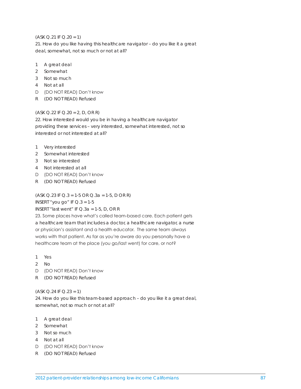## (ASK Q.21 IF Q.20 = 1)

21. How do you like having this healthcare navigator – do you like it a great deal, somewhat, not so much or not at all?

- 1 A great deal
- 2 Somewhat
- 3 Not so much
- 4 Not at all
- D (DO NOT READ) Don't know
- R (DO NOT READ) Refused

# (ASK Q.22 IF Q.20 = 2, D, OR R)

22. How interested would you be in having a healthcare navigator providing these services – very interested, somewhat interested, not so interested or not interested at all?

- 1 Very interested
- 2 Somewhat interested
- 3 Not so interested
- 4 Not interested at all
- D (DO NOT READ) Don't know
- R (DO NOT READ) Refused

 $(ASK Q.23 IF Q.3 = 1-5 OR Q.3a = 1-5, D OR R)$ 

INSERT "you go" IF  $Q.3 = 1-5$ 

INSERT "last went" IF  $Q$ .3a = 1-5, D, OR R

23. Some places have what's called team-based care. Each patient gets a healthcare team that includes a doctor, a healthcare navigator, a nurse or physician's assistant and a health educator. The same team always works with that patient. As far as you're aware do you personally have a healthcare team at the place (you go/last went) for care, or not?

- 1 Yes
- 2 No
- D (DO NOT READ) Don't know
- R (DO NOT READ) Refused

 $(ASK Q.24 IF Q.23 = 1)$ 

24. How do you like this team-based approach – do you like it a great deal, somewhat, not so much or not at all?

- 1 A great deal
- 2 Somewhat
- 3 Not so much
- 4 Not at all
- D (DO NOT READ) Don't know
- R (DO NOT READ) Refused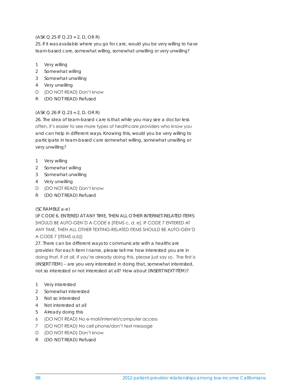# $(ASK Q.25 IF Q.23 = 2, D, OR R)$

25. If it was available where you go for care, would you be very willing to have team-based care, somewhat willing, somewhat unwilling or very unwilling?

- 1 Very willing
- 2 Somewhat willing
- 3 Somewhat unwilling
- 4 Very unwilling
- D (DO NOT READ) Don't know
- R (DO NOT READ) Refused

# $(ASK Q.26 IF Q.23 = 2, D, OR R)$

26. The idea of team-based care is that while you may see a doctor less often, it's easier to see more types of healthcare providers who know you and can help in different ways. Knowing this, would you be very willing to participate in team-based care somewhat willing, somewhat unwilling or very unwilling?

- 1 Very willing
- 2 Somewhat willing
- 3 Somewhat unwilling
- 4 Very unwilling
- D (DO NOT READ) Don't know
- R (DO NOT READ) Refused

# (SCRAMBLE a-e)

(IF CODE 6, ENTERED AT ANY TIME, THEN ALL OTHER INTERNET-RELATED ITEMS SHOULD BE AUTO-GEN'D A CODE 6 [ITEMS c, d, e]. IF CODE 7 ENTERED AT ANY TIME, THEN ALL OTHER TEXTING-RELATED ITEMS SHOULD BE AUTO-GEN'D A CODE 7 [ITEMS a,b])

27. There can be different ways to communicate with a healthcare provider. For each item I name, please tell me how interested you are in doing that, if at all. If you're already doing this, please just say so. The first is (INSERT ITEM) – are you very interested in doing that, somewhat interested, not so interested or not interested at all? How about (INSERT NEXT ITEM)?

- 1 Very interested
- 2 Somewhat interested
- 3 Not so interested
- 4 Not interested at all
- 5 Already doing this
- 6 (DO NOT READ) No e-mail/internet/computer access
- 7 (DO NOT READ) No cell phone/don't text message
- D (DO NOT READ) Don't know
- R (DO NOT READ) Refused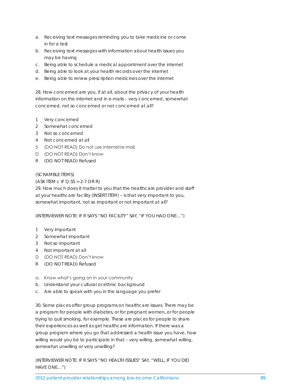- a. Receiving text messages reminding you to take medicine or come in for a test
- b. Receiving text messages with information about health issues you may be having
- c. Being able to schedule a medical appointment over the internet
- d. Being able to look at your health records over the internet
- e. Being able to renew prescription medicines over the internet

28. How concerned are you, if at all, about the privacy of your health information on the internet and in e-mails – very concerned, somewhat concerned, not so concerned or not concerned at all?

- 1 Very concerned
- 2 Somewhat concerned
- 3 Not so concerned
- 4 Not concerned at all
- 5 (DO NOT READ) Do not use internet/e-mail
- D (DO NOT READ) Don't know
- R (DO NOT READ) Refused

#### (SCRAMBLE ITEMS)

 $(ASK\ IIEM\ C\ IF\ Q.S5 = 2-7\ OR\ R)$ 

29. How much does it matter to you that the healthcare provider and staff at your healthcare facility (INSERT ITEM) – is that very important to you, somewhat important, not so important or not important at all?

(INTERVIEWER NOTE: IF R SAYS "NO FACILITY" SAY, "IF YOU HAD ONE…")

- 1 Very important
- 2 Somewhat important
- 3 Not so important
- 4 Not important at all
- D (DO NOT READ) Don't know
- R (DO NOT READ) Refused
- a. Know what's going on in your community
- b. Understand your cultural or ethnic background
- c. Are able to speak with you in the language you prefer

30. Some places offer group programs on healthcare issues. There may be a program for people with diabetes, or for pregnant women, or for people trying to quit smoking, for example. These are places for people to share their experiences as well as get healthcare information. If there was a group program where you go that addressed a health issue you have, how willing would you be to participate in that – very willing, somewhat willing, somewhat unwilling or very unwilling?

(INTERVIEWER NOTE: IF R SAYS "NO HEALTH ISSUES" SAY, "WELL, IF YOU DID HAVE ONE…")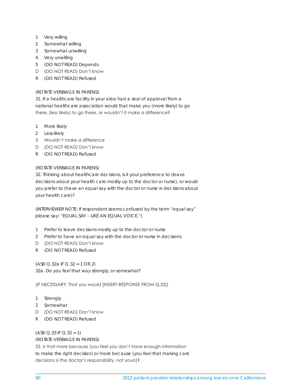- 1 Very willing
- 2 Somewhat willing
- 3 Somewhat unwilling
- 4 Very unwilling
- 5 (DO NOT READ) Depends
- D (DO NOT READ) Don't know
- R (DO NOT READ) Refused

# (ROTATE VERBIAGE IN PARENS)

31. If a healthcare facility in your area had a seal of approval from a national healthcare association would that make you (more likely) to go there, (less likely) to go there, or wouldn't it make a difference?

- 1 More likely
- 2 Less likely
- 3 Wouldn't make a difference
- D (DO NOT READ) Don't know
- R (DO NOT READ) Refused

# (ROTATE VERBIAGE IN PARENS)

32. Thinking about healthcare decisions, is it your preference to (leave decisions about your health care mostly up to the doctor or nurse), or would you prefer to (have an equal say with the doctor or nurse in decisions about your health care)?

(INTERVIEWER NOTE: If respondent seems confused by the term "equal say" please say: "EQUAL SAY – LIKE AN EQUAL VOICE.")

- 1 Prefer to leave decisions mostly up to the doctor or nurse
- 2 Prefer to have an equal say with the doctor or nurse in decisions
- D (DO NOT READ) Don't know
- R (DO NOT READ) Refused

(ASK Q.32a IF Q.32 = 1 OR 2) 32a. Do you feel that way strongly, or somewhat?

(IF NECESSARY: That you would [INSERT RESPONSE FROM Q.32])

- 1 Strongly
- 2 Somewhat
- D (DO NOT READ) Don't know
- R (DO NOT READ) Refused

(ASK Q.33 IF Q.32 = 1)

(ROTATE VERBIAGE IN PARENS)

33. Is that more because (you feel you don't have enough information to make the right decision) or more because (you feel that making care decisions is the doctor's responsibility, not yours)?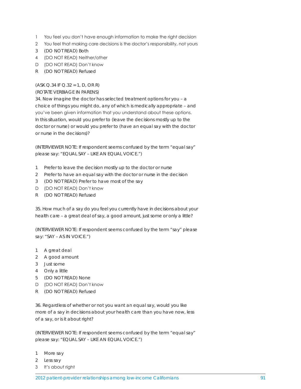- 1 You feel you don't have enough information to make the right decision
- 2 You feel that making care decisions is the doctor's responsibility, not yours
- 3 (DO NOT READ) Both
- 4 (DO NOT READ) Neither/other
- D (DO NOT READ) Don't know
- R (DO NOT READ) Refused

# (ASK Q.34 IF Q.32 = 1, D, OR R)

#### (ROTATE VERBIAGE IN PARENS)

34. Now imagine the doctor has selected treatment options for you – a choice of things you might do, any of which is medically appropriate – and you've been given information that you understand about these options. In this situation, would you prefer to (leave the decisions mostly up to the doctor or nurse) or would you prefer to (have an equal say with the doctor or nurse in the decisions)?

(INTERVIEWER NOTE: If respondent seems confused by the term "equal say" please say: "EQUAL SAY – LIKE AN EQUAL VOICE.")

- 1 Prefer to leave the decision mostly up to the doctor or nurse
- 2 Prefer to have an equal say with the doctor or nurse in the decision
- 3 (DO NOT READ) Prefer to have most of the say
- D (DO NOT READ) Don't know
- R (DO NOT READ) Refused

35. How much of a say do you feel you currently have in decisions about your health care – a great deal of say, a good amount, just some or only a little?

(INTERVIEWER NOTE: If respondent seems confused by the term "say" please say: "SAY – AS IN VOICE.")

- 1 A great deal
- 2 A good amount
- 3 Just some
- 4 Only a little
- 5 (DO NOT READ) None
- D (DO NOT READ) Don't know
- R (DO NOT READ) Refused

36. Regardless of whether or not you want an equal say, would you like more of a say in decisions about your health care than you have now, less of a say, or is it about right?

(INTERVIEWER NOTE: If respondent seems confused by the term "equal say" please say: "EQUAL SAY – LIKE AN EQUAL VOICE.")

- 1 More say
- 2 Less say
- 3 It's about right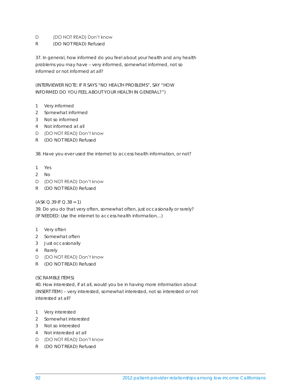# D (DO NOT READ) Don't know

R (DO NOT READ) Refused

37. In general, how informed do you feel about your health and any health problems you may have – very informed, somewhat informed, not so informed or not informed at all?

(INTERVIEWER NOTE: IF R SAYS "NO HEALTH PROBLEMS", SAY "HOW INFORMED DO YOU FEEL ABOUT YOUR HEALTH IN GENERAL?")

- 1 Very informed
- 2 Somewhat informed
- 3 Not so informed
- 4 Not informed at all
- D (DO NOT READ) Don't know
- R (DO NOT READ) Refused

38. Have you ever used the internet to access health information, or not?

- 1 Yes
- 2 No
- D (DO NOT READ) Don't know
- R (DO NOT READ) Refused

#### $(ASK Q.39 IF Q.38 = 1)$

39. Do you do that very often, somewhat often, just occasionally or rarely? (IF NEEDED: Use the internet to access health information…)

- 1 Very often
- 2 Somewhat often
- 3 Just occasionally
- 4 Rarely
- D (DO NOT READ) Don't know
- R (DO NOT READ) Refused

#### (SCRAMBLE ITEMS)

40. How interested, if at all, would you be in having more information about (INSERT ITEM) – very interested, somewhat interested, not so interested or not interested at all?

- 1 Very interested
- 2 Somewhat interested
- 3 Not so interested
- 4 Not interested at all
- D (DO NOT READ) Don't know
- R (DO NOT READ) Refused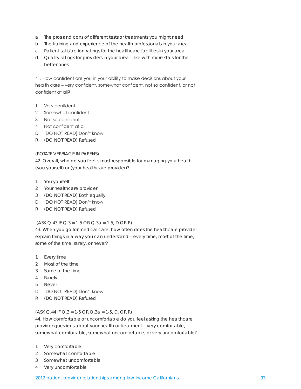- a. The pros and cons of different tests or treatments you might need
- b. The training and experience of the health professionals in your area
- c. Patient satisfaction ratings for the healthcare facilities in your area
- d. Quality ratings for providers in your area like with more stars for the better ones

41. How confident are you in your ability to make decisions about your health care – very confident, somewhat confident, not so confident, or not confident at all?

- 1 Very confident
- 2 Somewhat confident
- 3 Not so confident
- 4 Not confident at all
- D (DO NOT READ) Don't know
- R (DO NOT READ) Refused

#### (ROTATE VERBIAGE IN PARENS)

42. Overall, who do you feel is most responsible for managing your health – (you yourself) or (your healthcare provider)?

- 1 You yourself
- 2 Your healthcare provider
- 3 (DO NOT READ) Both equally
- D (DO NOT READ) Don't know
- R (DO NOT READ) Refused

#### (ASK Q.43 IF Q.3 = 1-5 OR Q.3a = 1-5, D OR R)

43. When you go for medical care, how often does the healthcare provider explain things in a way you can understand – every time, most of the time, some of the time, rarely, or never?

- 1 Every time
- 2 Most of the time
- 3 Some of the time
- 4 Rarely
- 5 Never
- D (DO NOT READ) Don't know
- R (DO NOT READ) Refused

#### $(ASK Q.44 IF Q.3 = 1-5 OR Q.3a = 1-5, D, OR R)$

44. How comfortable or uncomfortable do you feel asking the healthcare provider questions about your health or treatment – very comfortable, somewhat comfortable, somewhat uncomfortable, or very uncomfortable?

- 1 Very comfortable
- 2 Somewhat comfortable
- 3 Somewhat uncomfortable
- 4 Very uncomfortable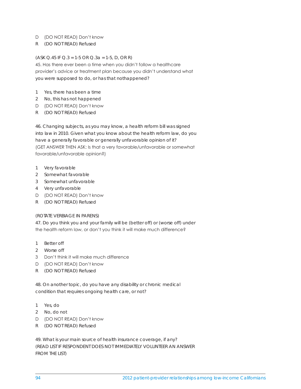#### D (DO NOT READ) Don't know

R (DO NOT READ) Refused

#### (ASK Q.45 IF Q.3 = 1-5 OR Q.3a = 1-5, D, OR R)

45. Has there ever been a time when you didn't follow a healthcare provider's advice or treatment plan because you didn't understand what you were supposed to do, or has that nothappened?

- 1 Yes, there has been a time
- 2 No, this has not happened
- D (DO NOT READ) Don't know
- R (DO NOT READ) Refused

46. Changing subjects, as you may know, a health reform bill was signed into law in 2010. Given what you know about the health reform law, do you have a generally favorable or generally unfavorable opinion of it? (GET ANSWER THEN ASK: Is that a very favorable/unfavorable or somewhat favorable/unfavorable opinion?)

- 1 Very favorable
- 2 Somewhat favorable
- 3 Somewhat unfavorable
- 4 Very unfavorable
- D (DO NOT READ) Don't know
- R (DO NOT READ) Refused

#### (ROTATE VERBIAGE IN PARENS)

47. Do you think you and your family will be (better off) or (worse off) under the health reform law, or don't you think it will make much difference?

- 1 Better off
- 2 Worse off
- 3 Don't think it will make much difference
- D (DO NOT READ) Don't know
- R (DO NOT READ) Refused

48. On another topic, do you have any disability or chronic medical condition that requires ongoing health care, or not?

- 1 Yes, do
- 2 No, do not
- D (DO NOT READ) Don't know
- R (DO NOT READ) Refused

49. What is your main source of health insurance coverage, if any? (READ LIST IF RESPONDENT DOES NOT IMMEDIATELY VOLUNTEER AN ANSWER FROM THE LIST)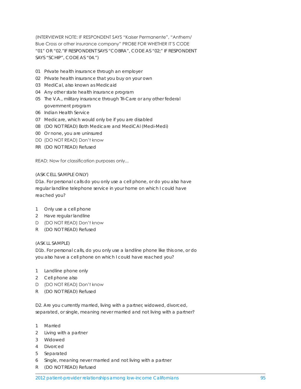(INTERVIEWER NOTE: IF RESPONDENT SAYS "Kaiser Permanente", "Anthem/ Blue Cross or other insurance company" PROBE FOR WHETHER IT'S CODE "01" OR "02."IF RESPONDENT SAYS "COBRA", CODE AS "02;" IF RESPONDENT SAYS "SCHIP", CODE AS "04.")

- 01 Private health insurance through an employer
- 02 Private health insurance that you buy on your own
- 03 MediCal, also known as Medicaid
- 04 Any other state health insurance program
- 05 The V.A., military insurance through Tri-Care or any other federal government program
- 06 Indian Health Service
- 07 Medicare, which would only be if you are disabled
- 08 (DO NOT READ) Both Medicare and MediCAl (Medi-Medi)
- 00 Or none, you are uninsured
- DD (DO NOT READ) Don't know
- RR (DO NOT READ) Refused

READ: Now for classification purposes only...

#### (ASK CELL SAMPLE ONLY)

D1a. For personal calls do you only use a cell phone, or do you also have regular landline telephone service in your home on which I could have reached you?

- 1 Only use a cell phone
- 2 Have regular landline
- D (DO NOT READ) Don't know
- R (DO NOT READ) Refused

#### (ASK LL SAMPLE)

D1b. For personal calls, do you only use a landline phone like this one, or do you also have a cell phone on which I could have reached you?

- 1 Landline phone only
- 2 Cell phone also
- D (DO NOT READ) Don't know
- R (DO NOT READ) Refused

D2. Are you currently married, living with a partner, widowed, divorced, separated, or single, meaning never married and not living with a partner?

- 1 Married
- 2 Living with a partner
- 3 Widowed
- 4 Divorced
- 5 Separated
- 6 Single, meaning never married and not living with a partner
- R (DO NOT READ) Refused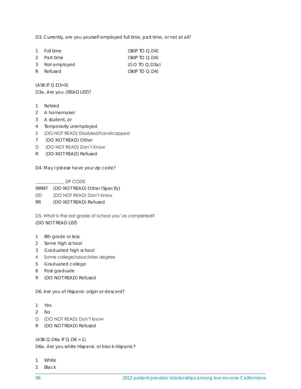D3. Currently, are you yourself employed full time, part time, or not at all?

| 1 Full time    | (SKIPTOQ.D4)   |
|----------------|----------------|
| 2 Part time    | (SKIPTOQ.D4)   |
| 3 Not employed | (GOIOQ.D3a)    |
| R Refused      | (SKIP TO Q.D4) |

(ASK IF Q.D3=3) D3a. Are you: (READ LIST)?

- 1 Retired
- 2 A homemaker
- 3 A student, or
- 4 Temporarily unemployed
- 5 (DO NOT READ) Disabled/handicapped
- 7 (DO NOT READ) Other
- D (DO NOT READ) Don't Know
- R (DO NOT READ) Refused

D4. May I please have your zip code?

\_\_\_\_\_\_\_\_\_\_\_\_\_ ZIP CODE 99997 (DO NOT READ) Other (Specify) DD (DO NOT READ) Don't know RR (DO NOT READ) Refused

D5. What is the last grade of school you've completed? (DO NOT READ LIST)

- 1 8th grade or less
- 2 Some high school
- 3 Graduated high school
- 4 Some college/associates degree
- 5 Graduated college
- 6 Post graduate
- R (DO NOT READ) Refused

D6. Are you of Hispanic origin or descent?

- 1 Yes
- 2 No
- D (DO NOT READ) Don't know
- R (DO NOT READ) Refused

(ASK Q.D6a IF Q.D6 = 1)

D6a. Are you white Hispanic or black Hispanic?

- 1 White
- 2 Black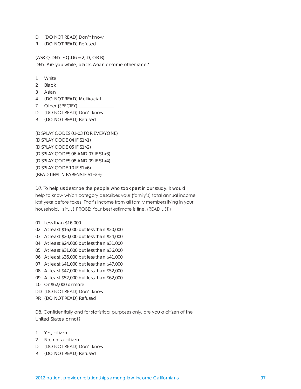#### D (DO NOT READ) Don't know

R (DO NOT READ) Refused

 $(ASK Q.D6b IF Q.D6 = 2, D, OR R)$ D6b. Are you white, black, Asian or some other race?

- 1 White
- 2 Black
- 3 Asian
- 4 (DO NOT READ) Multiracial
- 7 Other (SPECIFY) \_\_
- D (DO NOT READ) Don't know
- R (DO NOT READ) Refused

(DISPLAY CODES 01-03 FOR EVERYONE) (DISPLAY CODE 04 IF S1>1) (DISPLAY CODE 05 IF S1>2) (DISPLAY CODES 06 AND 07 IF S1>3) (DISPLAY CODES 08 AND 09 IF S1>4) (DISPLAY CODE 10 IF S1>6) (READ ITEM IN PARENS IF S1=2+)

D7. To help us describe the people who took part in our study, it would help to know which category describes your (family's) total annual income last year before taxes. That's income from all family members living in your household. Is it…? PROBE: Your best estimate is fine. (READ LIST.)

- 01 Less than \$16,000
- 02 At least \$16,000 but less than \$20,000
- 03 At least \$20,000 but less than \$24,000
- 04 At least \$24,000 but less than \$31,000
- 05 At least \$31,000 but less than \$36,000
- 06 At least \$36,000 but less than \$41,000
- 07 At least \$41,000 but less than \$47,000
- 08 At least \$47,000 but less than \$52,000
- 09 At least \$52,000 but less than \$62,000
- 10 Or \$62,000 or more
- DD (DO NOT READ) Don't know
- RR (DO NOT READ) Refused

D8. Confidentially and for statistical purposes only, are you a citizen of the United States, or not?

- 1 Yes, citizen
- 2 No, not a citizen
- D (DO NOT READ) Don't know
- R (DO NOT READ) Refused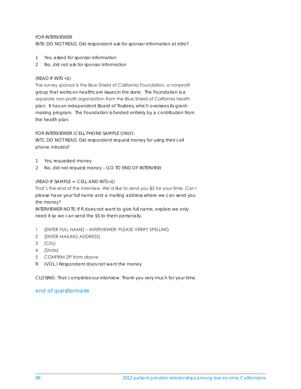# FOR INTERVIEWER

INT0. DO NOT READ. Did respondent ask for sponsor information at intro?

- 1 Yes, asked for sponsor information
- 2 No, did not ask for sponsor information

# (READ IF INT0 =1)

The survey sponsor is the Blue Shield of California Foundation, a nonprofit group that works on healthcare issues in the state. The Foundation is a separate non-profit organization from the Blue Shield of California health plan. It has an independent Board of Trustees, which oversees its grantmaking program. The Foundation is funded entirely by a contribution from the health plan.

FOR INTERVIEWER (CELL PHONE SAMPLE ONLY):

INT1. DO NOT READ. Did respondent request money for using their cell phone minutes?

- 1 Yes, requested money
- 2 No, did not request money GO TO END OF INTERVIEW

## (READ IF SAMPLE = CELL AND INT1=1)

That's the end of the interview. We'd like to send you \$5 for your time. Can I please have your full name and a mailing address where we can send you the money?

INTERVIEWER NOTE: If R does not want to give full name, explain we only need it so we can send the \$5 to them personally.

- 1 [ENTER FULL NAME] INTERVIEWER: PLEASE VERIFY SPELLING
- 2 [ENTER MAILING ADDRESS]
- 3 [City]
- 4 [State]
- 5 CONFIRM ZIP from above
- R (VOL.) Respondent does not want the money

CLOSING: That completes our interview. Thank you very much for your time.

# end of questionnaire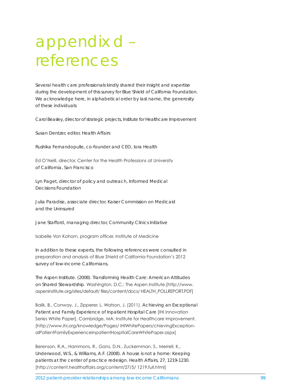# appendix d – references

Several health care professionals kindly shared their insight and expertise during the development of this survey for Blue Shield of California Foundation. We acknowledge here, in alphabetical order by last name, the generosity of these individuals:

Carol Beasley, director of strategic projects, Institute for Healthcare Improvement

Susan Dentzer, editor, Health Affairs

Rushika Fernandopulle, co-founder and CEO, Iora Health

Ed O'Neill, director, Center for the Health Professions at University of California, San Francisco

Lyn Paget, director of policy and outreach, Informed Medical Decisions Foundation

Julia Paradise, associate director, Kaiser Commission on Medicaid and the Uninsured

Jane Stafford, managing director, Community Clinics Initiative

Isabelle Von Kohorn, program officer, Institute of Medicine

In addition to these experts, the following references were consulted in preparation and analysis of Blue Shield of California Foundation's 2012 survey of low-income Californians.

The Aspen Institute. (2008). *Transforming Health Care: American Attitudes on Shared Stewardship*. Washington, D.C.: The Aspen Institute.[http://www. aspeninstitute.org/sites/default/ files/content/docs/ HEALTH\_POLLREPORT.PDF]

Balik, B., Conway, J., Zipperer, L. Watson, J. (2011). *Achieving an Exceptional Patient and Family Experience of Inpatient Hospital Care* [IHI Innovation Series White Paper]. Cambridge, MA: Institute for Healthcare Improvement. [http://www.ihi.org/knowledge/Pages/ IHIWhitePapers/chievingExceptionalPatientFamilyExperienceInpatientHospitalCareWhitePaper.aspx]

Berenson, R.A., Hammons, R., Gans, D.N., Zuckernman, S., Merrell, K., Underwood, W.S., & Williams, A.F. (2008). A house is not a home: Keeping patients at the center of practice redesign. *Health Affairs*, 27, 1219-1230. [http://content.healthaffairs.org/content/27/5/ 1219.full.html]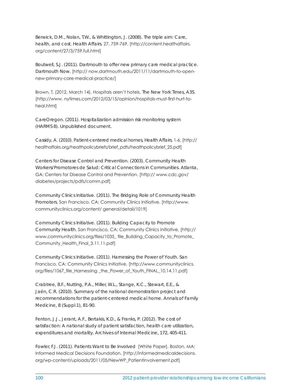Berwick, D.M., Nolan, T.W., & Whittington, J. (2008). The triple aim: Care, health, and cost. *Health Affairs*, 27, 759-769. [http://content.healthaffairs. org/content/27/3/759.full.html]

Boutwell, S.J. (2011). Dartmouth to offer new primary care medical practice. *Dartmouth Now*. [http:// now.dartmouth.edu/2011/11/dartmouth-to-opennew-primary-care-medical-practice/]

Brown, T. (2012, March 14). Hospitals aren't hotels. *The New York Times*, A35. [http://www. nytimes.com/2012/03/15/opinion/hospitals-must-first-hurt-toheal.html]

CareOregon. (2011). *Hospitalization admission risk monitoring system (HARMS 8)*. Unpublished document.

Cassidy, A. (2010). Patient-centered medical homes, *Health Affairs*, 1-6. [http:// healthaffairs.org/healthpolicybriefs/brief\_pdfs/healthpolicybrief\_25.pdf]

Centers for Disease Control and Prevention. (2003). *Community Health Workers/Promotores de Salud: Critical Connections in Communities*. Atlanta, GA: Centers for Disease Control and Prevention. [http:// www.cdc.gov/ diabetes/projects/pdfs/comm.pdf]

Community Clinics Initiative. (2011). *The Bridging Role of Community Health Promoters*. San Francisco, CA: Community Clinics Initiative. [http://www. communityclinics.org/content/ general/detail/1019]

Community Clinics Initiative. (2011). *Building Capacity to Promote Community Health*. San Francisco, CA: Community Clinics Initiative. [http:// www.communityclinics.org/files/1035\_ file\_Building\_Capacity\_to\_Promote\_ Community\_Health\_Final\_3.11.11.pdf]

Community Clinics Initiative. (2011). *Harnessing the Power of Youth*. San Francisco, CA: Community Clinics Initiative. [http://www.communityclinics. org/files/1067\_file\_Harnessing \_the\_Power\_of\_Youth\_FINAL\_10.14.11.pdf]

Crabtree, B.F., Nutting, P.A., Miller, W.L., Stange, K.C., Stewart, E.E., & Jaén, C.R. (2010). Summary of the national demonstration project and recommendations for the patient-centered medical home. *Annals of Family Medicine, 8* (Suppl.1), 81-90.

Fenton, J.J., Jerant, A.F., Bertakis, K.D., & Franks, P. (2012). The cost of satisfaction: A national study of patient satisfaction, health care utilization, expenditures and mortality. *Archives of Internal Medicine*, 172, 405-411.

Fowler, F.J. (2011). *Patients Want to Be Involved* [White Paper]. Boston, MA: Informed Medical Decisions Foundation. [http://informedmedicaldecisions. org/wp-content/uploads/2011/05/NewWP\_PatientInvolvement.pdf]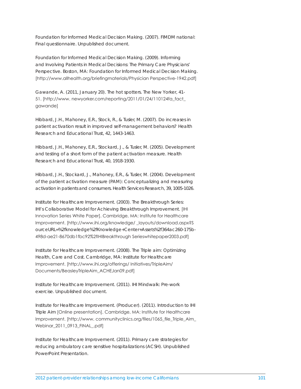Foundation for Informed Medical Decision Making. (2007). *FIMDM national: Final questionnaire*. Unpublished document.

Foundation for Informed Medical Decision Making. (2009). *Informing and Involving Patients in Medical Decisions: The Primary Care Physicians' Perspective*. Boston, MA: Foundation for Informed Medical Decision Making. [http://www.allhealth.org/briefingmaterials/Physician Perspective-1942.pdf]

Gawande, A. (2011, January 20). The hot spotters. *The New Yorker*, 41- 51. [http://www. newyorker.com/reporting/2011/01/24/110124fa\_fact\_ gawande]

Hibbard, J.H., Mahoney, E.R., Stock, R., & Tusler, M. (2007). Do increases in patient activation result in improved self-management behaviors? *Health Research and Educational Trust, 42*, 1443-1463.

Hibbard, J.H., Mahoney, E.R., Stockard, J., & Tusler, M. (2005). Development and testing of a short form of the patient activation measure. *Health Research and Educational Trust, 40*, 1918-1930.

Hibbard, J.H., Stockard, J., Mahoney, E.R., & Tusler, M. (2004). Development of the patient activation measure (PAM): Conceptualizing and measuring activation in patients and consumers. *Health Services Research, 39*, 1005-1026.

Institute for Healthcare Improvement. (2003). *The Breakthrough Series: IHI's Collaborative Model for Achieving Breakthrough Improvement*. [IHI Innovation Series White Paper]. Cambridge, MA: Institute for Healthcare Improvement. [http://www.ihi.org/knowledge/ \_layouts/download.aspx?S ourceURL=%2fknowledge%2fKnowledge+Center+Assets%2f364ac260-175b-498d-ae21-8670db1fbc92%2fIHIBreakthrough Serieswhitepaper2003.pdf]

Institute for Healthcare Improvement. (2008). *The Triple aim: Optimizing Health, Care and Cost*. Cambridge, MA: Institute for Healthcare Improvement. [http://www.ihi.org/offerings/ Initiatives/TripleAim/ Documents/BeasleyTripleAim\_ACHEJan09.pdf]

Institute for Healthcare Improvement. (2011). *IHI Mindwalk: Pre-work exercise*. Unpublished document.

Institute for Healthcare Improvement. (Producer). (2011). *Introduction to IHI Triple Aim* [Online presentation]. Cambridge, MA: Institute for Healthcare Improvement. [http://www. communityclinics.org/files/1065\_file\_Triple\_Aim\_ Webinar\_2011\_0913\_FINAL\_.pdf]

Institute for Healthcare Improvement. (2011). *Primary care strategies for reducing ambulatory care sensitive hospitalizations (ACSH)*. Unpublished PowerPoint Presentation.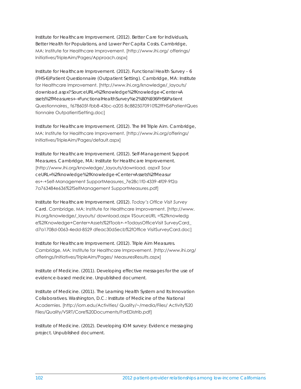Institute for Healthcare Improvement. (2012). *Better Care for Individuals, Better Health for Populations, and Lower Per Capita Costs*. Cambridge, MA: Institute for Healthcare Improvement. [http://www.ihi.org/ offerings/ Initiatives/TripleAim/Pages/Approach.aspx]

Institute for Healthcare Improvement. (2012). *Functional Health Survey – 6 (FHS-6)Patient Questionnaire (Outpatient Setting)*. Cambridge, MA: Institute for Healthcare Improvement. [http://www.ihi.org/knowledge/\_layouts/ download.aspx?SourceURL=%2fknowledge%2fKnowledge+Center+A ssets%2fMeasures+-+FunctionalHealthSurvey%e2%80%936FHS6Patient Questionnaires\_ f678605f-fbb8-43bc-a205 8c8825070910%2fFHS6PatientQues tionnaire OutpatientSetting.doc]

Institute for Healthcare Improvement. (2012). *The IHI Triple Aim*. Cambridge, MA: Institute for Healthcare Improvement. [http://www.ihi.org/offerings/ Initiatives/TripleAim/Pages/default.aspx]

Institute for Healthcare Improvement. (2012). *Self-Management Support Measures*. Cambridge, MA: Institute for Healthcare Improvement. [http://www.ihi.org/knowledge/\_layouts/download. aspx? Sour ceURL=%2fknowledge%2fKnowledge+Center+Assets%2fMeasur es+-+Self-Management SupportMeasures\_7e28c1f0-4339-4f09-9f2a 7a763484e636%2fSelfManagement SupportMeasures.pdf]

Institute for Healthcare Improvement. (2012). *Today's Office Visit Survey Card*. Cambridge, MA: Institute for Healthcare Improvement. [http://www. ihi.org/knowledge/\_layouts/ download.aspx ?SourceURL =%2fknowledg e%2fKnowledge+Center+Assets%2fTools+-+TodaysOfficeVisit SurveyCard\_ d7a1708d-0063-4edd-8529 dfeac30d5ecb%2fOffice VisitSurveyCard.doc]

Institute for Healthcare Improvement. (2012). *Triple Aim Measures*. Cambridge, MA: Institute for Healthcare Improvement. [http://www.ihi.org/ offerings/Initiatives/TripleAim/Pages/ MeasuresResults.aspx]

Institute of Medicine. (2011). *Developing effective messages for the use of evidence-based medicine*. Unpublished document.

Institute of Medicine. (2011). *The Learning Health System and Its Innovation Collaboratives*. Washington, D.C.: Institute of Medicine of the National Academies. [http://iom.edu/Activities/ Quality/~/media/Files/ Activity%20 Files/Quality/VSRT/Core%20Documents/ForEDistrib.pdf]

Institute of Medicine. (2012). *Developing IOM survey: Evidence messaging project.* Unpublished document.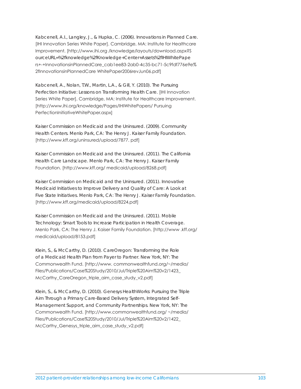Kabcenell, A.I., Langley, J., & Hupka, C. (2006). *Innovations in Planned Care.*  [IHI Innovation Series White Paper]. Cambridge, MA: Institute for Healthcare Improvement. [http://www.ihi.org /knowledge/layouts/download.aspx?S ourceURL=%2fknowledge%2fKnowledge+Center+Assets%2fIHIWhitePape rs+-+InnovationsinPlannedCare\_cab1ee83-2ab0-4c35-bc71-5c9fdf776e9e% 2fInnovationsinPlannedCare WhitePaper2006revJun06.pdf]

Kabcenell, A., Nolan, T.W., Martin, L.A., & Gill, Y. (2010). *The Pursuing Perfection Initiative: Lessons on Transforming Health Care*. [IHI Innovation Series White Paper]. Cambridge, MA: Institute for Healthcare Improvement. [http://www.ihi.org/knowledge/Pages/IHIWhitePapers/ Pursuing PerfectionInitiativeWhitePaper.aspx]

Kaiser Commission on Medicaid and the Uninsured. (2009). *Community Health Centers*. Menlo Park, CA: The Henry J. Kaiser Family Foundation. [http://www.kff.org/uninsured/upload/7877. pdf]

Kaiser Commission on Medicaid and the Uninsured. (2011). *The California Health Care Landscape*. Menlo Park, CA: The Henry J. Kaiser Family Foundation. [http://www.kff.org/ medicaid/upload/8268.pdf]

Kaiser Commission on Medicaid and the Uninsured. (2011). *Innovative Medicaid Initiatives to Improve Delivery and Quality of Care: A Look at Five State Initiatives*. Menlo Park, CA: The Henry J. Kaiser Family Foundation. [http://www.kff.org/medicaid/upload/8224.pdf]

Kaiser Commission on Medicaid and the Uninsured. (2011). *Mobile Technology: Smart Tools to Increase Participation in Health Coverage*. Menlo Park, CA: The Henry J. Kaiser Family Foundation. [http://www .kff.org/ medicaid/upload/8153.pdf]

Klein, S., & McCarthy, D. (2010). *CareOregon: Transforming the Role of a Medicaid Health Plan from Payer to Partner*. New York, NY: The Commonwealth Fund. [http://www. commonwealthfund.org/~/media/ Files/Publications/Case%20Study/2010/Jul/Triple%20Aim%20v2/1423\_ McCarthy\_CareOregon\_triple\_aim\_case\_study\_v2.pdf]

Klein, S., & McCarthy, D. (2010). *Genesys HealthWorks: Pursuing the Triple Aim Through a Primary Care-Based Delivery System, Integrated Self-Management Support, and Community Partnerships*. New York, NY: The Commonwealth Fund. [http://www.commonwealthfund.org/ ~/media/ Files/Publications/Case%20Study/2010/Jul/Triple%20Aim%20v2/1422\_ McCarthy\_Genesys\_triple\_aim\_case\_study\_v2.pdf]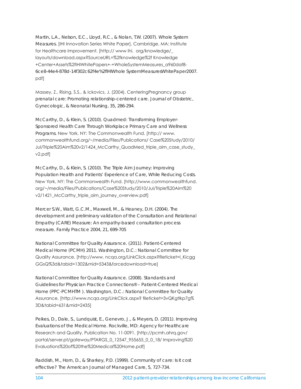Martin, L.A., Nelson, E.C., Lloyd, R.C., & Nolan, T.W. (2007). *Whole System Measures*. [IHI Innovation Series White Paper]. Cambridge, MA: Institute for Healthcare Improvement. [http:// www ihi. org/knowledge/\_ layouts/download.aspx?SourceURL=%2fknowledge%2f Knowledge +Center+Assets%2fIHIWhitePapers+-+WholeSystemMeasures\_a960daf8- 6ce8-44e4-878d-14f302c62f4e%2fIHIWhole SystemMeasuresWhitePaper2007. pdf]

Massey, Z., Rising, S.S., & Ickovics, J. (2004). CenteringPregnancy group prenatal care: Promoting relationship-centered care. *Journal of Obstetric, Gynecologic, & Neonatal Nursing*, 35, 286-294.

McCarthy, D., & Klein, S. (2010). *Quadmed: Transforming Employer-Sponsored Health Care Through Workplace Primary Care and Wellness Programs.* New York, NY: The Commonwealth Fund. [http:// www. commonwealthfund.org/~/media/Files/Publications/ Case%20Study/2010/ Jul/Triple%20Aim%20v2/1424\_McCarthy\_QuadMed\_triple\_aim\_case\_study\_ v2.pdf]

McCarthy, D., & Klein, S. (2010). *The Triple Aim Journey: Improving Population Health and Patients' Experience of Care, While Reducing Costs*. New York, NY: The Commonwealth Fund. [http://www.commonwealthfund. org/~/media/Files/Publications/Case%20Study/2010/Jul/Triple%20Aim%20 v2/1421 McCarthy triple aim journey overview.pdf]

Mercer S.W., Watt, G.C.M., Maxwell, M., & Heaney, D.H. (2004). The development and preliminary validation of the Consultation and Relational Empathy (CARE) Measure: An empathy-based consultation process measure. *Family Practice 2004*, 21, 699-705

National Committee for Quality Assurance. (2011). *Patient-Centered Medical Home (PCMH) 2011*. Washington, D.C.: National Committee for Quality Assurance. [http://www. ncqa.org/LinkClick.aspx?fileticket=l\_Kicgg GGsQ%3d&tabid=1302&mid=5343&forcedownload=true]

National Committee for Quality Assurance. (2008). Standards and Guidelines for Physician Practice Connections® – Patient-Centered Medical Home (PPC-PCMHTM ). Washington, D.C.: National Committee for Quality Assurance. [http://www.ncqa.org/LinkClick.aspx? fileticket=3vQKgtlkp7g% 3D&tabid=631&mid=2435]

Peikes, D., Dale, S., Lundquist, E., Genevro, J., & Meyers, D. (2011). *Improving Evaluations of the Medical Home*. Rockville, MD: Agency for Healthcare Research and Quality, Publication No. 11-0091. [http://pcmh.ahrq.gov/ portal/server.pt/gateway/PTARGS\_0\_12547\_955655\_0\_0\_18/ Improving%20 Evaluations%20of%20the%20Medical%20Home.pdf]

Raddish, M., Horn, D., & Sharkey, P.D. (1999). Community of care: Is it cost effective? *The American Journal of Managed Care*, 5, 727-734.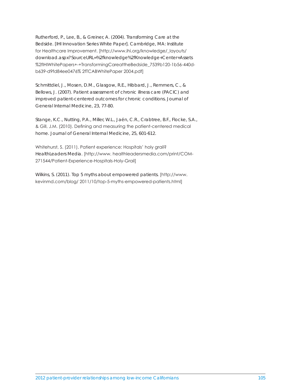Rutherford, P., Lee, B., & Greiner, A. (2004). *Transforming Care at the Bedside. [IHI Innovation Series White Paper]*. Cambridge, MA: Institute for Healthcare Improvement. [http://www.ihi.org/knowledge/\_layouts/ download.aspx?SourceURL=%2fknowledge%2fKnowledge+Center+Assets %2fIHIWhitePapers+-+TransformingCareattheBedside\_7539b120-1b56-440db639-d9fd84ee0476% 2fTCABWhitePaper 2004.pdf]

Schmittdiel, J., Mosen, D.M., Glasgow, R.E., Hibbard, J., Remmers, C., & Bellows, J. (2007). Patient assessment of chronic illness care (PACIC) and improved patient-centered outcomes for chronic conditions. *Journal of General Internal Medicine*, 23, 77-80.

Stange, K.C., Nutting, P.A., Miller, W.L., Jaén, C.R., Crabtree, B.F., Flocke, S.A., & Gill, J.M. (2010). Defining and measuring the patient-centered medical home. *Journal of General Internal Medicine*, 25, 601-612.

Whitehurst, S. (2011). Patient experience: Hospitals' holy grail? *HealthLeaders Media*. [http://www. healthleadersmedia.com/print/COM-271544/Patient-Experience-Hospitals-Holy-Grail]

Wilkins, S. (2011). *Top 5 myths about empowered patients.* [http://www. kevinmd.com/blog/ 2011/10/top-5-myths-empowered-patients.html]